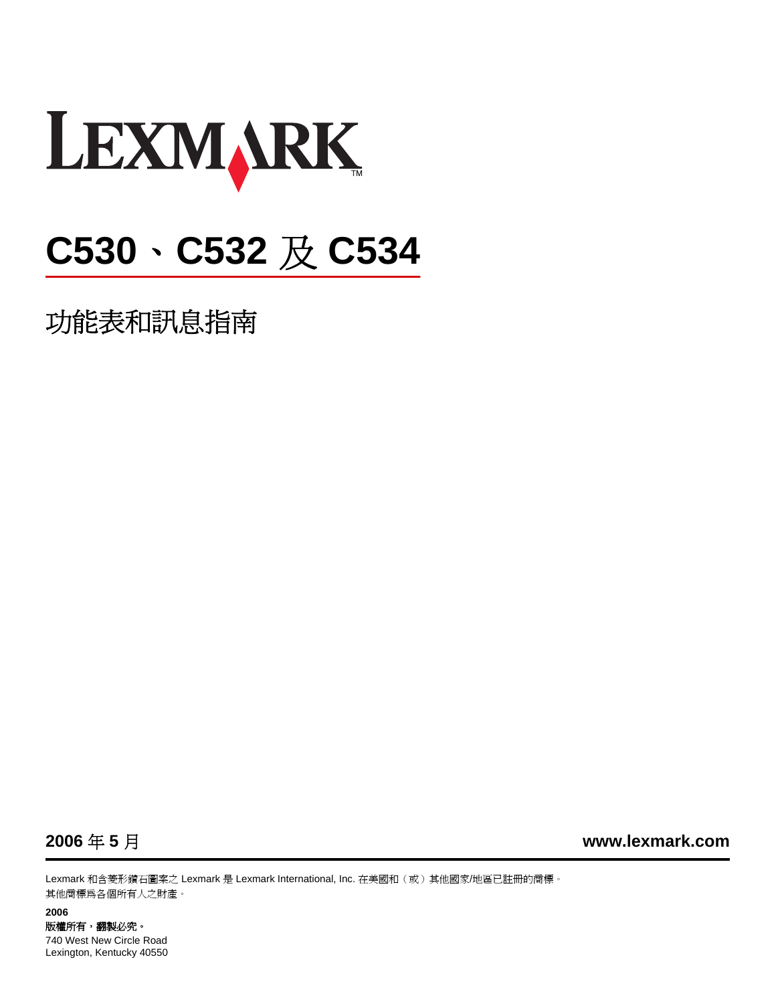

# **C530**、**C532** 及 **C534**

功能表和訊息指南



**2006** 年 **5** 月 **[www.lexmark.com](http://www.lexmark.com)**

Lexmark 和含菱形鑽石圖案之 Lexmark 是 Lexmark International, Inc. 在美國和(或)其他國家/地區已註冊的商標。 其他商標為各個所有人之財產。

#### **2006** 版權所有,翻製必究。 740 West New Circle Road Lexington, Kentucky 40550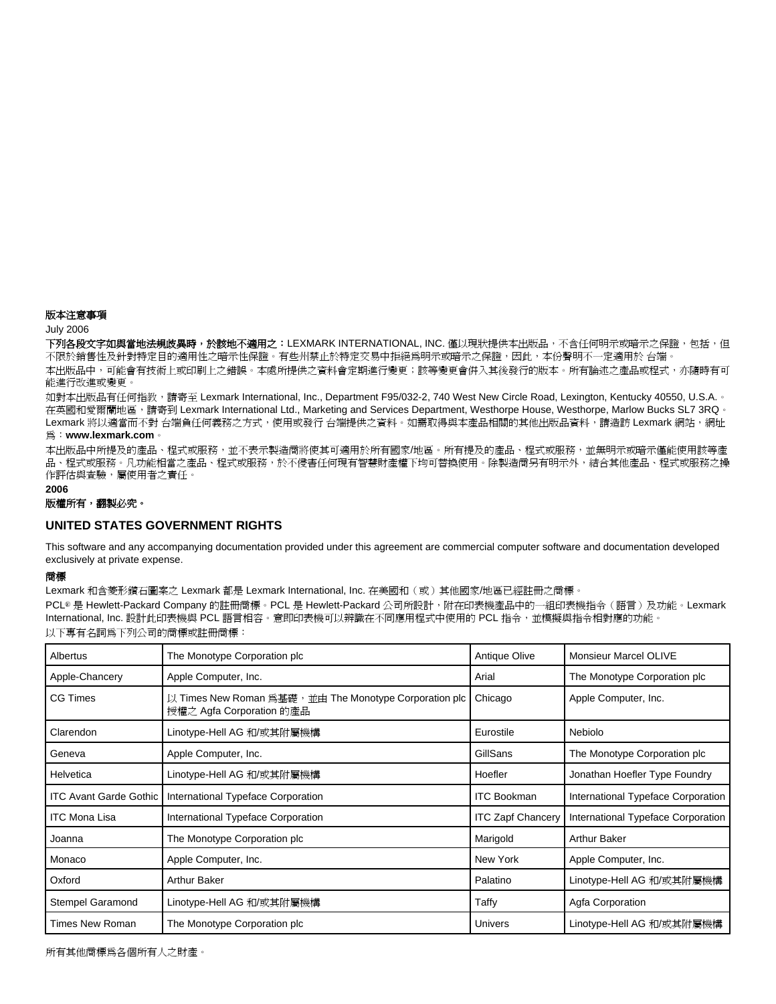#### <span id="page-1-0"></span>版本注意事項

#### July 2006

下列各段文字如與當地法規歧異時,於該地不適用之:LEXMARK INTERNATIONAL, INC. 僅以現狀提供本出版品,不含任何明示或暗示之保證,包括,但 不限於銷售性及針對特定目的適用性之暗示性保證。有些州禁止於特定交易中拒絕爲明示或暗示之保證,因此,本份聲明不一定適用於 台端。

本出版品中,可能會有技術上或印刷上之錯誤。本處所提供之資料會定期進行變更;該等變更會併入其後發行的版本。所有論述之產品或程式,亦隨時有可 能進行改進或變更。

如對本出版品有任何指教,請寄至 Lexmark International, Inc., Department F95/032-2, 740 West New Circle Road, Lexington, Kentucky 40550, U.S.A.。 在英國和愛爾蘭地區,請寄到 Lexmark International Ltd., Marketing and Services Department, Westhorpe House, Westhorpe, Marlow Bucks SL7 3RQ 。 Lexmark 將以適當而不對 台端負任何義務之方式,使用或發行 台端提供之資料。如需取得與本產品相關的其他出版品資料,請造訪 Lexmark 網站,稠址

#### 為:**[www.lexmark.com](http://www.lexmark.com)**。

本出版品中所提及的產品、程式或服務,並不表示製造商將使其可適用於所有國家/地區。所有提及的產品、程式或服務,並無明示或暗示僅能使用該等產 品、程式或服務。凡功能相當之產品、程式或服務,於不侵害任何現有智慧財產權下均可替換使用。除製造商另有明示外,結合其他產品、程式或服務之操 作評估與查驗,屬使用者之責任。

#### **2006**

#### 版權所有,翻製必究。

#### **UNITED STATES GOVERNMENT RIGHTS**

This software and any accompanying documentation provided under this agreement are commercial computer software and documentation developed exclusively at private expense.

#### 商標

Lexmark 和含菱形鑽石圖案之 Lexmark 都是 Lexmark International, Inc. 在美國和(或)其他國家/地區已經註冊之商標。

PCL® 是 Hewlett-Packard Company 的註冊商標。PCL 是 Hewlett-Packard 公司所設計, 附在印表機產品中的一組印表機指令(語言)及功能。Lexmark International, Inc. 設計此印表機與 PCL 語言相容。意即印表機可以辨識在不同應用程式中使用的 PCL 指令,並模擬與指令相對應的功能。 以下專有名詞為下列公司的商標或註冊商標:

| Albertus                      | The Monotype Corporation plc                                                      | Antique Olive            | <b>Monsieur Marcel OLIVE</b>       |
|-------------------------------|-----------------------------------------------------------------------------------|--------------------------|------------------------------------|
| Apple-Chancery                | Apple Computer, Inc.                                                              | Arial                    | The Monotype Corporation plc       |
| <b>CG Times</b>               | 以 Times New Roman 為基礎,並由 The Monotype Corporation plc<br>授權之 Agfa Corporation 的產品 | Chicago                  | Apple Computer, Inc.               |
| Clarendon                     | Linotype-Hell AG 和/或其附屬機構                                                         | Eurostile                | Nebiolo                            |
| Geneva                        | Apple Computer, Inc.                                                              | GillSans                 | The Monotype Corporation plc       |
| Helvetica                     | Linotype-Hell AG 和/或其附屬機構                                                         | Hoefler                  | Jonathan Hoefler Type Foundry      |
| <b>ITC Avant Garde Gothic</b> | International Typeface Corporation                                                | <b>ITC Bookman</b>       | International Typeface Corporation |
| <b>ITC Mona Lisa</b>          | International Typeface Corporation                                                | <b>ITC Zapf Chancery</b> | International Typeface Corporation |
| Joanna                        | The Monotype Corporation plc                                                      | Marigold                 | <b>Arthur Baker</b>                |
| Monaco                        | Apple Computer, Inc.                                                              | New York                 | Apple Computer, Inc.               |
| Oxford                        | <b>Arthur Baker</b>                                                               | Palatino                 | Linotype-Hell AG 和/或其附屬機構          |
| Stempel Garamond              | Linotype-Hell AG 和/或其附屬機構                                                         | Taffy                    | Agfa Corporation                   |
| Times New Roman               | The Monotype Corporation plc                                                      | <b>Univers</b>           | Linotype-Hell AG 和/或其附屬機構          |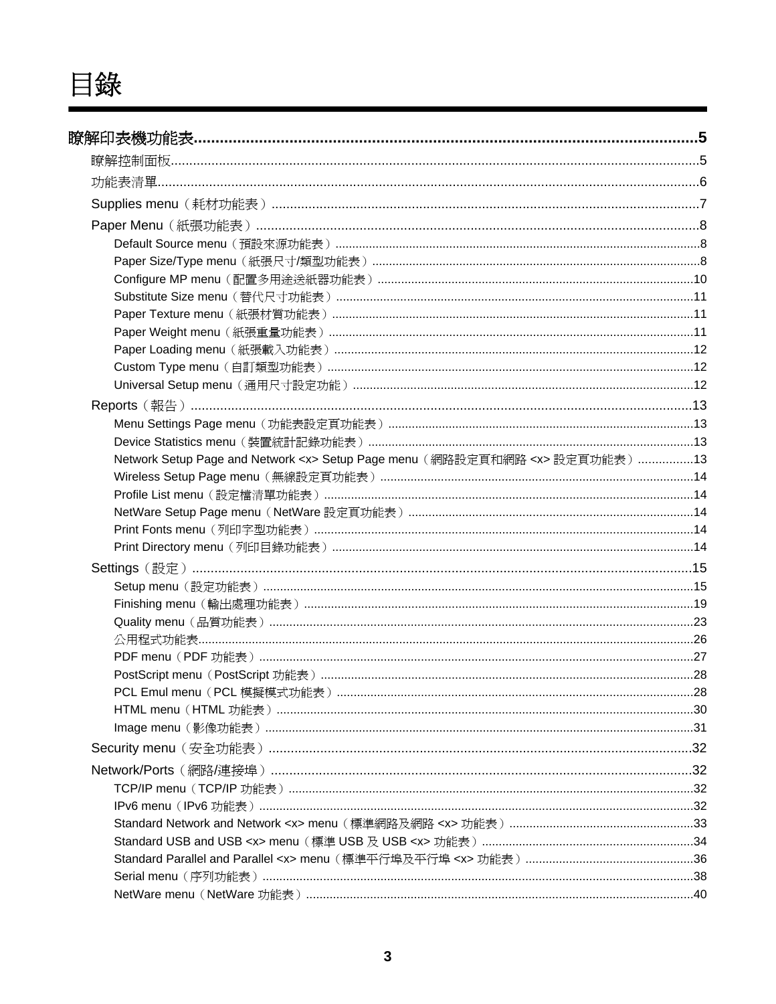目錄

| Paper Size/Type menu (紙張尺寸/類型功能表) ………………………………………………………………………………………8                |  |
|-------------------------------------------------------------------------------------|--|
|                                                                                     |  |
| Substitute Size menu (替代尺寸功能表) ……………………………………………………………………………………………11                |  |
| Paper Texture menu (紙張材質功能表) ……………………………………………………………………………………………11                  |  |
|                                                                                     |  |
| Paper Loading menu (紙張載入功能表) ……………………………………………………………………………………………12                  |  |
|                                                                                     |  |
| Universal Setup menu (通用尺寸設定功能) ………………………………………………………………………………………12                 |  |
|                                                                                     |  |
| Menu Settings Page menu (功能表設定頁功能表) ……………………………………………………………………………13                 |  |
|                                                                                     |  |
| Network Setup Page and Network <x> Setup Page menu (網路設定頁和網路 <x> 設定頁功能表) 13</x></x> |  |
|                                                                                     |  |
|                                                                                     |  |
|                                                                                     |  |
|                                                                                     |  |
|                                                                                     |  |
|                                                                                     |  |
|                                                                                     |  |
|                                                                                     |  |
|                                                                                     |  |
|                                                                                     |  |
|                                                                                     |  |
|                                                                                     |  |
|                                                                                     |  |
|                                                                                     |  |
|                                                                                     |  |
|                                                                                     |  |
|                                                                                     |  |
|                                                                                     |  |
|                                                                                     |  |
|                                                                                     |  |
|                                                                                     |  |
|                                                                                     |  |
|                                                                                     |  |
|                                                                                     |  |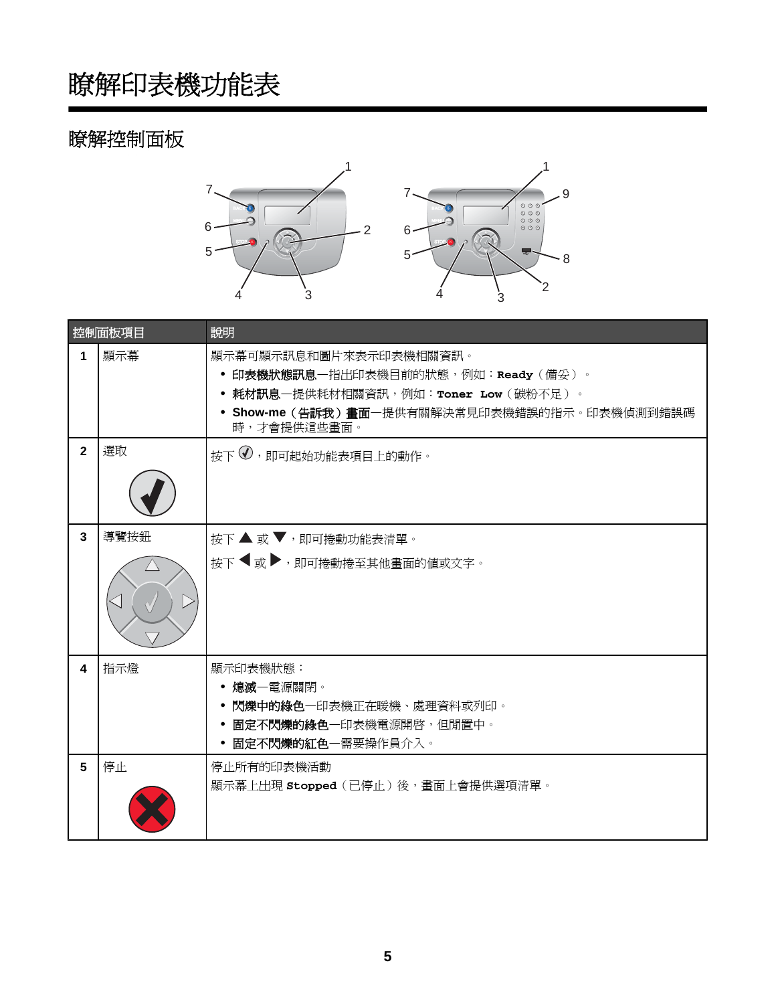# <span id="page-4-0"></span>瞭解控制面板



|                | 控制面板項目 | 說明                                                                                                                                                                 |
|----------------|--------|--------------------------------------------------------------------------------------------------------------------------------------------------------------------|
| 1              | 顯示幕    | 顯示幕可顯示訊息和圖片來表示印表機相關資訊。<br>• 印表機狀態訊息一指出印表機目前的狀態,例如:Ready(備妥)。<br>• 耗材訊息一提供耗材相關資訊,例如:Toner Low(碳粉不足)。<br>• Show-me (告訴我)畫面一提供有關解決常見印表機錯誤的指示。印表機偵測到錯誤碼<br>時,才會提供這些畫面。 |
| $\overline{2}$ | 選取     | 按下(U),即可起始功能表項目上的動作。                                                                                                                                               |
| $\mathbf{3}$   | 導覽按鈕   | 按下 ▲ 或 ▼, 即可捲動功能表清單。<br>接下 ◀ 或▶,即可捲動捲至其他畫面的值或文字。                                                                                                                   |
| 4              | 指示燈    | 顯示印表機狀態:<br>• 熄滅一電源關閉。<br>• 閃爍中的綠色—印表機正在暖機、處理資料或列印。<br>固定不閃爍的綠色一印表機電源開啓,但閒置中。<br>• 固定不閃爍的紅色一需要操作員介入。                                                               |
| 5              | 停止     | 停止所有的印表機活動<br>顯示幕上出現 Stopped (已停止) 後,畫面上會提供選項清單。                                                                                                                   |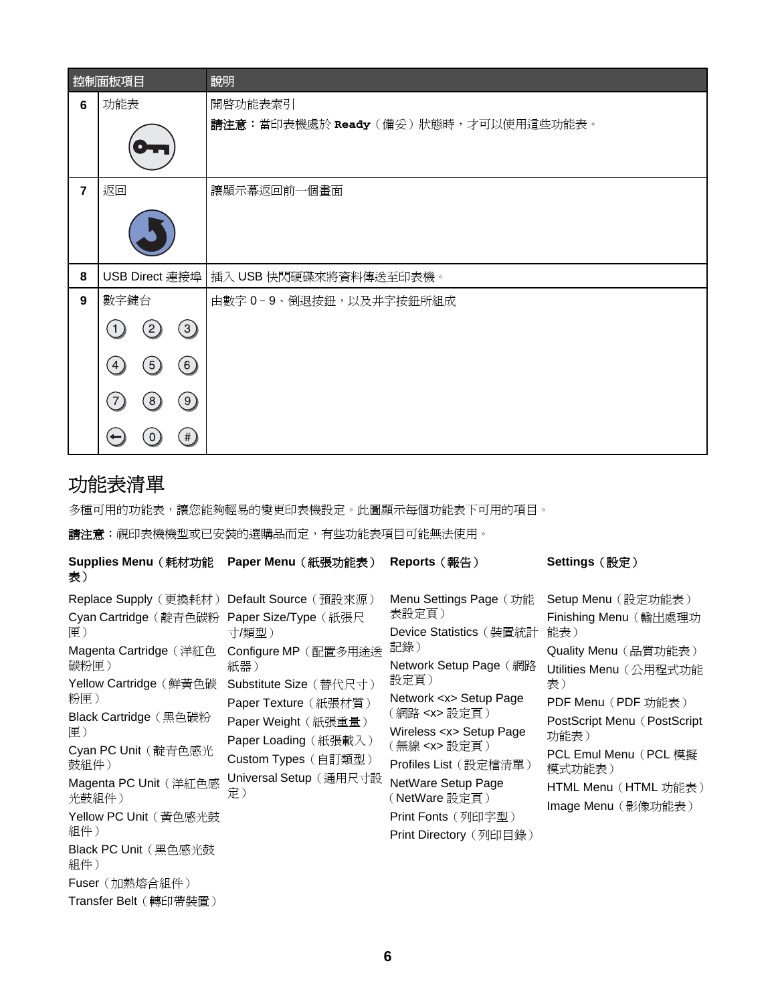<span id="page-5-0"></span>

|                | 控制面板項目                               | 說明                                             |
|----------------|--------------------------------------|------------------------------------------------|
| 6              | 功能表                                  | 開啓功能表索引<br>請注意:當印表機處於 Ready(備妥)狀態時,才可以使用這些功能表。 |
|                |                                      |                                                |
| $\overline{7}$ | 返回                                   | 讓顯示幕返回前一個畫面                                    |
|                |                                      |                                                |
| 8              |                                      | USB Direct 連接埠   插入 USB 快閃硬碟來將資料傳送至印表機。        |
| 9              | 數字鍵台                                 | 由數字 0-9、倒退按鈕,以及井字按鈕所組成                         |
|                | (3)<br>(2)<br>1)                     |                                                |
|                | (6)<br>(5)<br>$\left 4\right\rangle$ |                                                |
|                | (9)<br>(8)<br>$\overline{7}$         |                                                |
|                | #                                    |                                                |

# 功能表清單

多種可用的功能表,讓您能夠輕易的變更印表機設定。此圖顯示每個功能表下可用的項目。

請注意: 視印表機機型或已安裝的選購品而定, 有些功能表項目可能無法使用。

| Supplies Menu (耗材功能<br>表)                                                                                                                                                                                                                                                                                  | Paper Menu (紙張功能表)                                                                                                                                                                                                                            | Reports (報告)                                                                                                                                                                                                                                                                                                                     | Settings (設定)                                                                                                                                                                                                                                            |
|------------------------------------------------------------------------------------------------------------------------------------------------------------------------------------------------------------------------------------------------------------------------------------------------------------|-----------------------------------------------------------------------------------------------------------------------------------------------------------------------------------------------------------------------------------------------|----------------------------------------------------------------------------------------------------------------------------------------------------------------------------------------------------------------------------------------------------------------------------------------------------------------------------------|----------------------------------------------------------------------------------------------------------------------------------------------------------------------------------------------------------------------------------------------------------|
| Replace Supply (更換耗材)<br>Cyan Cartridge (靛青色碳粉<br> 甲.)<br>Magenta Cartridge (洋紅色<br>碳粉匣)<br>Yellow Cartridge (鮮黃色碳<br>粉匣)<br>Black Cartridge (黑色碳粉<br>匣)<br>Cyan PC Unit (靛青色感光<br>鼓組件)<br>Magenta PC Unit (洋紅色感<br>光鼓組件)<br>Yellow PC Unit (黃色感光鼓<br>組件)<br>Black PC Unit (黑色感光鼓<br>組件)<br>Fuser (加熱熔合組件) | Default Source (預設來源)<br>Paper Size/Type (紙張尺<br>寸/類型)<br>Configure MP (配置多用途送<br>紙器)<br>Substitute Size (替代尺寸)<br>Paper Texture (紙張材質)<br>Paper Weight (紙張重量)<br>Paper Loading (紙張載入)<br>Custom Types (自訂類型)<br>Universal Setup (通用尺寸設<br>定) | Menu Settings Page (功能<br>表設定頁)<br>Device Statistics (裝置統計<br>記錄)<br>Network Setup Page (網路<br>設定頁)<br>Network <x> Setup Page<br/>(網路 <x> 設定頁)<br/>Wireless <x> Setup Page<br/>(無線 <x> 設定頁)<br/>Profiles List (設定檔清單)<br/>NetWare Setup Page<br/>(NetWare 設定頁)<br/>Print Fonts (列印字型)<br/>Print Directory (列印目錄)</x></x></x></x> | Setup Menu (設定功能表)<br>Finishing Menu (輸出處理功<br>能表)<br>Quality Menu (品質功能表)<br>Utilities Menu (公用程式功能<br>表)<br>PDF Menu (PDF 功能表)<br>PostScript Menu (PostScript<br>功能表)<br>PCL Emul Menu (PCL 模擬<br>模式功能表)<br>HTML Menu (HTML 功能表)<br>Image Menu (影像功能表) |
| Transfer Belt(轉印帶裝置)                                                                                                                                                                                                                                                                                       |                                                                                                                                                                                                                                               |                                                                                                                                                                                                                                                                                                                                  |                                                                                                                                                                                                                                                          |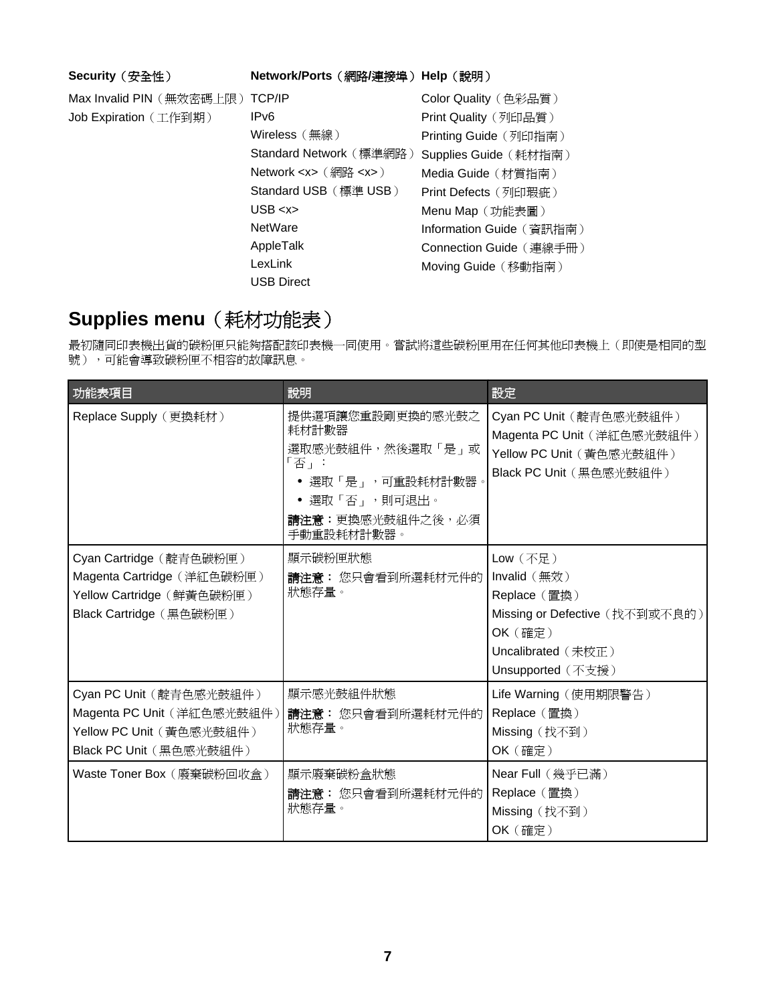#### <span id="page-6-0"></span>**Security**(安全性) **Network/Ports**(網路**/**連接埠)**Help**(說明)

Max Invalid PIN(無效密碼上限) TCP/IP Job Expiration(工作到期)

IPv6 Wireless(無線) Standard Network (標準網路) Network <x>(網路 <x>) Standard USB(標準 USB) USB <x> **NetWare** AppleTalk LexLink USB Direct Color Quality(色彩品質) Print Quality (列印品質) Printing Guide (列印指南) Supplies Guide (耗材指南) Media Guide (材質指南) Print Defects(列印瑕疵) Menu Map (功能表圖) Information Guide (資訊指南) Connection Guide(連線手冊) Moving Guide (移動指南)

# **Supplies menu**(耗材功能表)

最初隨同印表機出貨的碳粉匣只能夠搭配該印表機一同使用。嘗試將這些碳粉匣用在任何其他印表機上(即使是相同的型 號),可能會導致碳粉匣不相容的故障訊息。

| 功能表項目                                                                                                         | 說明                                                                                                                             | 設定                                                                                                                                   |
|---------------------------------------------------------------------------------------------------------------|--------------------------------------------------------------------------------------------------------------------------------|--------------------------------------------------------------------------------------------------------------------------------------|
| Replace Supply (更換耗材)                                                                                         | 提供選項讓您重設剛更換的感光鼓之<br>耗材計數器<br>選取感光鼓組件,然後選取「是」或<br>「否」:<br>● 選取「是」,可重設耗材計數器。<br>• 選取「否」,則可退出。<br>請注意:更換感光鼓組件之後, 必須<br>手動重設耗材計數器。 | Cyan PC Unit (靛青色感光鼓組件)<br>Magenta PC Unit (洋紅色感光鼓組件)<br>Yellow PC Unit (黃色感光鼓組件)<br>Black PC Unit (黑色感光鼓組件)                         |
| Cyan Cartridge (靛青色碳粉匣)<br>Magenta Cartridge (洋紅色碳粉匣)<br>Yellow Cartridge (鮮黃色碳粉匣)<br>Black Cartridge (黑色碳粉匣) | 顯示碳粉匣狀態<br>請注意: 您只會看到所選耗材元件的<br>狀態存量。                                                                                          | Low (<br>Invalid (無效)<br>Replace (置換)<br>Missing or Defective (找不到或不良的)<br><b>OK</b> (確定)<br>Uncalibrated (未校正)<br>Unsupported (不支援) |
| Cyan PC Unit (靛青色感光鼓組件)<br>Magenta PC Unit (洋紅色感光鼓組件)<br>Yellow PC Unit (黃色感光鼓組件)<br>Black PC Unit (黑色感光鼓組件)  | 顯示感光鼓組件狀態<br>請注意: 您只會看到所選耗材元件的<br>狀態存量。                                                                                        | Life Warning (使用期限警告)<br>Replace (置換)<br>Missing (找不到)<br><b>OK</b> (確定)                                                             |
| Waste Toner Box (廢棄碳粉回收盒)                                                                                     | 顯示廢棄碳粉盒狀態<br>請注意: 您只會看到所選耗材元件的<br>狀態存量。                                                                                        | Near Full (幾乎已滿)<br>Replace (置換)<br>Missing (找不到)<br><b>OK</b> (確定)                                                                  |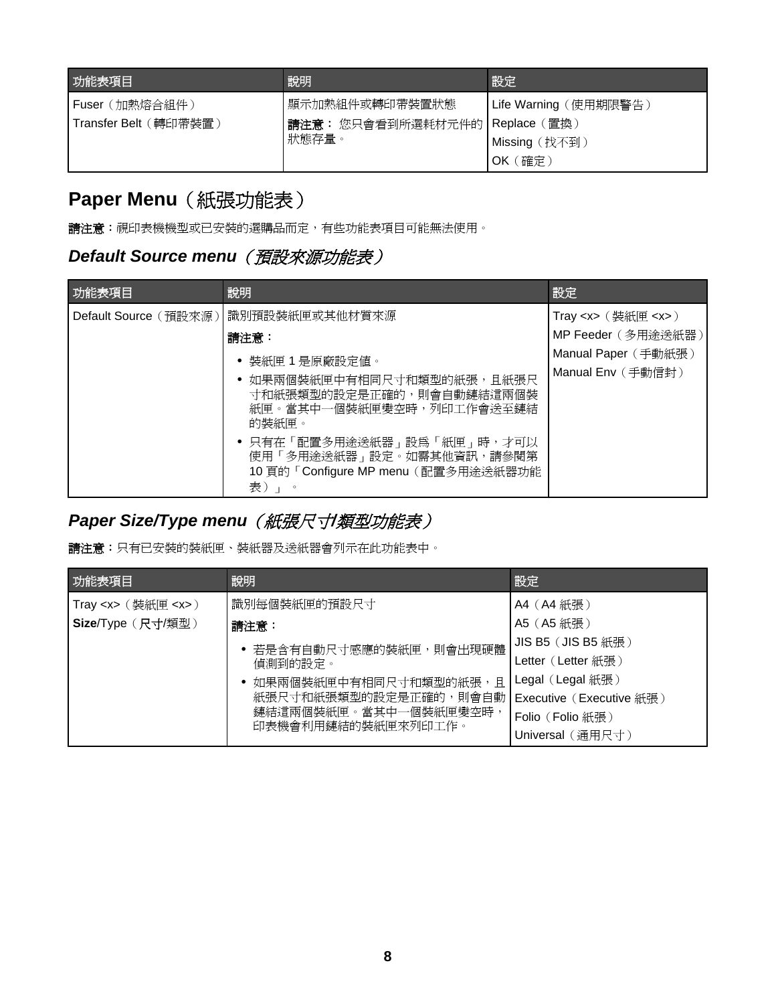<span id="page-7-0"></span>

| 功能表項目                 | 說明                              | 設定                    |
|-----------------------|---------------------------------|-----------------------|
| Fuser(加熱熔合組件)         | 顯示加熱組件或轉印帶裝置狀態                  | Life Warning (使用期限警告) |
| Transfer Belt (轉印帶裝置) | 請注意:您只會看到所選耗材元件的   Replace (置換) |                       |
|                       | 狀態存量。                           | Missing (找不到)         |
|                       |                                 | (確定)<br>OK            |

# **Paper Menu** (紙張功能表)

**請注意:**視印表機機型或已安裝的選購品而定,有些功能表項目可能無法使用。

# **Default Source menu** (預設來源功能表)

| 功能表項目                 | 說明                                                                                                                                                                                                                  | 設定                                                                            |
|-----------------------|---------------------------------------------------------------------------------------------------------------------------------------------------------------------------------------------------------------------|-------------------------------------------------------------------------------|
| Default Source (預設來源) | 識別預設裝紙匣或其他材質來源<br>請注意:                                                                                                                                                                                              | Tray <x> <math>(</math> 装紙匣 <x> <math>)</math><br/>MP Feeder (多用途送紙器)</x></x> |
|                       | 裝紙匣 1 是原廠設定値。<br>如果兩個裝紙匣中有相同尺寸和類型的紙張,且紙張尺<br>寸和紙張類型的設定是正確的,則會自動鏈結這兩個裝<br>紙匣。當其中一個裝紙匣變空時,列印工作會送至鏈結<br>的裝紙匣。<br>• 只有在「配置多用途送紙器」設為「紙匣」時,才可以<br>使用「多用途送紙器」設定。如需其他資訊,請參閱第<br>10 頁的「Configure MP menu (配置多用途送紙器功能<br>表)」。 | Manual Paper (手動紙張)<br>Manual Env (手動信封)                                      |

# Paper Size/Type menu (紙張尺寸/類型功能表)

請注意:只有已安裝的裝紙匣、裝紙器及送紙器會列示在此功能表中。

| 功能表項目                            | 說明                                         | 設定                       |
|----------------------------------|--------------------------------------------|--------------------------|
| Tray < $x$ > $($ 装紙匣 < $x$ > $)$ | 識別每個裝紙匣的預設尺寸                               | A4 (A4 紙張)               |
| Size/Type (尺寸/類型)                | 請注意:                                       | A5 (A5紙張)                |
|                                  | • 若是含有自動尺寸感應的裝紙匣,則會出現硬體                    | $JIS B5 (JIS B5$ 紙張      |
|                                  | 偵測到的設定。                                    | Letter (Letter 紙張)       |
|                                  | • 如果兩個裝紙匣中有相同尺寸和類型的紙張,且                    | Legal (Legal 紙張 )        |
|                                  | 紙張尺寸和紙張類型的設定是正確的,則會自動                      | Executive (Executive 紙張) |
|                                  | 鏈結這兩個裝紙匣。當其中一個裝紙匣變空時<br>印表機會利用鏈結的裝紙匣來列印工作。 | Folio (Folio 紙張)         |
|                                  |                                            | Universal (通用尺寸)         |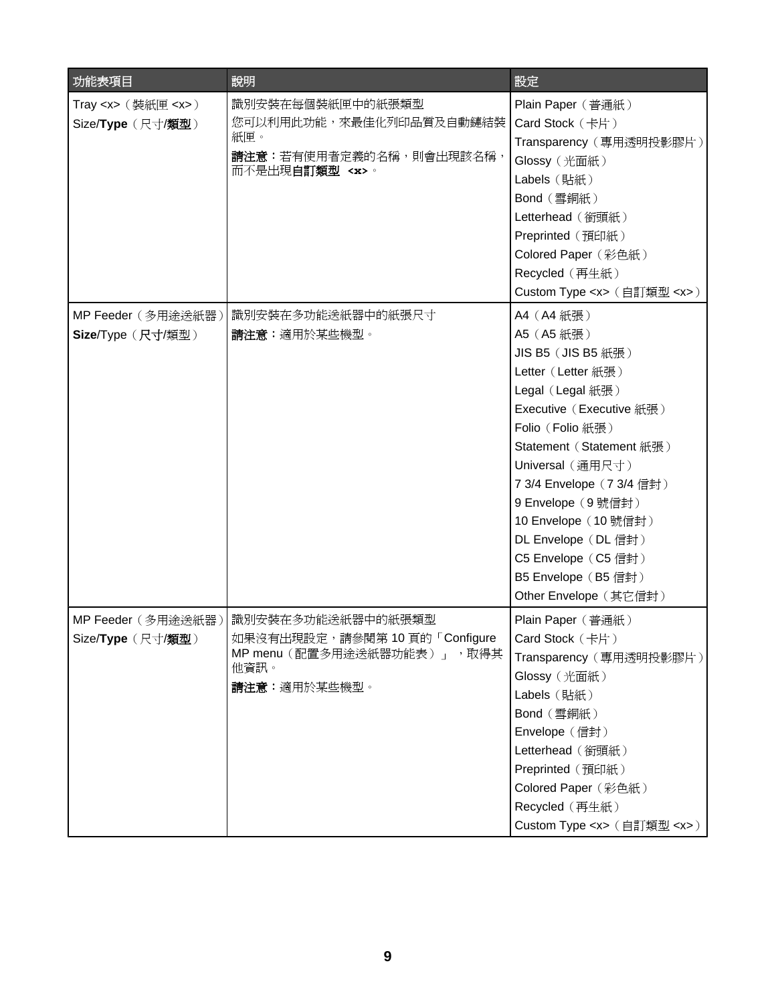| 功能表項目                      | 說明                              | 設定                                 |
|----------------------------|---------------------------------|------------------------------------|
| Tray <x> (裝紙匣 <x>)</x></x> | 識別安裝在每個裝紙匣中的紙張類型                | Plain Paper (普通紙)                  |
| Size/Type (尺寸/類型)          | 您可以利用此功能,來最佳化列印品質及自動鏈結裝         | Card Stock (卡片)                    |
|                            | 紙匣。                             | Transparency (專用透明投影膠片)            |
|                            | <b>請注意:</b> 若有使用者定義的名稱,則會出現該名稱, | Glossy (光面紙)                       |
|                            | 而不是出現 <b>自訂類型 <x></x></b> 。     | Labels (貼紙)                        |
|                            |                                 | Bond (雪銅紙)                         |
|                            |                                 | Letterhead (銜頭紙)                   |
|                            |                                 | Preprinted (預印紙)                   |
|                            |                                 | Colored Paper (彩色紙)                |
|                            |                                 | Recycled (再生紙)                     |
|                            |                                 | Custom Type <x> (自訂類型 <x>)</x></x> |
| MP Feeder (多用途送紙器)         | 識別安裝在多功能送紙器中的紙張尺寸               | A4 (A4紙張)                          |
| Size/Type (尺寸/類型)          | 請注意:適用於某些機型。                    | A5 (A5 紙張)                         |
|                            |                                 | JIS B5 (JIS B5 紙張)                 |
|                            |                                 | Letter (Letter 紙張)                 |
|                            |                                 | Legal (Legal 紙張)                   |
|                            |                                 | Executive (Executive 紙張)           |
|                            |                                 | Folio (Folio 紙張)                   |
|                            |                                 | Statement (Statement 紙張)           |
|                            |                                 | Universal (通用尺寸)                   |
|                            |                                 | 7 3/4 Envelope (7 3/4 信封)          |
|                            |                                 | 9 Envelope (9號信封)                  |
|                            |                                 | 10 Envelope (10 號信封)               |
|                            |                                 | DL Envelope (DL 信封)                |
|                            |                                 | C5 Envelope (C5 信封)                |
|                            |                                 | B5 Envelope (B5信封)                 |
|                            |                                 | Other Envelope (其它信封)              |
| MP Feeder (多用途送紙器)         | 識別安裝在多功能送紙器中的紙張類型               | Plain Paper (普通紙)                  |
| Size/Type (尺寸/類型)          | 如果沒有出現設定,請參閱第 10 頁的「Configure   | Card Stock $($ 卡片)                 |
|                            | MP menu (配置多用途送紙器功能表) 」<br>,取得其 | Transparency (專用透明投影膠片)            |
|                            | 他資訊。                            | Glossy (光面紙)                       |
|                            | 請注意: 適用於某些機型。                   | Labels (貼紙)                        |
|                            |                                 | Bond (雪銅紙)                         |
|                            |                                 | Envelope (信封)                      |
|                            |                                 | Letterhead (銜頭紙)                   |
|                            |                                 | Preprinted (預印紙)                   |
|                            |                                 | Colored Paper (彩色紙)                |
|                            |                                 | Recycled (再生紙)                     |
|                            |                                 | Custom Type <x> (自訂類型 <x>)</x></x> |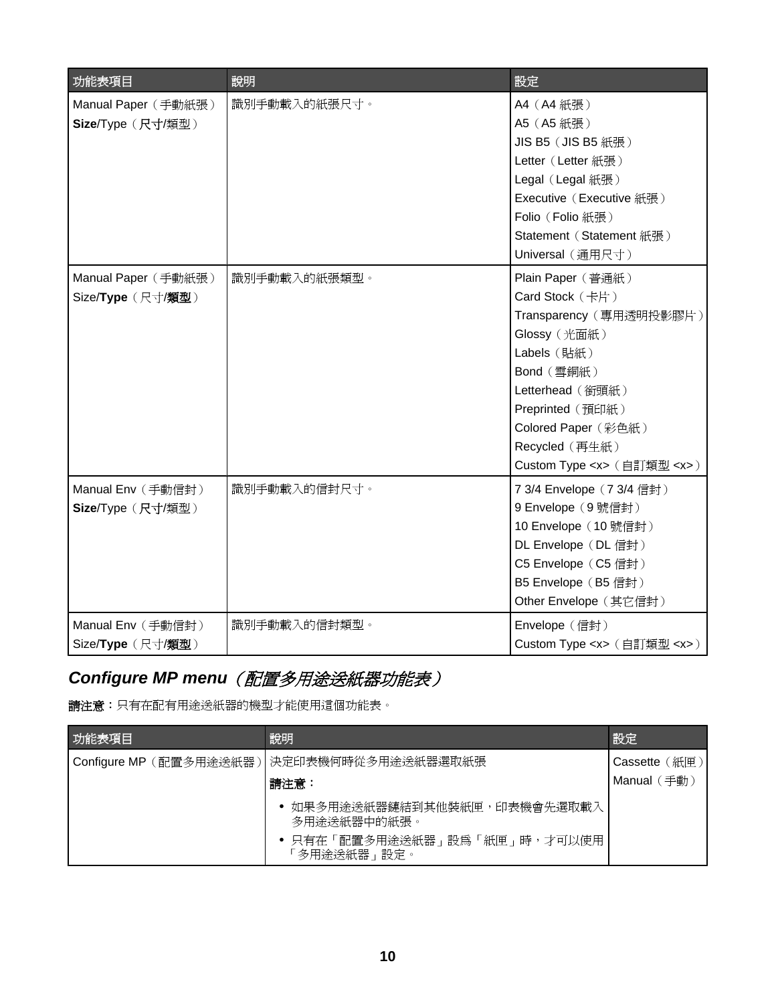<span id="page-9-0"></span>

| 功能表項目               | 說明           | 設定                                 |
|---------------------|--------------|------------------------------------|
| Manual Paper (手動紙張) | 識別手動載入的紙張尺寸。 | A4 (A4紙張)                          |
| Size/Type (尺寸/類型)   |              | A5 (A5紙張)                          |
|                     |              | JIS B5 (JIS B5 紙張)                 |
|                     |              | Letter (Letter 紙張)                 |
|                     |              | Legal (Legal 紙張)                   |
|                     |              | Executive (Executive 紙張)           |
|                     |              | Folio (Folio 紙張)                   |
|                     |              | Statement (Statement 紙張)           |
|                     |              | Universal (通用尺寸)                   |
| Manual Paper (手動紙張) | 識別手動載入的紙張類型。 | Plain Paper (普通紙)                  |
| Size/Type (尺寸/類型)   |              | Card Stock (卡片)                    |
|                     |              | Transparency (專用透明投影膠片)            |
|                     |              | Glossy (光面紙)                       |
|                     |              | Labels (貼紙)                        |
|                     |              | Bond (雪銅紙)                         |
|                     |              | Letterhead (銜頭紙)                   |
|                     |              | Preprinted (預印紙)                   |
|                     |              | Colored Paper (彩色紙)                |
|                     |              | Recycled (再生紙)                     |
|                     |              | Custom Type <x> (自訂類型 <x>)</x></x> |
| Manual Env (手動信封)   | 識別手動載入的信封尺寸。 | 7 3/4 Envelope (7 3/4 信封)          |
| Size/Type (尺寸/類型)   |              | 9 Envelope (9號信封)                  |
|                     |              | 10 Envelope (10 號信封)               |
|                     |              | DL Envelope (DL 信封)                |
|                     |              | C5 Envelope (C5 信封)                |
|                     |              | B5 Envelope (B5信封)                 |
|                     |              | Other Envelope (其它信封)              |
| Manual Env (手動信封)   | 識別手動載入的信封類型。 | Envelope (信封)                      |
| Size/Type (尺寸/類型)   |              | Custom Type <x> (自訂類型 <x>)</x></x> |

# *Configure MP menu*(配置多用途送紙器功能表)

請注意:只有在配有用途送紙器的機型才能使用這個功能表。

| 功能表項目 | 說明                                          | 設定                 |
|-------|---------------------------------------------|--------------------|
|       | Configure MP (配置多用途送紙器)  決定印表機何時從多用途送紙器選取紙張 | 〔紙匣〕<br>Cassette ( |
|       | 請注意:                                        | 〔手動〕<br>Manual (   |
|       | • 如果多用途送紙器鏈結到其他裝紙匣,印表機會先選取載入<br>多用途送紙器中的紙張。 |                    |
|       | 只有在「配置多用途送紙器」設為「紙匣」時,才可以使用<br>多用途送紙器﹔設定。    |                    |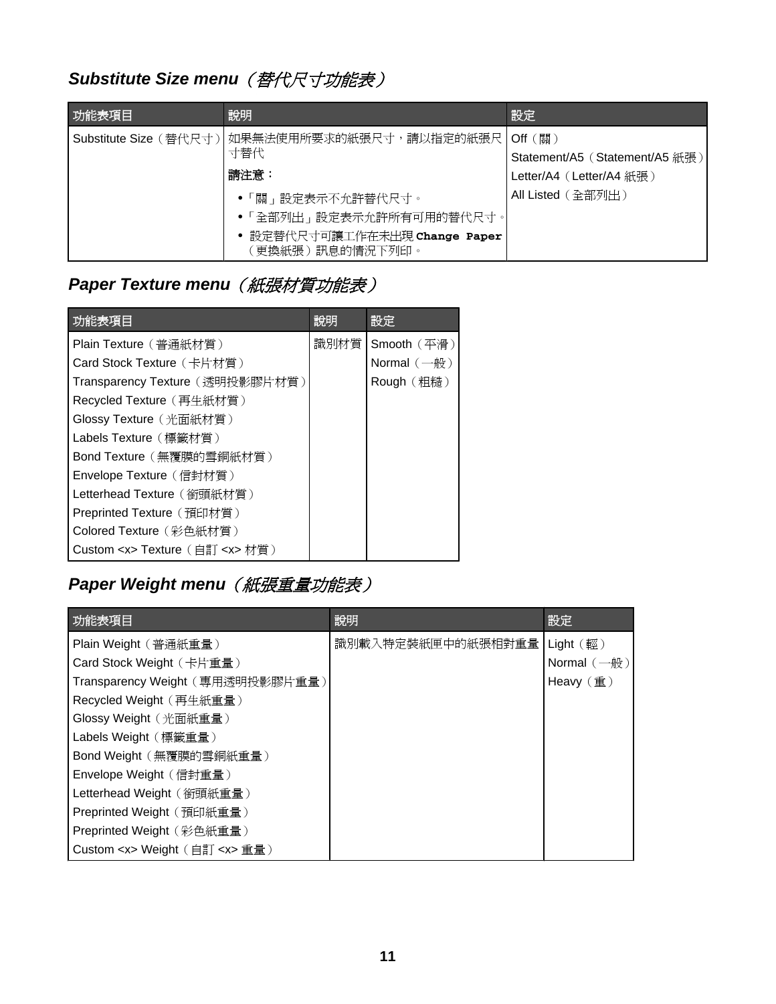# <span id="page-10-0"></span>**Substitute Size menu** (替代尺寸功能表)

| 功能表項目 | 說明                                                                | 設定                             |
|-------|-------------------------------------------------------------------|--------------------------------|
|       | Substitute Size (替代尺寸)   如果無法使用所要求的紙張尺寸,請以指定的紙張尺   Off (關)<br>寸替代 | Statement/A5 (Statement/A5 紙張) |
|       | 請注意:                                                              | Letter/A4 (Letter/A4 紙張)       |
|       | ●「關」設定表示不允許替代尺寸。                                                  | All Listed (全部列出)              |
|       | • 「全部列出」設定表示允許所有可用的替代尺寸。                                          |                                |
|       | 設定替代尺寸可讓工作在未出現 Change Paper<br>更換紙張)訊息的情況下列印。                     |                                |

# **Paper Texture menu** (紙張材質功能表)

| 功能表項目                                  | 說明   | 設定                 |
|----------------------------------------|------|--------------------|
| Plain Texture (普通紙材質)                  | 識別材質 | Smooth (平滑)        |
| Card Stock Texture (卡片材質)              |      | Normal $(-\oplus)$ |
| Transparency Texture (透明投影膠片材質)        |      | Rough (粗糙)         |
| Recycled Texture (再生紙材質)               |      |                    |
| Glossy Texture (光面紙材質)                 |      |                    |
| Labels Texture (標籤材質)                  |      |                    |
| Bond Texture (無覆膜的雪銅紙材質)               |      |                    |
| Envelope Texture (信封材質)                |      |                    |
| Letterhead Texture (銜頭紙材質)             |      |                    |
| Preprinted Texture (預印材質)              |      |                    |
| Colored Texture(彩色紙材質)                 |      |                    |
| Custom <x> Texture (自訂 <x> 材質)</x></x> |      |                    |

# **Paper Weight menu** (紙張重量功能表)

| 功能表項目                                 | 說明                | 設定                          |
|---------------------------------------|-------------------|-----------------------------|
| Plain Weight (普通紙重量)                  | 識別載入特定裝紙匣中的紙張相對重量 | Light $(\nvert \mathbb{E})$ |
| Card Stock Weight (卡片重量)              |                   | Normal $(-$ 般)              |
| Transparency Weight (專用透明投影膠片重量)      |                   | Heavy $(\nexists)$          |
| Recycled Weight (再生紙重量)               |                   |                             |
| Glossy Weight (光面紙重量)                 |                   |                             |
| Labels Weight (標籤重量)                  |                   |                             |
| Bond Weight (無覆膜的雪銅紙重量)               |                   |                             |
| Envelope Weight (信封重量)                |                   |                             |
| Letterhead Weight (銜頭紙重量)             |                   |                             |
| Preprinted Weight (預印紙重量)             |                   |                             |
| Preprinted Weight (彩色紙重量)             |                   |                             |
| Custom <x> Weight (自訂 <x> 重量)</x></x> |                   |                             |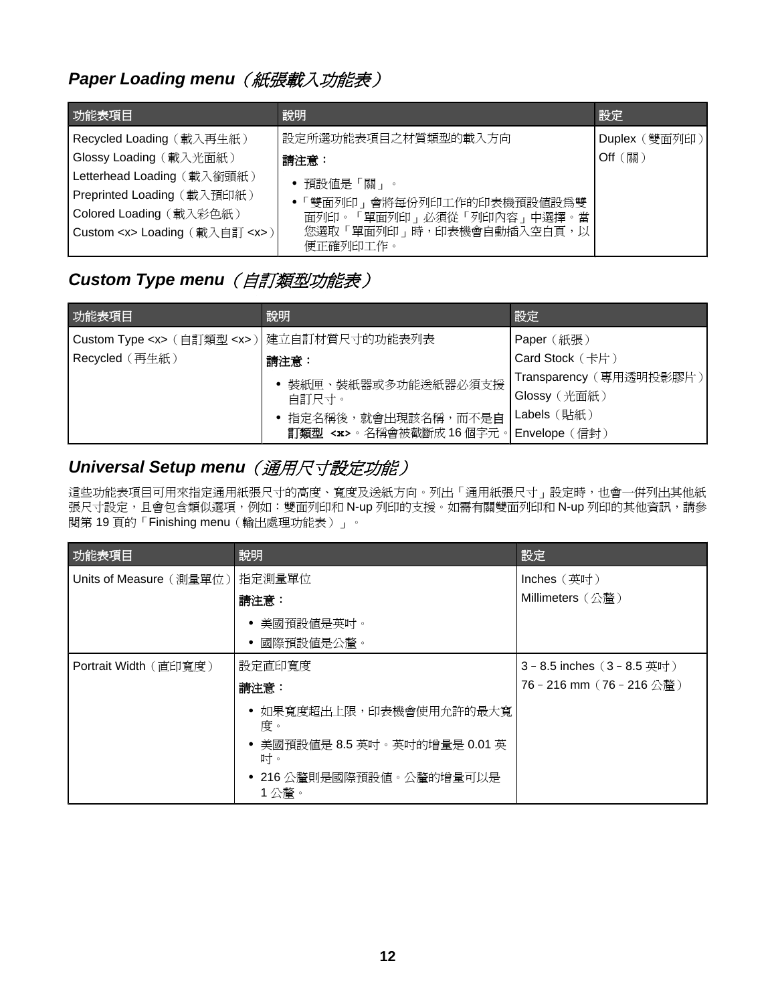## <span id="page-11-0"></span>Paper Loading menu (紙張載入功能表)

| 功能表項目                                 | 說明                        | 設定            |
|---------------------------------------|---------------------------|---------------|
| Recycled Loading (載入再生紙)              | 設定所選功能表項目之材質類型的載入方向       | Duplex (雙面列印) |
| Glossy Loading (載入光面紙)                | 請注意:                      | Off (關)       |
| Letterhead Loading (載入銜頭紙)            | • 預設値是「關」。                |               |
| Preprinted Loading (載入預印紙)            | •「雙面列印」會將每份列印工作的印表機預設值設爲雙 |               |
| Colored Loading (載入彩色紙)               | 面列印。「單面列印」必須從「列印內容」中選擇。當  |               |
| Custom <x> Loading (載入自訂 <x>)</x></x> | 您選取「單面列印」時,印表機會自動插入空白頁,以  |               |
|                                       | 便正確列印工作。                  |               |

## **Custom Type menu** (自訂類型功能表)

| 功能表項目                                             | 說明                                       | 設定                        |
|---------------------------------------------------|------------------------------------------|---------------------------|
| Custom Type <x> (自訂類型 <x>) 建立自訂材質尺寸的功能表列表</x></x> |                                          | Paper (紙張)                |
| Recycled (再生紙)                                    | 請注意:                                     | Card Stock (卡片)           |
|                                                   | 裝紙匣、裝紙器或多功能送紙器必須支援                       | Transparency (專用透明投影膠片)   |
|                                                   | 自訂尺寸。                                    | Glossy (光面紙)              |
|                                                   | • 指定名稱後,就會出現該名稱,而不是自                     | Labels $(\frac{11}{200})$ |
|                                                   | 訂類型 <x>。名稱會被截斷成 16個字元。 Envelope (信封)</x> |                           |

## *Universal Setup menu*(通用尺寸設定功能)

這些功能表項目可用來指定通用紙張尺寸的高度、寬度及送紙方向。列出「通用紙張尺寸」設定時,也會一併列出其他紙 張尺寸設定,且會包含類似選項,例如:雙面列印和 N-up 列印的支援。如需有關雙面列印和 N-up 列印的其他資訊,請參 閱第 19 頁的「Finishing menu[\(輸出處理功能表\)」。](#page-18-0)

| 功能表項目                   | 說明                                  | 設定                          |
|-------------------------|-------------------------------------|-----------------------------|
| Units of Measure (測量單位) | 指定測量單位                              | Inches (英时)                 |
|                         | 請注意:                                | Millimeters (公釐)            |
|                         | • 美國預設値是英吋。<br>國際預設値是公釐。            |                             |
| Portrait Width (直印寬度)   | 設定直印寬度                              | 3 - 8.5 inches (3 - 8.5 英吋) |
|                         | 請注意:                                | 76 - 216 mm(76 - 216 公釐)    |
|                         | ● 如果寬度超出上限,印表機會使用允許的最大寬<br>度。       |                             |
|                         | ● 美國預設値是 8.5 英吋。英吋的增量是 0.01 英<br>叶。 |                             |
|                         | ● 216 公釐則是國際預設値。公釐的增量可以是<br>1公釐。    |                             |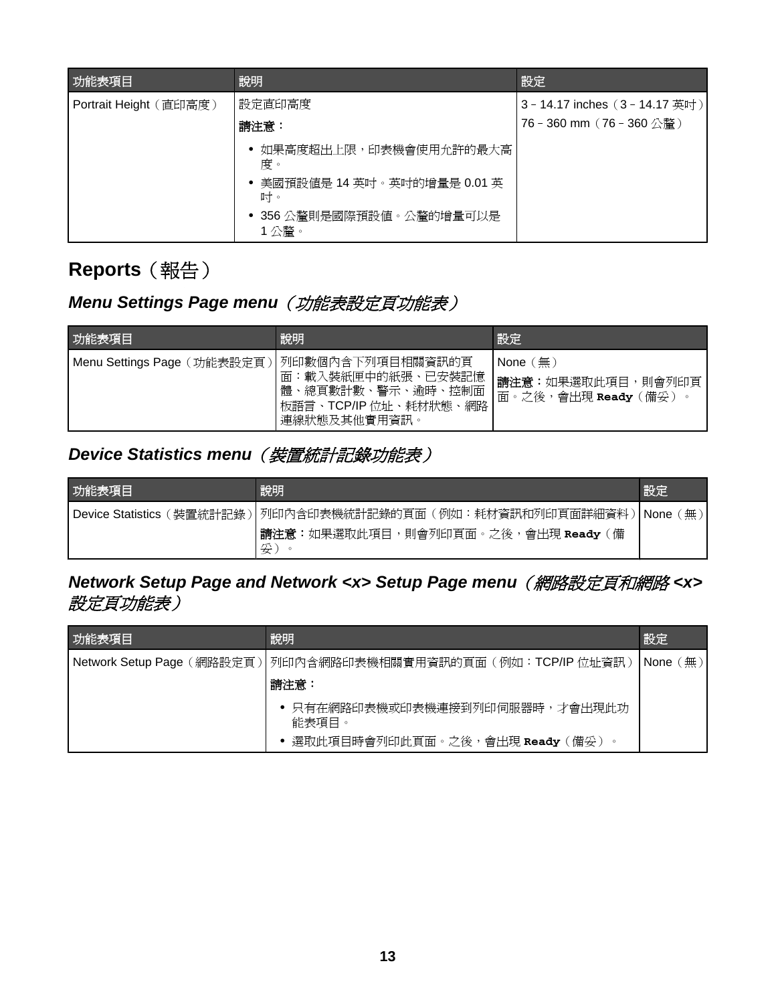<span id="page-12-0"></span>

| 功能表項目                  | 說明                                                                                                   | 設定                                                           |
|------------------------|------------------------------------------------------------------------------------------------------|--------------------------------------------------------------|
| Portrait Height (直印高度) | 設定直印高度<br>請注意:                                                                                       | 3 - 14.17 inches (3 - 14.17 英吋)<br>76 - 360 mm (76 - 360 公釐) |
|                        | 如果高度超出上限,印表機會使用允許的最大高<br>度。<br>美國預設値是 14 英吋。英吋的增量是 0.01 英<br>叶。<br>• 356 公釐則是國際預設値。公釐的增量可以是<br>1 公釐。 |                                                              |

# **Reports**(報告)

# **Menu Settings Page menu** (功能表設定頁功能表)

| 功能表項目                       | 說明                                                                                                         | 設定                                                            |
|-----------------------------|------------------------------------------------------------------------------------------------------------|---------------------------------------------------------------|
| Menu Settings Page (功能表設定頁) | 小列印數個內含下列項目相關資訊的頁<br>載入裝紙匣中的紙張、已安裝記憶<br>面<br>體、總頁數計數、警示、逾時、控制面<br>網路<br>板語言、TCP/IP 位址、耗材狀態<br>連線狀態及其他實用資訊。 | None $(\text{m})$<br>請注意:如果選取此項目,則會列印頁<br>面。之後,會出現 Ready (備妥) |

## **Device Statistics menu** (裝置統計記錄功能表)

| 功能表項目                | 說明                                        | 設定             |
|----------------------|-------------------------------------------|----------------|
| l Device Statistics( | (裝置統計記錄) 列印內含印表機統計記錄的頁面(例如:耗材資訊和列印頁面詳細資料) | ∣None ⊦<br>〔無〕 |
|                      | 請注意:如果選取此項目,則會列印頁面。之後,會出現 Ready(備<br>妥    |                |

## *Network Setup Page and Network <x> Setup Page menu*(網路設定頁和網路 *<x>* 設定頁功能表)

| 功能表項目 | 說明                                                              | 設定                          |
|-------|-----------------------------------------------------------------|-----------------------------|
|       | Network Setup Page (網路設定頁) 列印內含網路印表機相關實用資訊的頁面 (例如: TCP/IP 位址資訊) | $\mathsf{None}(\mathsf{m})$ |
|       | 請注意:                                                            |                             |
|       | 只有在網路印表機或印表機連接到列印伺服器時,才會出現此功<br>能表項目。                           |                             |
|       | 選取此項目時會列印此頁面。之後,會出現 Ready(備妥)                                   |                             |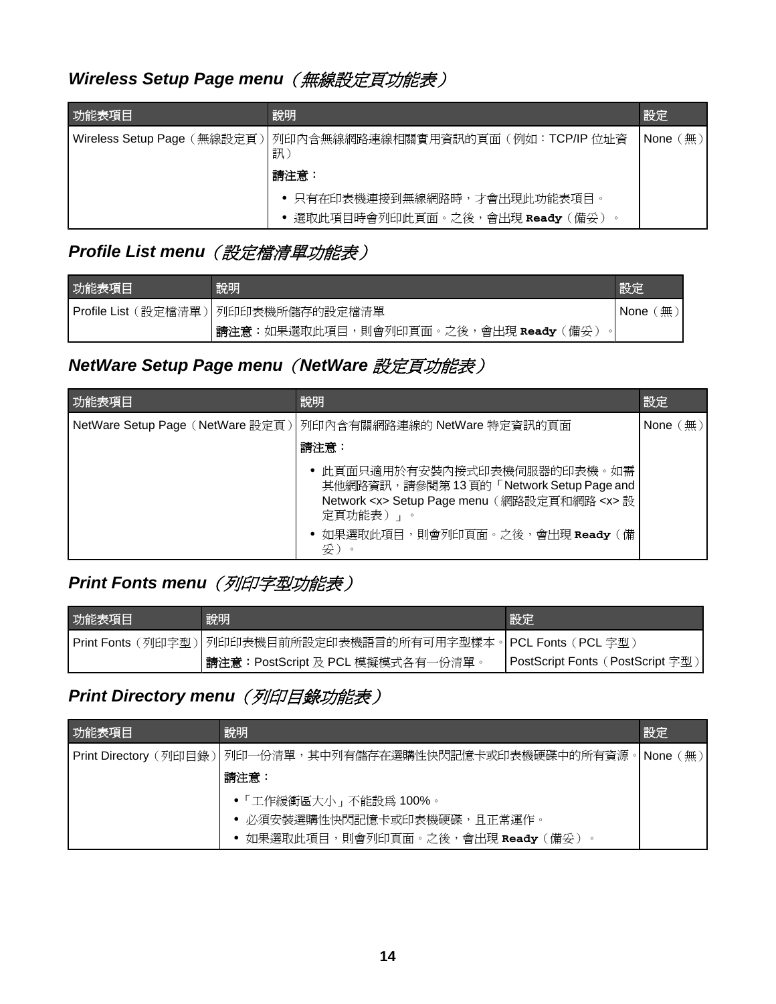## <span id="page-13-0"></span>Wireless Setup Page menu (無線設定頁功能表)

| 功能表項目 | 說明                                                                          | 設定            |
|-------|-----------------------------------------------------------------------------|---------------|
|       | Wireless Setup Page (無線設定頁) 列印內含無線網路連線相關實用資訊的頁面 (例如:TCP/IP 位址資<br>訊<br>請注意: | 〔無〕<br>None ( |
|       | ● 只有在印表機連接到無線網路時,才會出現此功能表項目。<br>選取此項目時會列印此頁面。之後,會出現 Ready (備妥)              |               |

## *Profile List menu*(設定檔清單功能表)

| 功能表項目 | 說明                                  | 設定               |
|-------|-------------------------------------|------------------|
|       | Profile List (設定檔清單) 列印印表機所儲存的設定檔清單 | 無<br><b>None</b> |
|       | 請注意:如果選取此項目,則會列印頁面。之後,會出現 Ready(備妥) |                  |

## *NetWare Setup Page menu*(*NetWare* 設定頁功能表)

| 功能表項目 | 說明                                                                                                                                                                                     | 設定                     |
|-------|----------------------------------------------------------------------------------------------------------------------------------------------------------------------------------------|------------------------|
|       | NetWare Setup Page (NetWare 設定頁) 列印內含有關網路連線的 NetWare 特定資訊的頁面                                                                                                                           | None $(\frac{\pi}{2})$ |
|       | 請注意:                                                                                                                                                                                   |                        |
|       | 此頁面只適用於有安裝內接式印表機伺服器的印表機。如需<br>其他網路資訊,請參閱第13頁的「Network Setup Page and<br>Network <x> Setup Page menu (網路設定頁和網路 <x> 設<br/>定頁功能表) 」。<br/>• 如果選取此項目,則會列印頁面。之後,會出現 Ready (備<br/>妥)。</x></x> |                        |

# *Print Fonts menu*(列印字型功能表)

| 功能表項目 | 說明                                                              | 「設定                              |
|-------|-----------------------------------------------------------------|----------------------------------|
|       | Print Fonts (列印字型) 列印印表機目前所設定印表機語言的所有可用字型樣本。 PCL Fonts (PCL 字型) |                                  |
|       | 請注意:PostScript 及 PCL 模擬模式各有一份清單。                                | PostScript Fonts (PostScript 字型) |

## **Print Directory menu** (列印目錄功能表)

| 功能表項目 | 說明                                                           | 設定        |  |
|-------|--------------------------------------------------------------|-----------|--|
|       | Print Directory (列印目錄)   列印一份清單,其中列有儲存在選購性快閃記憶卡或印表機硬碟中的所有資源。 | √ None(無) |  |
|       | 請注意:                                                         |           |  |
|       | •「工作緩衝區大小」不能設爲100%。                                          |           |  |
|       | ● 必須安裝選購性快閃記憶卡或印表機硬碟,且正常運作。                                  |           |  |
|       | ● 如果選取此項目,則會列印頁面。之後,會出現 Ready(備妥)                            |           |  |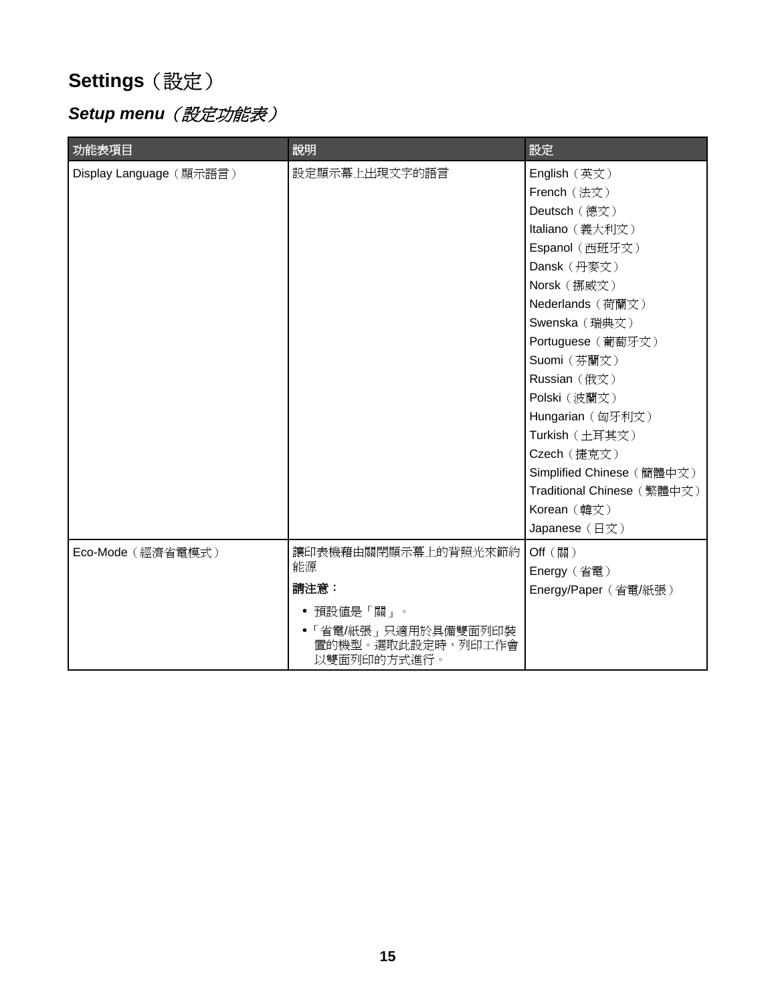# <span id="page-14-0"></span>**Settings**(設定)

# **Setup menu** (設定功能表)

| 功能表項目                   | 說明                                                        | 設定                         |
|-------------------------|-----------------------------------------------------------|----------------------------|
| Display Language (顯示語言) | 設定顯示幕上出現文字的語言                                             | English (英文)               |
|                         |                                                           | French (法文)                |
|                         |                                                           | Deutsch (德文)               |
|                         |                                                           | Italiano (義大利文)            |
|                         |                                                           | Espanol (西班牙文)             |
|                         |                                                           | Dansk (丹麥文)                |
|                         |                                                           | Norsk (挪威文)                |
|                         |                                                           | Nederlands (荷蘭文)           |
|                         |                                                           | Swenska (瑞典文)              |
|                         |                                                           | Portuguese (葡萄牙文)          |
|                         |                                                           | Suomi (芬蘭文)                |
|                         |                                                           | Russian (俄文)               |
|                         |                                                           | Polski (波蘭文)               |
|                         |                                                           | Hungarian (匈牙利文)           |
|                         |                                                           | Turkish (土耳其文)             |
|                         |                                                           | Czech (捷克文)                |
|                         |                                                           | Simplified Chinese (簡體中文)  |
|                         |                                                           | Traditional Chinese (繁體中文) |
|                         |                                                           | Korean (韓文)                |
|                         |                                                           | Japanese (日文)              |
| Eco-Mode (經濟省電模式)       | 讓印表機藉由關閉顯示幕上的背照光來節約                                       | Off (關)                    |
|                         | 能源                                                        | Energy (省電)                |
|                         | 請注意:                                                      | Energy/Paper (省電/紙張)       |
|                         | 預設値是「關」。<br>٠                                             |                            |
|                         | ● 「省電/紙張」 只適用於具備雙面列印裝<br>置的機型。選取此設定時,列印工作會<br>以雙面列印的方式進行。 |                            |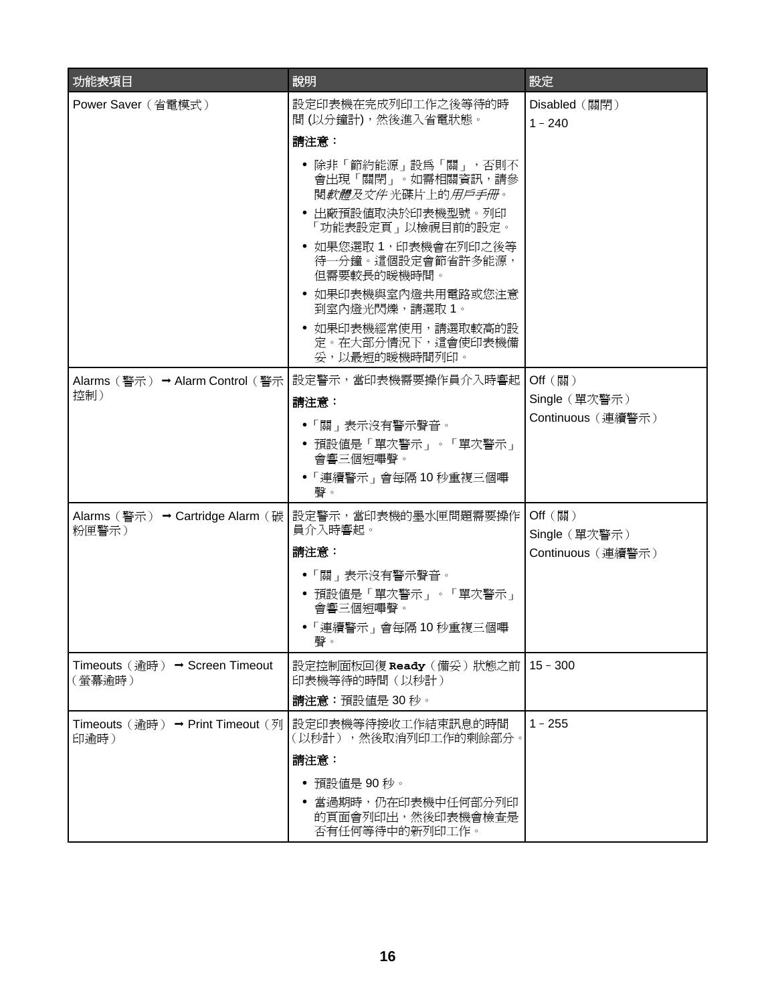| 功能表項目                                     | 說明                                                                                                                                                                                                                                                                                                  | 設定                                            |
|-------------------------------------------|-----------------------------------------------------------------------------------------------------------------------------------------------------------------------------------------------------------------------------------------------------------------------------------------------------|-----------------------------------------------|
| Power Saver (省電模式)                        | 設定印表機在完成列印工作之後等待的時<br>間(以分鐘計),然後進入省電狀態。                                                                                                                                                                                                                                                             | Disabled (關閉)<br>$1 - 240$                    |
|                                           | 請注意:<br>● 除非「節約能源」設為「關」,否則不<br>會出現「關閉」。如需相關資訊,請參<br>閱 <i>軟體及文件</i> 光碟片上的 <i>用戶手冊</i> 。<br>• 出廠預設値取決於印表機型號。列印<br>「功能表設定頁」以檢視目前的設定。<br>• 如果您選取1, 印表機會在列印之後等<br>待一分鐘。這個設定會節省許多能源,<br>但需要較長的暖機時間。<br>• 如果印表機與室內燈共用電路或您注意<br>到室內燈光閃爍,請選取 1。<br>• 如果印表機經常使用,請選取較高的設<br>定。在大部分情況下,這會使印表機備<br>妥,以最短的暖機時間列印。 |                                               |
| 控制)                                       | Alarms(警示) → Alarm Control(警示   設定警示,當印表機需要操作員介入時響起<br>請注意:<br>●「關」表示沒有警示聲音。<br>• 預設値是「單次警示」。「單次警示」<br>會響三個短嗶聲。<br>• 「連續警示」會每隔10秒重複三個嗶<br>聲。                                                                                                                                                        | Off (關)<br>Single (單次警示)<br>Continuous (連續警示) |
| Alarms (警示) → Cartridge Alarm (碳<br>粉匣警示) | 設定警示,當印表機的墨水匣問題需要操作<br>員介入時響起。<br>請注意:<br>●「關」表示沒有警示聲音。<br>● 預設値是「單次警示」。「單次警示」<br>會響三個短嗶聲。<br>●「連續警示」會每隔10秒重複三個嗶<br>聲。                                                                                                                                                                              | Off (關)<br>Single (單次警示)<br>Continuous (連續警示) |
| Timeouts (逾時) → Screen Timeout<br>(螢幕逾時)  | 設定控制面板回復 Ready (備妥)狀態之前<br>印表機等待的時間 (以秒計)<br>請注意:預設値是 30 秒。                                                                                                                                                                                                                                         | $15 - 300$                                    |
| Timeouts (逾時) → Print Timeout (列<br>印逾時)  | 設定印表機等待接收工作結束訊息的時間<br>(以秒計),然後取消列印工作的剩餘部分。<br>請注意:<br>預設値是 90秒。<br>$\bullet$<br>當過期時,仍在印表機中任何部分列印<br>的頁面會列印出,然後印表機會檢查是<br>否有任何等待中的新列印工作。                                                                                                                                                            | $1 - 255$                                     |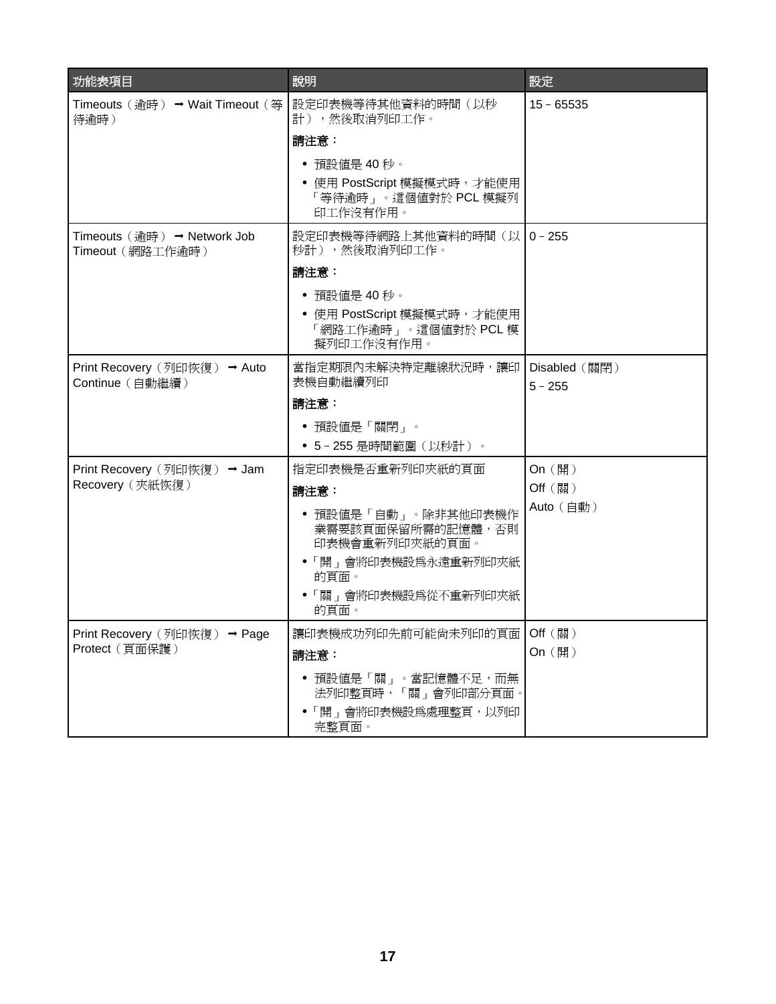| 功能表項目                                           | 說明                                                               | 設定                   |
|-------------------------------------------------|------------------------------------------------------------------|----------------------|
| Timeouts (逾時) → Wait Timeout (等<br>待逾時)         | 設定印表機等待其他資料的時間(以秒<br>計),然後取消列印工作。                                | $15 - 65535$         |
|                                                 | 請注意:                                                             |                      |
|                                                 | 預設値是 40 秒。                                                       |                      |
|                                                 | • 使用 PostScript 模擬模式時,才能使用<br>「等待逾時」。這個值對於 PCL 模擬列<br>印工作沒有作用。   |                      |
| Timeouts (逾時) → Network Job<br>Timeout (網路工作逾時) | 設定印表機等待網路上其他資料的時間(以10-255<br>秒計),然後取消列印工作。                       |                      |
|                                                 | 請注意:                                                             |                      |
|                                                 | • 預設値是 40 秒。                                                     |                      |
|                                                 | • 使用 PostScript 模擬模式時,才能使用<br>「網路工作逾時」。這個値對於 PCL 模<br>擬列印工作沒有作用。 |                      |
| Print Recovery (列印恢復) → Auto<br>Continue (自動繼續) | 當指定期限內未解決特定離線狀況時,讓印   Disabled(關閉)<br>表機自動繼續列印                   | $5 - 255$            |
|                                                 | 請注意:                                                             |                      |
|                                                 | • 預設値是「關閉」。                                                      |                      |
|                                                 | • 5-255 是時間範圍(以秒計)。                                              |                      |
| Print Recovery (列印恢復) → Jam<br>Recovery (夾紙恢復)  | 指定印表機是否重新列印夾紙的頁面                                                 | On $(\mathbb{H})$    |
|                                                 | 請注意:                                                             | Off (關)<br>Auto (自動) |
|                                                 | • 預設値是「自動」。除非其他印表機作<br>業需要該頁面保留所需的記憶體,否則<br>印表機會重新列印夾紙的頁面。       |                      |
|                                                 | • 「開」會將印表機設爲永遠重新列印夾紙<br>的頁面。                                     |                      |
|                                                 | •「關」會將印表機設爲從不重新列印夾紙<br>的頁面。                                      |                      |
| Print Recovery (列印恢復) → Page                    | 讓印表機成功列印先前可能尙未列印的頁面   Off (關)                                    |                      |
| Protect (頁面保護)                                  | 請注意:                                                             | On (開)               |
|                                                 | ● 預設値是「關」。當記憶體不足,而無<br>法列印整頁時,「關」會列印部分頁面。                        |                      |
|                                                 | • 「開」會將印表機設爲處理整頁,以列印<br>完整頁面。                                    |                      |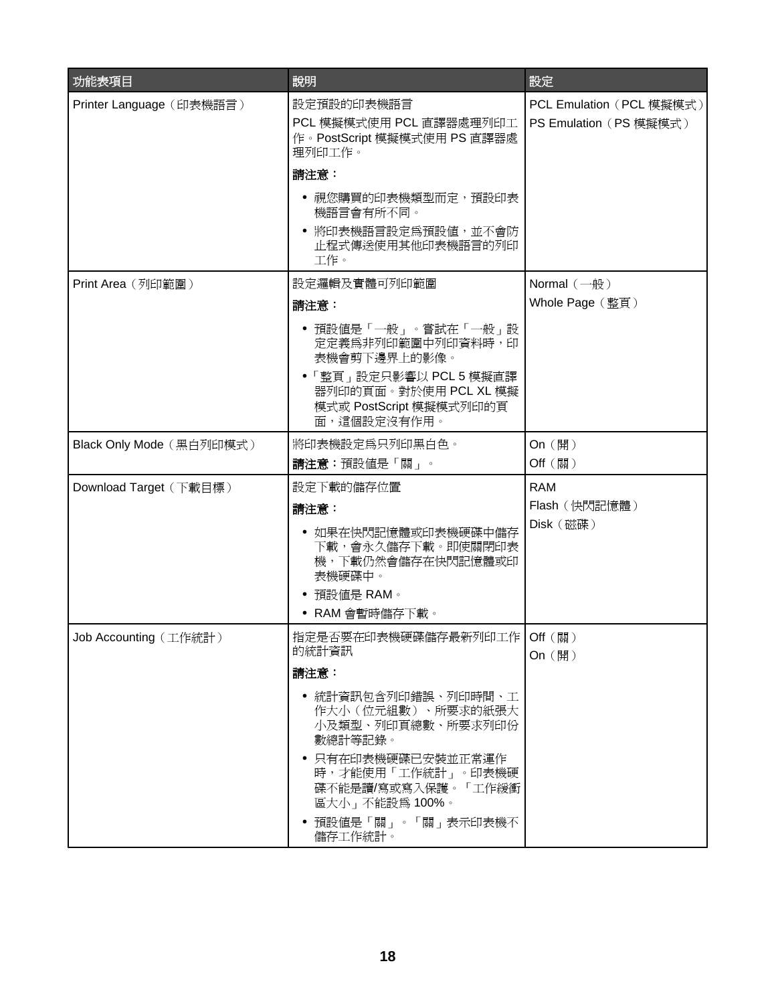| 功能表項目                    | 說明                                                                                                                                                                                                                                            | 設定                                                 |
|--------------------------|-----------------------------------------------------------------------------------------------------------------------------------------------------------------------------------------------------------------------------------------------|----------------------------------------------------|
| Printer Language (印表機語言) | 設定預設的印表機語言<br>PCL 模擬模式使用 PCL 直譯器處理列印工<br>作。PostScript 模擬模式使用 PS 直譯器處<br>理列印工作。                                                                                                                                                                | PCL Emulation (PCL 模擬模式)<br>PS Emulation (PS 模擬模式) |
|                          | 請注意:<br>● 視您購買的印表機類型而定,預設印表<br>機語言會有所不同。<br>• 將印表機語言設定爲預設値,並不會防                                                                                                                                                                               |                                                    |
|                          | 止程式傳送使用其他印表機語言的列印<br>工作。                                                                                                                                                                                                                      |                                                    |
| Print Area (列印範圍)        | 設定邏輯及實體可列印範圍<br>請注意:<br>• 預設値是「一般」。嘗試在「一般」設<br>定定義爲非列印範圍中列印資料時,印<br>表機會剪下邊界上的影像。                                                                                                                                                              | Normal $(-$ 般)<br>Whole Page (整頁)                  |
|                          | ●「整頁」設定只影響以 PCL 5 模擬直譯<br>器列印的頁面。對於使用 PCL XL 模擬<br>模式或 PostScript 模擬模式列印的頁<br>面,這個設定沒有作用。                                                                                                                                                     |                                                    |
| Black Only Mode (黑白列印模式) | 將印表機設定為只列印黑白色。<br>請注意:預設值是「關」。                                                                                                                                                                                                                | On (開)<br>Off (關)                                  |
| Download Target (下載目標)   | 設定下載的儲存位置<br>請注意:<br>• 如果在快閃記憶體或印表機硬碟中儲存<br>下載,會永久儲存下載。即使關閉印表<br>機,下載仍然會儲存在快閃記憶體或印<br>表機硬碟中。<br>預設値是 RAM。<br>$\bullet$<br>• RAM 會暫時儲存下載。                                                                                                      | <b>RAM</b><br>Flash (快閃記憶體)<br>Disk (磁碟)           |
| Job Accounting (工作統計)    | 指定是否要在印表機硬碟儲存最新列印工作   Off (關)<br>的統計資訊<br>請注意:<br>• 統計資訊包含列印錯誤、列印時間、工<br>作大小(位元組數)、所要求的紙張大<br>小及類型、列印頁總數、所要求列印份<br>數總計等記錄。<br>• 只有在印表機硬碟已安裝並正常運作<br>時,才能使用「工作統計」。印表機硬<br>碟不能是讀/寫或寫入保護。「工作緩衝<br>區大小」不能設為 100%。<br>預設値是「關」。「關」表示印表機不<br>儲存工作統計。 | On (開)                                             |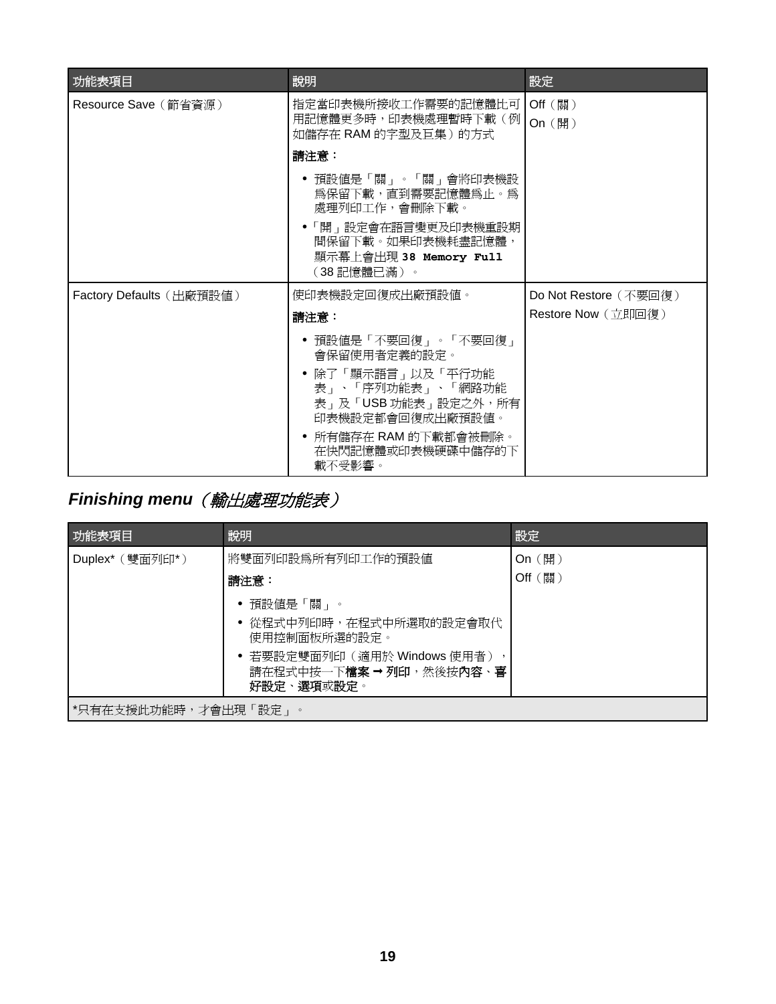<span id="page-18-0"></span>

| 功能表項目                    | 說明                                                                                                  | 設定                    |
|--------------------------|-----------------------------------------------------------------------------------------------------|-----------------------|
| Resource Save (節省資源)     | 指定當印表機所接收工作需要的記憶體比可<br>用記憶體更多時,印表機處理暫時下載(例<br>如儲存在 RAM 的字型及巨集)的方式                                   | Off (關)<br>On (開)     |
|                          | 請注意:                                                                                                |                       |
|                          | ● 預設値是「關」。「關」會將印表機設<br>爲保留下載,直到需要記憶體爲止。爲<br>處理列印工作,會刪除下載。                                           |                       |
|                          | ●「開」設定會在語言變更及印表機重設期<br>間保留下載。如果印表機耗盡記憶體,<br>顯示幕上會出現 38 Memory Full<br>(38記憶體已滿)。                    |                       |
| Factory Defaults (出廠預設値) | 使印表機設定回復成出廠預設値。                                                                                     | Do Not Restore (不要回復) |
|                          | 請注意:                                                                                                | Restore Now (立即回復)    |
|                          | • 預設値是「不要回復」。「不要回復」<br>會保留使用者定義的設定。<br>• 除了「顯示語言」以及「平行功能<br>表」、「序列功能表」、「網路功能<br>表」及「USB 功能表」設定之外,所有 |                       |
|                          | 印表機設定都會回復成出廠預設值。                                                                                    |                       |
|                          | • 所有儲存在 RAM 的下載都會被刪除。<br>在快閃記憶體或印表機硬碟中儲存的下<br>載不受影響。                                                |                       |

# *Finishing menu*(輸出處理功能表)

| 功能表項目                | 說明                                                                     | 設定      |
|----------------------|------------------------------------------------------------------------|---------|
| Duplex* (雙面列印*)      | 將雙面列印設爲所有列印工作的預設値                                                      | On (開)  |
|                      | 請注意:                                                                   | Off (關) |
|                      | ● 預設値是「關」。                                                             |         |
|                      | ● 從程式中列印時,在程式中所選取的設定會取代<br>使用控制面板所選的設定。                                |         |
|                      | • 若要設定雙面列印(適用於 Windows 使用者),<br>請在程式中按一下檔案 → 列印, 然後按內容、喜<br>好設定、選項或設定。 |         |
| *只有在支援此功能時,才會出現「設定」。 |                                                                        |         |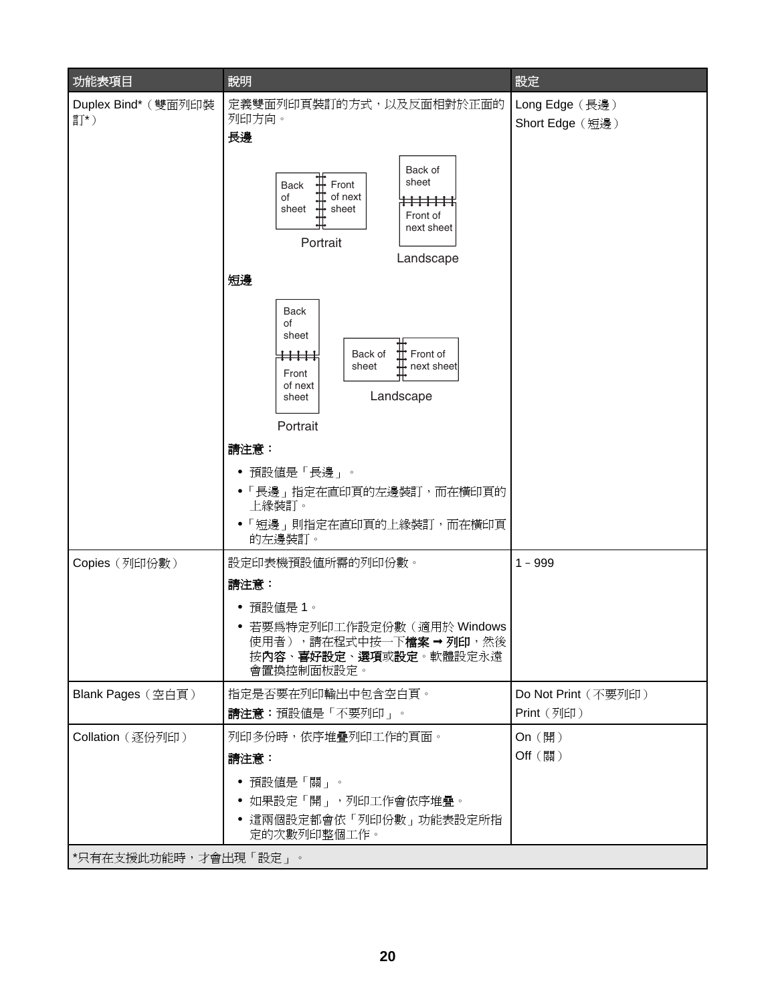| 功能表項目                | 說明                                                                                                                                                                                           | 設定                  |
|----------------------|----------------------------------------------------------------------------------------------------------------------------------------------------------------------------------------------|---------------------|
| Duplex Bind* (雙面列印裝  | 定義雙面列印頁裝訂的方式,以及反面相對於正面的                                                                                                                                                                      | Long Edge (長邊)      |
| 訂*)                  | 列印方向。<br>長邊                                                                                                                                                                                  | Short Edge (短邊)     |
|                      | Back of<br>$\frac{1}{1}$ Front<br>sheet<br>Back<br>of next<br>of<br>$\frac{11}{11}$<br><del>!!!!!!!</del><br>sheet<br>sheet<br>Front of<br>next sheet<br>Portrait<br>Landscape<br>短邊         |                     |
|                      | <b>Back</b><br>οf<br>sheet<br>$\mathbb{H}$ Front of<br>Back of<br><del>: : : : : : :</del><br>$\frac{1}{\sqrt{1}}$ next sheet<br>sheet<br>Front<br>of next<br>Landscape<br>sheet<br>Portrait |                     |
|                      | 請注意:                                                                                                                                                                                         |                     |
|                      | • 預設値是「長邊」。                                                                                                                                                                                  |                     |
|                      | ●「長邊」指定在直印頁的左邊裝訂,而在橫印頁的<br>上緣裝訂。                                                                                                                                                             |                     |
|                      | ●「短邊」則指定在直印頁的上緣裝訂,而在橫印頁<br>的左邊裝訂。                                                                                                                                                            |                     |
| Copies (列印份數)        | 設定印表機預設値所需的列印份數。                                                                                                                                                                             | $1 - 999$           |
|                      | 請注意:<br>預設値是 1。<br>若要爲特定列印工作設定份數 ( 適用於 Windows<br>使用者),請在程式中按一下檔案→列印,然後<br>按內容、喜好設定、選項或設定。軟體設定永遠<br>會置換控制面板設定。                                                                               |                     |
| Blank Pages (空白頁)    | 指定是否要在列印輸出中包含空白頁。                                                                                                                                                                            | Do Not Print (不要列印) |
|                      | 請注意:預設値是「不要列印」。                                                                                                                                                                              | Print (列印)          |
| Collation (逐份列印)     | 列印多份時,依序堆疊列印工作的頁面。<br>請注意:                                                                                                                                                                   | On (開)<br>Off (關)   |
| *只有在支援此功能時,才會出現「設定」。 | 預設値是「關」。<br>如果設定「開」,列印工作會依序堆疊。<br>● 這兩個設定都會依「列印份數」功能表設定所指<br>定的次數列印整個工作。                                                                                                                     |                     |
|                      |                                                                                                                                                                                              |                     |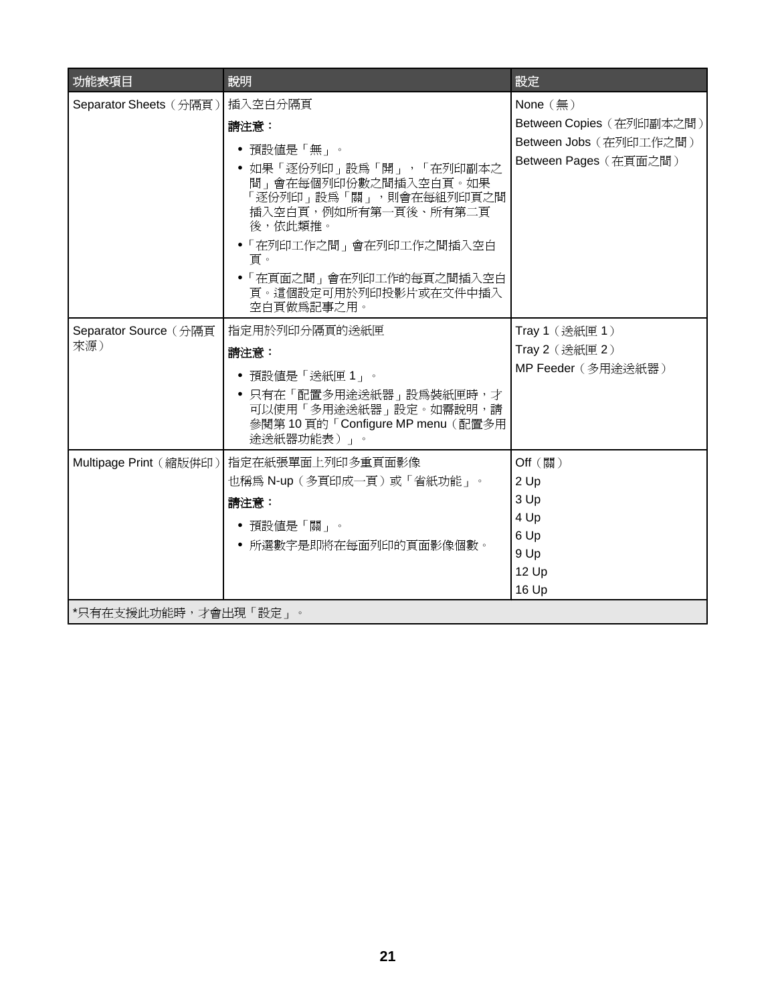| 功能表項目                        | 說明                                                                                                                                                                                                                                               | 設定                                                                                                    |
|------------------------------|--------------------------------------------------------------------------------------------------------------------------------------------------------------------------------------------------------------------------------------------------|-------------------------------------------------------------------------------------------------------|
| Separator Sheets (分隔頁)       | 插入空白分隔頁<br>請注意:<br>• 預設値是「無」。<br>• 如果「逐份列印」設爲「開」,「在列印副本之<br>間」會在每個列印份數之間插入空白頁。如果<br>「逐份列印」設為「關」,則會在每組列印頁之間<br>插入空白頁,例如所有第一頁後、所有第二頁<br>後,依此類推。<br>• 「在列印工作之間」會在列印工作之間插入空白<br>頁。<br>•「在頁面之間」會在列印工作的每頁之間插入空白<br>頁。這個設定可用於列印投影片或在文件中插入<br>空白頁做爲記事之用。 | None $(\frac{\pi}{2})$<br>Between Copies (在列印副本之間)<br>Between Jobs (在列印工作之間)<br>Between Pages (在頁面之間) |
| Separator Source (分隔頁<br>來源) | 指定用於列印分隔頁的送紙匣<br>請注意:<br>• 預設値是「送紙匣1」。<br>● 只有在「配置多用途送紙器」設為裝紙匣時,才<br>可以使用「多用途送紙器」設定。如需說明,請<br>參閱第10頁的「Configure MP menu (配置多用<br>途送紙器功能表)」。                                                                                                      | Tray 1 (送紙匣 1)<br>Tray 2 (送紙匣 2)<br>MP Feeder (多用途送紙器)                                                |
| Multipage Print (縮版併印)       | 指定在紙張單面上列印多重頁面影像<br>也稱爲 N-up (多頁印成一頁) 或「省紙功能」。<br>請注意:<br>• 預設値是「關」。<br>● 所選數字是即將在每面列印的頁面影像個數。                                                                                                                                                   | Off (關)<br>2 Up<br>3 Up<br>4 Up<br>6 Up<br>9 Up<br>12 Up<br>16 Up                                     |
| *只有在支援此功能時,才會出現「設定」。         |                                                                                                                                                                                                                                                  |                                                                                                       |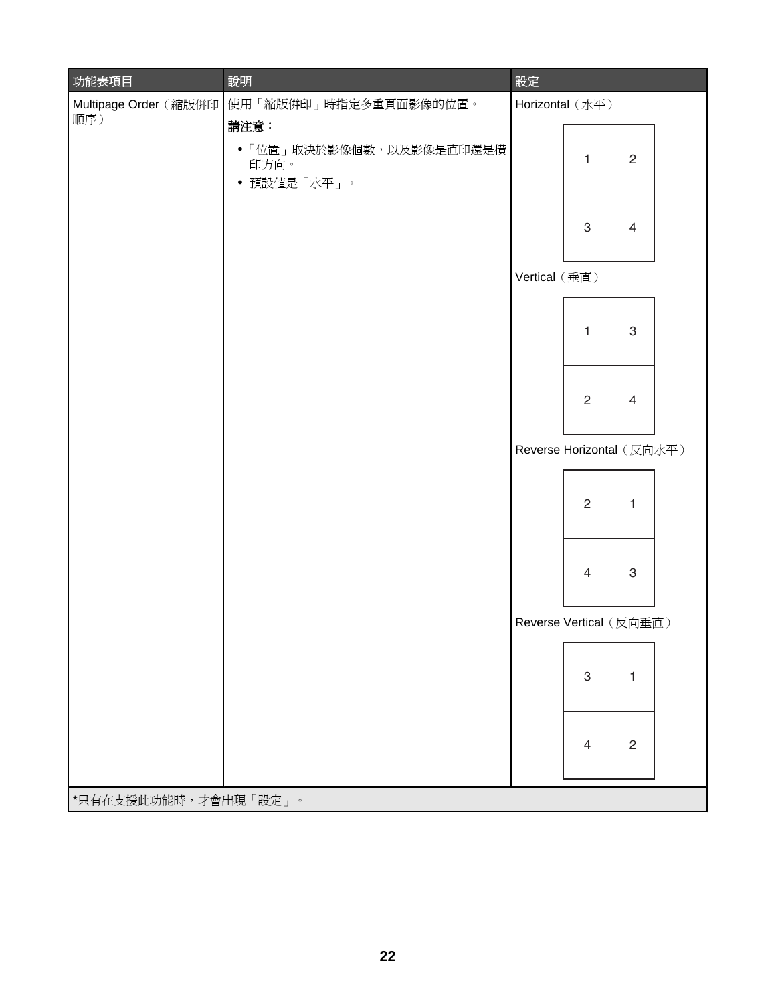| 功能表項目                 | 說明                                                     | 設定                        |                |                |  |
|-----------------------|--------------------------------------------------------|---------------------------|----------------|----------------|--|
| Multipage Order (縮版併印 | 使用「縮版併印」時指定多重頁面影像的位置。                                  | Horizontal (水平)           |                |                |  |
| 順序)                   | 請注意:<br>•「位置」取決於影像個數,以及影像是直印還是橫<br>印方向。<br>• 預設値是「水平」。 |                           | 1              | $\overline{c}$ |  |
|                       |                                                        |                           | $\sqrt{3}$     | $\overline{4}$ |  |
|                       |                                                        | Vertical (垂直)             |                |                |  |
|                       |                                                        |                           | 1              | 3              |  |
|                       |                                                        |                           | $\mathbf{2}$   | $\overline{4}$ |  |
|                       |                                                        | Reverse Horizontal (反向水平) |                |                |  |
|                       |                                                        |                           | $\overline{2}$ | 1              |  |
|                       |                                                        |                           | $\overline{4}$ | $\,3$          |  |
|                       |                                                        | Reverse Vertical (反向垂直)   |                |                |  |
|                       |                                                        |                           | 3              | 1              |  |
|                       |                                                        |                           | 4              | $\overline{2}$ |  |
| *只有在支援此功能時,才會出現「設定」。  |                                                        |                           |                |                |  |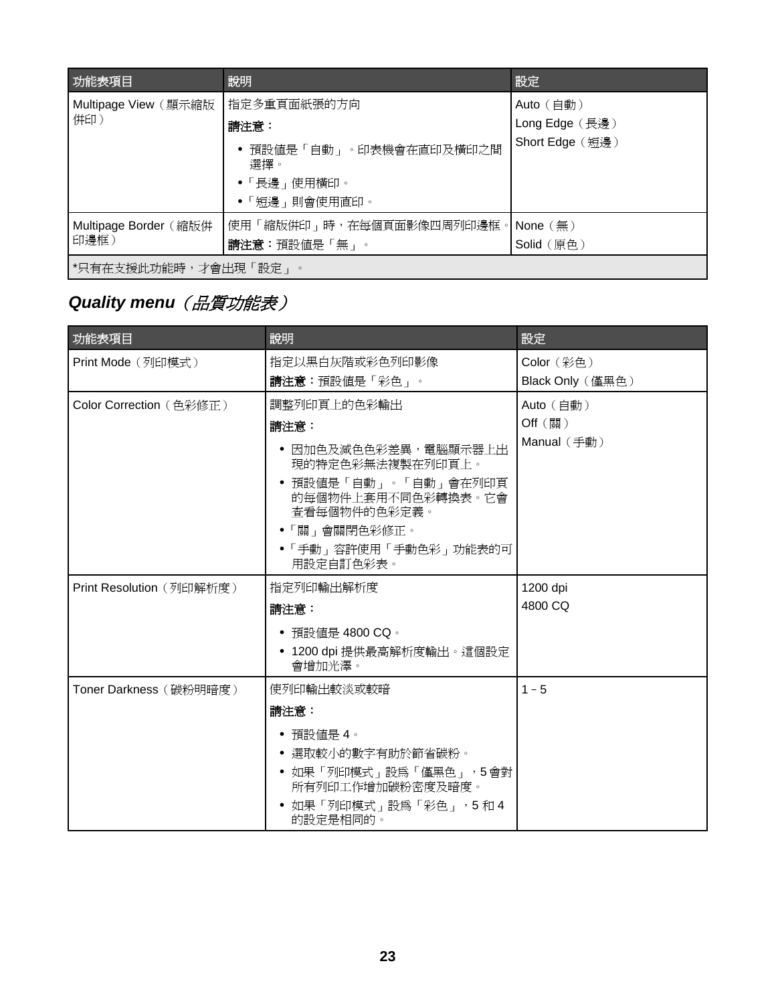<span id="page-22-0"></span>

| 功能表項目                 | 說明                                 | 設定              |
|-----------------------|------------------------------------|-----------------|
| Multipage View (顯示縮版  | 指定多重頁面紙張的方向                        | Auto (自動)       |
| 併印)                   | 請注意:                               | Long Edge (長邊)  |
|                       | ● 預設値是「自動」。印表機會在直印及橫印之間<br>選擇。     | Short Edge (短邊) |
|                       | ●「長邊」使用橫印。                         |                 |
|                       | • 「短邊」則會使用直印。                      |                 |
| Multipage Border (縮版併 | 使用「縮版倂印」時,在每個頁面影像四周列印邊框。  None (無) |                 |
| 印邊框)                  | 請注意:預設値是「無」。                       | Solid (原色)      |
| *只有在支援此功能時,才會出現「設定」   | $\circ$                            |                 |

# **Quality menu** (品質功能表)

| 功能表項目                    | 說明                                                         | 設定                   |
|--------------------------|------------------------------------------------------------|----------------------|
| Print Mode (列印模式)        | 指定以黑白灰階或彩色列印影像                                             | Color (彩色)           |
|                          | 請注意:預設値是「彩色」。                                              | Black Only (僅黑色)     |
| Color Correction (色彩修正)  | 調整列印頁上的色彩輸出                                                | Auto (自動)            |
|                          | 請注意:                                                       | Off (關)              |
|                          | • 因加色及減色色彩差異,電腦顯示器上出<br>現的特定色彩無法複製在列印頁上。                   | Manual $(\nequiv$ 動) |
|                          | • 預設値是「自動」。「自動」會在列印頁<br>的每個物件上套用不同色彩轉換表。它會<br>杳看每個物件的色彩定義。 |                      |
|                          | ●「關」會關閉色彩修正。                                               |                      |
|                          | • 「手動」容許使用「手動色彩」功能表的可<br>用設定自訂色彩表。                         |                      |
| Print Resolution (列印解析度) | 指定列印輸出解析度                                                  | 1200 dpi             |
|                          | 請注意:                                                       | 4800 CQ              |
|                          | • 預設値是 4800 CQ。                                            |                      |
|                          | ● 1200 dpi 提供最高解析度輸出。這個設定<br>會增加光澤。                        |                      |
| Toner Darkness (碳粉明暗度)   | 使列印輸出較淡或較暗                                                 | $1 - 5$              |
|                          | 請注意:                                                       |                      |
|                          | ● 預設値是 4。                                                  |                      |
|                          | ● 選取較小的數字有助於節省碳粉。                                          |                      |
|                          | • 如果「列印模式」設為「僅黑色」,5會對<br>所有列印工作增加碳粉密度及暗度。                  |                      |
|                          | • 如果「列印模式」設為「彩色」,5和4<br>的設定是相同的。                           |                      |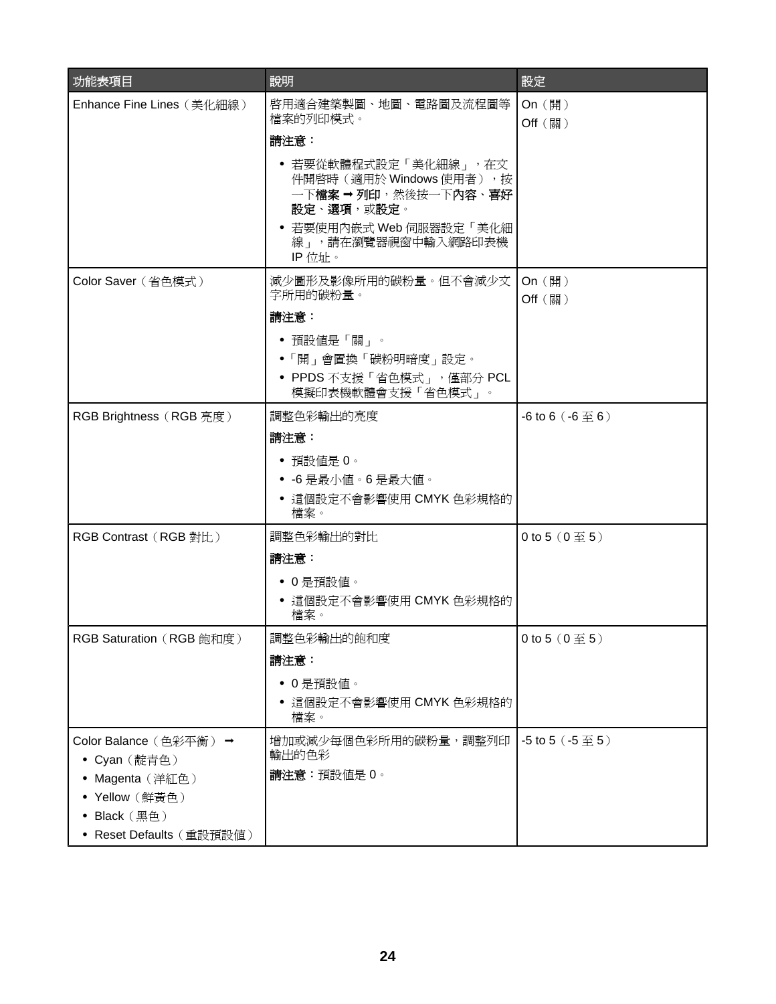| 功能表項目                                                    | 說明                                                                                                                                                | 設定                                      |
|----------------------------------------------------------|---------------------------------------------------------------------------------------------------------------------------------------------------|-----------------------------------------|
| Enhance Fine Lines (美化細線)                                | 啓用適合建築製圖、地圖、電路圖及流程圖等<br>檔案的列印模式。                                                                                                                  | On (開)<br>Off (關)                       |
|                                                          | 請注意:                                                                                                                                              |                                         |
|                                                          | • 若要從軟體程式設定「美化細線」,在文<br>件開啓時 (適用於 Windows 使用者), 按<br>一下檔案 ➡ 列印,然後按一下內容、喜好<br>設定、選項,或設定。<br>• 若要使用內嵌式 Web 伺服器設定「美化細<br>線」,請在瀏覽器視窗中輸入網路印表機<br>IP位址。 |                                         |
| Color Saver (省色模式)                                       | 減少圖形及影像所用的碳粉量。但不會減少文<br>字所用的碳粉量。                                                                                                                  | On (開)<br>Off (關)                       |
|                                                          | 請注意:                                                                                                                                              |                                         |
|                                                          | • 預設値是「關」。                                                                                                                                        |                                         |
|                                                          | ●「開」會置換「碳粉明暗度」設定。                                                                                                                                 |                                         |
|                                                          | • PPDS 不支援「省色模式」, 僅部分 PCL<br>模擬印表機軟體會支援「省色模式」。                                                                                                    |                                         |
| RGB Brightness (RGB 亮度)                                  | 調整色彩輸出的亮度                                                                                                                                         | $-6$ to 6 $(-6 \underline{\mp} 6)$      |
|                                                          | 請注意:                                                                                                                                              |                                         |
|                                                          | • 預設値是 0。<br>• -6 是最小值。6 是最大值。<br>• 這個設定不會影響使用 CMYK 色彩規格的<br>檔案。                                                                                  |                                         |
| RGB Contrast (RGB 對比)                                    | 調整色彩輸出的對比                                                                                                                                         | 0 to 5 $(0 \underline{\mathfrak{D}} 5)$ |
|                                                          | 請注意:                                                                                                                                              |                                         |
|                                                          | • 0是預設値。                                                                                                                                          |                                         |
|                                                          | ● 這個設定不會影響使用 CMYK 色彩規格的<br>檔案。                                                                                                                    |                                         |
| <b>RGB Saturation (RGB 飽和度)</b>                          | 調整色彩輸出的飽和度                                                                                                                                        | 0 to 5 $(0 \underline{\mathfrak{D}} 5)$ |
|                                                          | 請注意:                                                                                                                                              |                                         |
|                                                          | • 0是預設値。                                                                                                                                          |                                         |
|                                                          | ● 這個設定不會影響使用 CMYK 色彩規格的<br>檔案。                                                                                                                    |                                         |
| Color Balance (色彩平衡) →                                   | 增加或減少每個色彩所用的碳粉量,調整列印                                                                                                                              | -5 to 5 $(.5 \ncong 5)$                 |
| • Cyan (靛青色)                                             | 輸出的色彩                                                                                                                                             |                                         |
| • Magenta (洋紅色)                                          | 請注意:預設值是0。                                                                                                                                        |                                         |
| • Yellow (鮮黃色)                                           |                                                                                                                                                   |                                         |
| • Black $(\mathbb{H}\oplus)$<br>• Reset Defaults (重設預設値) |                                                                                                                                                   |                                         |
|                                                          |                                                                                                                                                   |                                         |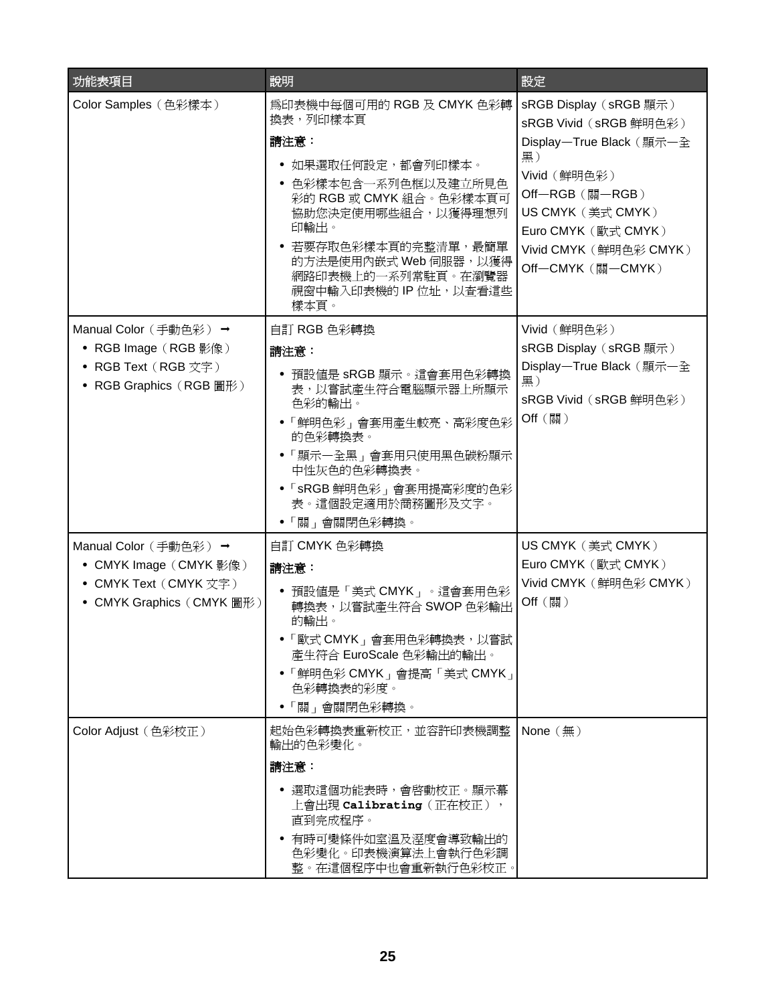| 功能表項目                                                                                                 | 說明                                                                                                                                                                                                                                                           | 設定                                                                                                                                                                                                               |
|-------------------------------------------------------------------------------------------------------|--------------------------------------------------------------------------------------------------------------------------------------------------------------------------------------------------------------------------------------------------------------|------------------------------------------------------------------------------------------------------------------------------------------------------------------------------------------------------------------|
| Color Samples (色彩樣本)                                                                                  | 為印表機中每個可用的 RGB 及 CMYK 色彩轉<br>換表,列印樣本頁<br>請注意:<br>● 如果選取任何設定,都會列印樣本。<br>● 色彩樣本包含一系列色框以及建立所見色<br>彩的 RGB 或 CMYK 組合。色彩樣本頁可<br>協助您決定使用哪些組合,以獲得理想列<br>印輸出。<br>• 若要存取色彩樣本頁的完整清單,最簡單<br>的方法是使用内嵌式 Web 伺服器,以獲得<br>網路印表機上的一系列常駐頁。在瀏覽器<br>視窗中輸入印表機的 IP 位址,以查看這些<br>樣本頁。 | sRGB Display (sRGB 顯示)<br>sRGB Vivid (sRGB 鮮明色彩)<br>Display-True Black (顯示一全<br>黑)<br>Vivid (鮮明色彩)<br>Off-RGB (關-RGB)<br>US CMYK (美式 CMYK)<br>Euro CMYK (歐式 CMYK)<br>Vivid CMYK (鮮明色彩 CMYK)<br>Off-CMYK (關-CMYK) |
| Manual Color (手動色彩) →<br>• RGB Image (RGB 影像)<br>• RGB Text (RGB 文字)<br>• RGB Graphics (RGB 圖形)       | 自訂 RGB 色彩轉換<br>請注意:<br>● 預設値是 sRGB 顯示。這會套用色彩轉換<br>表,以嘗試產生符合電腦顯示器上所顯示<br>色彩的輸出。<br>●「鮮明色彩」會套用產生較亮、高彩度色彩<br>的色彩轉換表。<br>●「顯示一全黑」會套用只使用黑色碳粉顯示<br>中性灰色的色彩轉換表。<br>• 「sRGB 鮮明色彩」會套用提高彩度的色彩<br>表。這個設定適用於商務圖形及文字。<br>• 「關」會關閉色彩轉換。                                    | Vivid (鮮明色彩)<br>sRGB Display (sRGB 顯示)<br>Display-True Black (顯示一全<br>黑)<br>sRGB Vivid (sRGB 鮮明色彩)<br>Off (關)                                                                                                    |
| Manual Color (手動色彩) →<br>• CMYK Image (CMYK 影像)<br>• CMYK Text (CMYK 文字)<br>• CMYK Graphics (CMYK 圖形) | 自訂 CMYK 色彩轉換<br>請注意:<br>• 預設値是「美式 CMYK」。這會套用色彩<br>轉換表,以嘗試產生符合 SWOP 色彩輸出<br>的輸出。<br>• 「歐式 CMYK」會套用色彩轉換表, 以嘗試<br>產生符合 EuroScale 色彩輸出的輸出。<br>• 「鮮明色彩 CMYK」會提高「美式 CMYK」<br>色彩轉換表的彩度。<br>• 「關」會關閉色彩轉換。                                                            | US CMYK (美式 CMYK)<br>Euro CMYK (歐式 CMYK)<br>Vivid CMYK (鮮明色彩 CMYK)<br>Off (關)                                                                                                                                    |
| Color Adjust (色彩校正)                                                                                   | 起始色彩轉換表重新校正,並容許印表機調整<br>輸出的色彩變化。<br>請注意:<br>● 選取這個功能表時,會啓動校正。顯示幕<br>上會出現 Calibrating(正在校正),<br>直到完成程序。<br>● 有時可變條件如室溫及溼度會導致輸出的<br>色彩變化。印表機演算法上會執行色彩調<br>整。在這個程序中也會重新執行色彩校正。                                                                                  | None $(\frac{\pi}{2})$                                                                                                                                                                                           |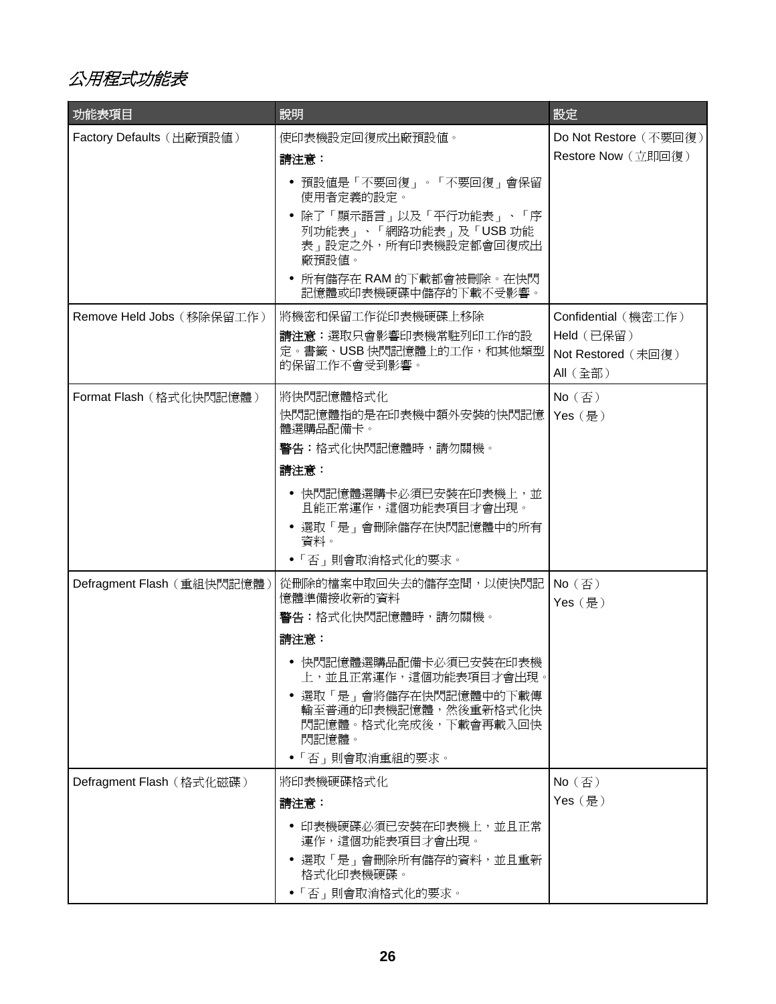<span id="page-25-0"></span>公用程式功能表

| 功能表項目                      | 說明                                                                               | 設定                                  |
|----------------------------|----------------------------------------------------------------------------------|-------------------------------------|
| Factory Defaults (出廠預設值)   | 使印表機設定回復成出廠預設値。                                                                  | Do Not Restore (不要回復)               |
|                            | 請注意:                                                                             | Restore Now (立即回復)                  |
|                            | ● 預設値是「不要回復」。「不要回復」會保留<br>使用者定義的設定。                                              |                                     |
|                            | ● 除了「顯示語言」以及「平行功能表」、「序<br>列功能表」、「網路功能表」及「USB 功能<br>表」設定之外,所有印表機設定都會回復成出<br>廠預設值。 |                                     |
|                            | • 所有儲存在 RAM 的下載都會被刪除。在快閃<br>記憶體或印表機硬碟中儲存的下載不受影響。                                 |                                     |
| Remove Held Jobs (移除保留工作)  | 將機密和保留工作從印表機硬碟上移除                                                                | Confidential (機密工作)                 |
|                            | 請注意:選取只會影響印表機常駐列印工作的設                                                            | Held (已保留)                          |
|                            | 定。書籤、USB 快閃記憶體上的工作,和其他類型<br>的保留工作不會受到影響。                                         | Not Restored (未回復)<br>All (全部)      |
| Format Flash (格式化快閃記憶體)    | 將快閃記憶體格式化                                                                        | $No$ (否)                            |
|                            | 快閃記憶體指的是在印表機中額外安裝的快閃記憶<br>體選購品配備卡。                                               | Yes (是)                             |
|                            | <b>警告:</b> 格式化快閃記憶體時,請勿關機。                                                       |                                     |
|                            | 請注意:                                                                             |                                     |
|                            | ● 快閃記憶體選購卡必須已安裝在印表機上,並<br>且能正常運作,這個功能表項目才會出現。                                    |                                     |
|                            | ● 選取「是」會刪除儲存在快閃記憶體中的所有<br>資料。                                                    |                                     |
|                            | ●「否」則會取消格式化的要求。                                                                  |                                     |
| Defragment Flash (重組快閃記憶體) | 從刪除的檔案中取回失去的儲存空間,以使快閃記<br>憶體準備接收新的資料                                             | No $(\overline{\oplus})$<br>Yes (是) |
|                            | 警告:格式化快閃記憶體時,請勿關機。                                                               |                                     |
|                            | 請注意:                                                                             |                                     |
|                            | ● 快閃記憶體選購品配備卡必須已安裝在印表機<br>上,並且正常運作,這個功能表項目才會出現。                                  |                                     |
|                            | ● 選取「是」會將儲存在快閃記憶體中的下載傳<br>輸至普通的印表機記憶體,然後重新格式化快<br>閃記憶體。格式化完成後,下載會再載入回快<br>閃記憶體。  |                                     |
|                            | • 「否」則會取消重組的要求。                                                                  |                                     |
| Defragment Flash (格式化磁碟)   | 將印表機硬碟格式化                                                                        | $No$ (否)                            |
|                            | 請注意:                                                                             | Yes (是)                             |
|                            | ● 印表機硬碟必須已安裝在印表機上,並且正常<br>運作,這個功能表項目才會出現。                                        |                                     |
|                            | ● 選取「是」會刪除所有儲存的資料,並且重新<br>格式化印表機硬碟。                                              |                                     |
|                            | • 「否」則會取消格式化的要求。                                                                 |                                     |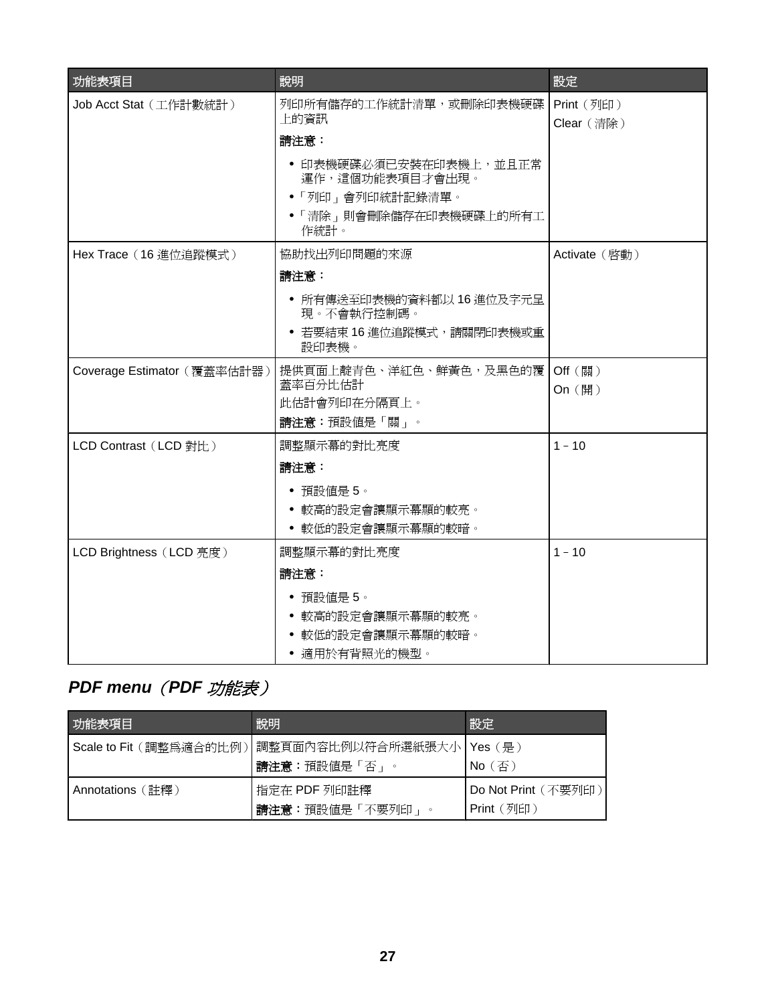<span id="page-26-0"></span>

| 功能表項目                       | 說明                                                                                              | 設定                       |
|-----------------------------|-------------------------------------------------------------------------------------------------|--------------------------|
| Job Acct Stat (工作計數統計)      | 列印所有儲存的工作統計清單,或刪除印表機硬碟<br>上的資訊                                                                  | Print (列印)<br>Clear (清除) |
|                             | 請注意:                                                                                            |                          |
|                             | • 印表機硬碟必須已安裝在印表機上,並且正常<br>運作,這個功能表項目才會出現。<br>• 「列印」會列印統計記錄清單。<br>•「清除」則會刪除儲存在印表機硬碟上的所有工<br>作統計。 |                          |
| Hex Trace (16 進位追蹤模式)       | 協助找出列印問題的來源                                                                                     | Activate (啓動)            |
|                             | 請注意:                                                                                            |                          |
|                             | • 所有傳送至印表機的資料都以 16 進位及字元呈<br>現。不會執行控制碼。                                                         |                          |
|                             | • 若要結束 16 進位追蹤模式,請關閉印表機或重<br>設印表機。                                                              |                          |
| Coverage Estimator (覆蓋率估計器) | 提供頁面上靛青色、洋紅色、鮮黃色,及黑色的覆<br>蓋率百分比估計                                                               | Off (關)<br>On (開)        |
|                             | 此估計會列印在分隔頁上。                                                                                    |                          |
|                             | 請注意:預設値是「關」。                                                                                    |                          |
| LCD Contrast (LCD 對比)       | 調整顯示幕的對比亮度                                                                                      | $1 - 10$                 |
|                             | 請注意:                                                                                            |                          |
|                             | • 預設値是 5。                                                                                       |                          |
|                             | 較高的設定會讓顯示幕顯的較亮。<br>• 較低的設定會讓顯示幕顯的較暗。                                                            |                          |
|                             |                                                                                                 |                          |
| LCD Brightness (LCD 亮度)     | 調整顯示幕的對比亮度                                                                                      | $1 - 10$                 |
|                             | 請注意:                                                                                            |                          |
|                             | 預設値是5。<br>• 較高的設定會讓顯示幕顯的較亮。                                                                     |                          |
|                             | ● 較低的設定會讓顯示幕顯的較暗。                                                                               |                          |
|                             | • 適用於有背照光的機型。                                                                                   |                          |

# *PDF menu*(*PDF* 功能表)

| 功能表項目                   | 說明                                         | 設定                                |
|-------------------------|--------------------------------------------|-----------------------------------|
| Scale to Fit (調整爲適合的比例) | 調整頁面內容比例以符合所選紙張大小   Yes(是)<br>請注意:預設値是「否」。 | $No$ (否)                          |
| Annotations (詳釋)        | 指定在 PDF 列印註釋<br>請注意:預設値是「不要列印」<br>$\circ$  | Do Not Print (不要列印)<br>Print (列印) |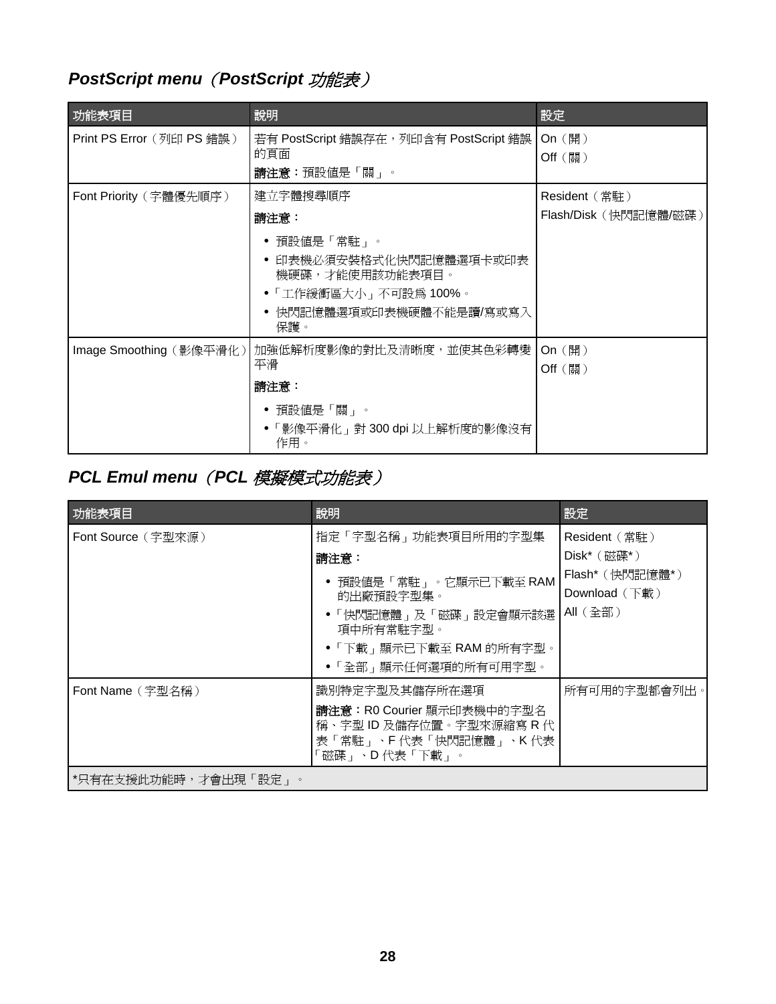# <span id="page-27-0"></span>*PostScript menu*(*PostScript* 功能表)

| 功能表項目                     | 說明                                                                                                                     | 設定                                    |
|---------------------------|------------------------------------------------------------------------------------------------------------------------|---------------------------------------|
| Print PS Error (列印 PS 錯誤) | 若有 PostScript 錯誤存在, 列印含有 PostScript 錯誤<br>的頁面<br>請注意:預設値是「關」。                                                          | On (開)<br>Off (關)                     |
| Font Priority (字體優先順序)    | 建立字體搜尋順序<br>請注意:                                                                                                       | Resident(常駐)<br>Flash/Disk (快閃記憶體/磁碟) |
|                           | • 預設値是「常駐」。<br>● 印表機必須安裝格式化快閃記憶體選項卡或印表<br>機硬碟,才能使用該功能表項目。<br>● 「工作緩衝區大小」 不可設為 100%。<br>● 快閃記憶體選項或印表機硬體不能是讀/寫或寫入<br>保護。 |                                       |
| Image Smoothing (影像平滑化)   | 加強低解析度影像的對比及清晰度,並使其色彩轉變<br>平滑<br>請注意:<br>● 預設値是「關」。<br>● 「影像平滑化」對 300 dpi 以上解析度的影像沒有<br>作用。                            | On (開)<br>$Off$ (關)                   |

# *PCL Emul menu*(*PCL* 模擬模式功能表)

| Font Source (字型來源)                        |                                                                                                                                                          |                                                                                         |
|-------------------------------------------|----------------------------------------------------------------------------------------------------------------------------------------------------------|-----------------------------------------------------------------------------------------|
|                                           | 指定「字型名稱」功能表項目所用的字型集<br>請注意:<br>● 預設値是「常駐」。它顯示已下載至 RAM<br>的出廠預設字型集。<br>•「快閃記憶體」及「磁碟」設定會顯示該選<br>項中所有常駐字型。<br>●「下載」顯示已下載至 RAM 的所有字型。<br>●「全部」顯示任何選項的所有可用字型。 | Resident (常駐)<br>$Dist^*($ (磁碟*)<br>Flash* (快閃記憶體*)<br>Download $(\nabla$ 載)<br>All(全部) |
| Font Name (字型名稱)<br> *只有在支援此功能時,才會出現「設定」。 | 識別特定字型及其儲存所在選項<br>請注意: R0 Courier 顯示印表機中的字型名<br>稱、字型 ID 及儲存位置。字型來源縮寫 R 代<br>表「常駐」、F 代表「快閃記憶體」、K 代表<br>「磁碟 」、D 代表「 下載 」。                                  | 所有可用的字型都會列出。                                                                            |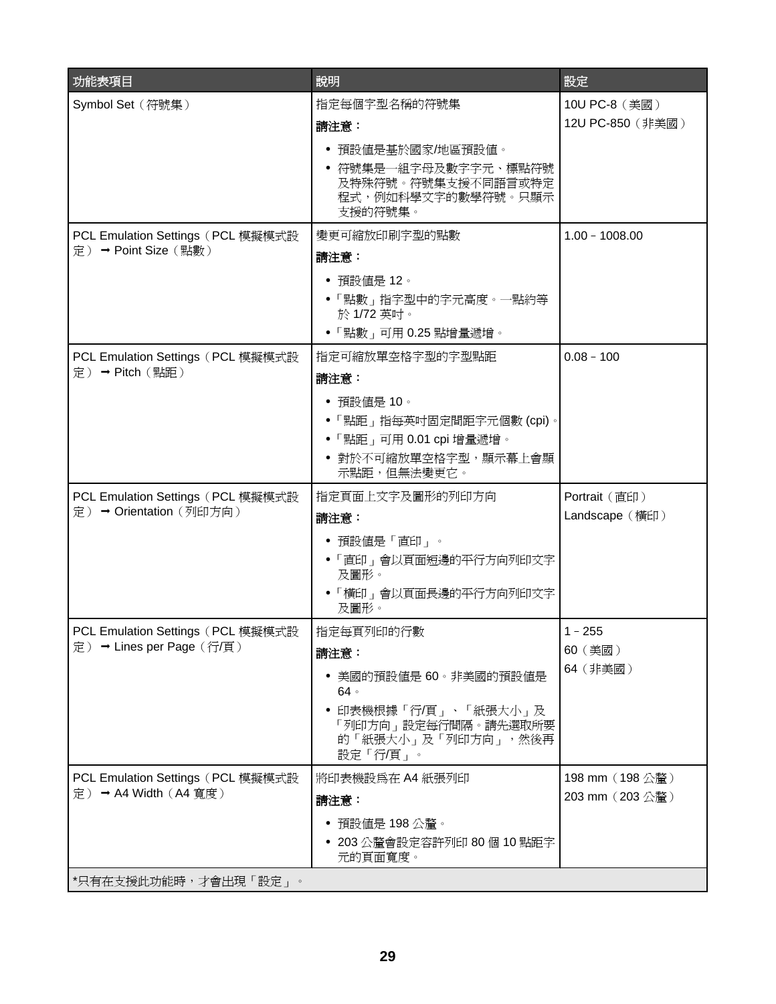| 功能表項目                             | 說明                                                                            | 設定               |
|-----------------------------------|-------------------------------------------------------------------------------|------------------|
| Symbol Set (符號集)                  | 指定每個字型名稱的符號集                                                                  | 10U PC-8 (美國)    |
|                                   | 請注意:                                                                          | 12U PC-850 (非美國) |
|                                   | • 預設値是基於國家/地區預設値。                                                             |                  |
|                                   | ● 符號集是一組字母及數字字元、標點符號<br>及特殊符號。符號集支援不同語言或特定<br>程式,例如科學文字的數學符號。只顯示<br>支援的符號集。   |                  |
| PCL Emulation Settings (PCL 模擬模式設 | 變更可縮放印刷字型的點數                                                                  | $1.00 - 1008.00$ |
| 定) → Point Size (點數)              | 請注意:                                                                          |                  |
|                                   | ● 預設値是 12。                                                                    |                  |
|                                   | • 「點數」指字型中的字元高度。一點約等                                                          |                  |
|                                   | 於1/72 英吋。<br>●「點數」可用 0.25 點增量遞增。                                              |                  |
| PCL Emulation Settings (PCL 模擬模式設 | 指定可縮放單空格字型的字型點距                                                               | $0.08 - 100$     |
| 定) → Pitch (點距)                   | 請注意:                                                                          |                  |
|                                   | • 預設値是 10。                                                                    |                  |
|                                   | ●「點距」指每英吋固定間距字元個數 (cpi)。                                                      |                  |
|                                   | • 「點距」可用 0.01 cpi 增量遞增。                                                       |                  |
|                                   | ● 對於不可縮放單空格字型,顯示幕上會顯<br>示點距,但無法變更它。                                           |                  |
| PCL Emulation Settings (PCL 模擬模式設 | 指定頁面上文字及圖形的列印方向                                                               | Portrait (直印)    |
| 定)→ Orientation (列印方向)            | 請注意:                                                                          | Landscape (橫印)   |
|                                   | • 預設値是「直印」。                                                                   |                  |
|                                   | •「直印」會以頁面短邊的平行方向列印文字<br>及圖形。                                                  |                  |
|                                   | • 「橫印」會以頁面長邊的平行方向列印文字<br>及圖形。                                                 |                  |
| PCL Emulation Settings (PCL 模擬模式設 | 指定每頁列印的行數                                                                     | $1 - 255$        |
| 定) → Lines per Page (行/頁)         | 請注意:                                                                          | 60 (美國)          |
|                                   | • 美國的預設值是 60。非美國的預設值是<br>$64 \circ$                                           | 64 (非美國)         |
|                                   | • 印表機根據「行/頁」、「紙張大小」及<br>「列印方向」設定每行間隔。請先選取所要<br>的「紙張大小」及「列印方向」,然後再<br>設定「行/頁」。 |                  |
| PCL Emulation Settings (PCL 模擬模式設 | 將印表機設爲在 A4 紙張列印                                                               | 198 mm (198公釐)   |
| 定) → A4 Width (A4 寬度)             | 請注意:                                                                          | 203 mm (203公釐)   |
|                                   | • 預設値是 198 公釐。                                                                |                  |
|                                   | ● 203 公釐會設定容許列印 80 個 10 點距字<br>元的頁面寬度。                                        |                  |
| *只有在支援此功能時,才會出現「設定」。              |                                                                               |                  |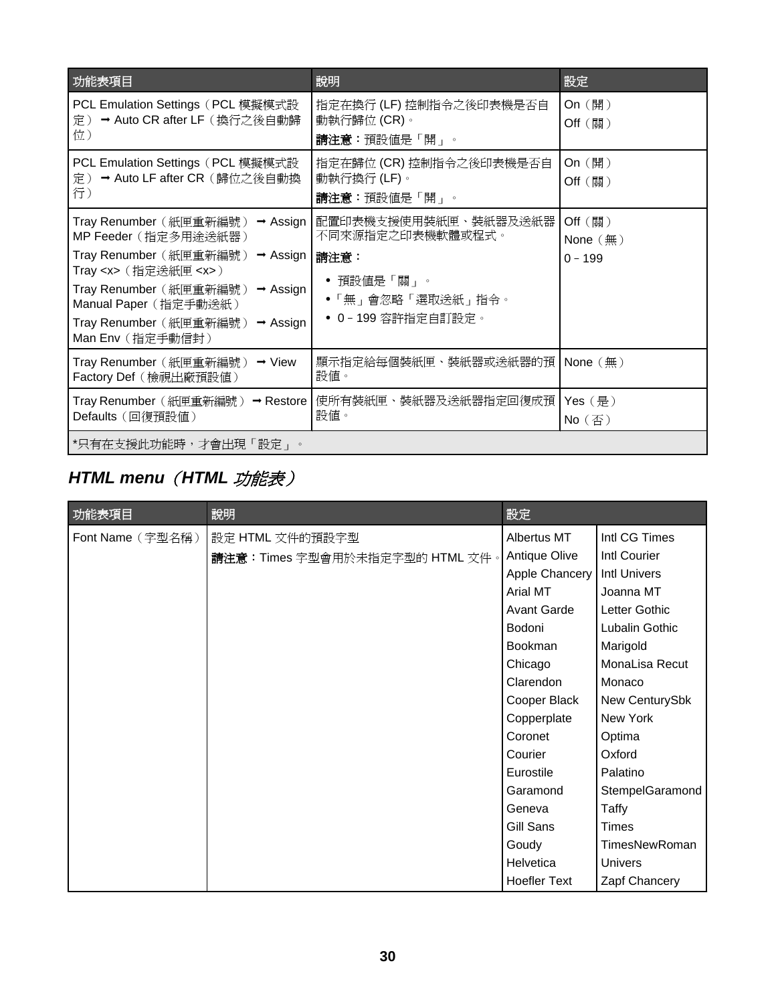<span id="page-29-0"></span>

| 功能表項目                                                                                                                                                                                                                                                                                                                  | 說明                                                                                                       | 設定                                               |
|------------------------------------------------------------------------------------------------------------------------------------------------------------------------------------------------------------------------------------------------------------------------------------------------------------------------|----------------------------------------------------------------------------------------------------------|--------------------------------------------------|
| PCL Emulation Settings (PCL 模擬模式設<br>→ Auto CR after LF (換行之後自動歸<br>定)<br>位)                                                                                                                                                                                                                                           | 指定在換行 (LF) 控制指令之後印表機是否自<br>動執行歸位 (CR)。<br>請注意:預設値是「開」。                                                   | On $(\mathbb{H})$<br>Off (~)                     |
| PCL Emulation Settings (PCL 模擬模式設<br>→ Auto LF after CR (歸位之後自動換<br>定)<br>行)                                                                                                                                                                                                                                           | 指定在歸位 (CR) 控制指令之後印表機是否自<br>動執行換行 (LF)。<br>請注意: 預設値是「開」。                                                  | On $(\mathbb{H})$<br>Off (關)                     |
| Tray Renumber (紙匣重新編號) → Assign<br>MP Feeder (指定多用途送紙器)<br>Tray Renumber (紙匣重新編號)<br>$\rightarrow$ Assign<br>Tray <x> (指定送紙匣 <x>)<br/>Tray Renumber (紙匣重新編號)<br/><math>\rightarrow</math> Assign<br/>Manual Paper (指定手動送紙)<br/>Tray Renumber (紙匣重新編號)<br/><math>\rightarrow</math> Assign<br/>Man Env (指定手動信封)</x></x> | 配置印表機支援使用裝紙匣、裝紙器及送紙器<br>不同來源指定之印表機軟體或程式。<br>請注意:<br>● 預設値是「關」。<br>• 「無」會忽略「選取送紙」指令。<br>• 0-199 容許指定自訂設定。 | $Off$ (關)<br>None $(\frac{\pi}{2})$<br>$0 - 199$ |
| Tray Renumber (紙匣重新編號)<br>$\rightarrow$ View<br>Factory Def (檢視出廠預設值)                                                                                                                                                                                                                                                  | 顯示指定給每個裝紙匣、裝紙器或送紙器的預 <br>設値。                                                                             | None $(\#)$                                      |
| Tray Renumber (紙匣重新編號) → Restore<br>Defaults (回復預設値)                                                                                                                                                                                                                                                                   | 使所有裝紙匣、裝紙器及送紙器指定回復成預 <br>設値。                                                                             | Yes (是)<br>$No$ (否)                              |
| *只有在支援此功能時,才會出現「設定」。                                                                                                                                                                                                                                                                                                   |                                                                                                          |                                                  |

# *HTML menu*(*HTML* 功能表)

| 功能表項目            | 說明                             | 設定                  |                     |
|------------------|--------------------------------|---------------------|---------------------|
| Font Name (字型名稱) | 設定 HTML 文件的預設字型                | Albertus MT         | Intl CG Times       |
|                  | 請注意:Times 字型會用於未指定字型的 HTML 文件。 | Antique Olive       | Intl Courier        |
|                  |                                | Apple Chancery      | <b>Intl Univers</b> |
|                  |                                | Arial MT            | Joanna MT           |
|                  |                                | <b>Avant Garde</b>  | Letter Gothic       |
|                  |                                | Bodoni              | Lubalin Gothic      |
|                  |                                | <b>Bookman</b>      | Marigold            |
|                  |                                | Chicago             | MonaLisa Recut      |
|                  |                                | Clarendon           | Monaco              |
|                  |                                | Cooper Black        | New CenturySbk      |
|                  |                                | Copperplate         | New York            |
|                  |                                | Coronet             | Optima              |
|                  |                                | Courier             | Oxford              |
|                  |                                | Eurostile           | Palatino            |
|                  |                                | Garamond            | StempelGaramond     |
|                  |                                | Geneva              | Taffy               |
|                  |                                | Gill Sans           | <b>Times</b>        |
|                  |                                | Goudy               | TimesNewRoman       |
|                  |                                | Helvetica           | Univers             |
|                  |                                | <b>Hoefler Text</b> | Zapf Chancery       |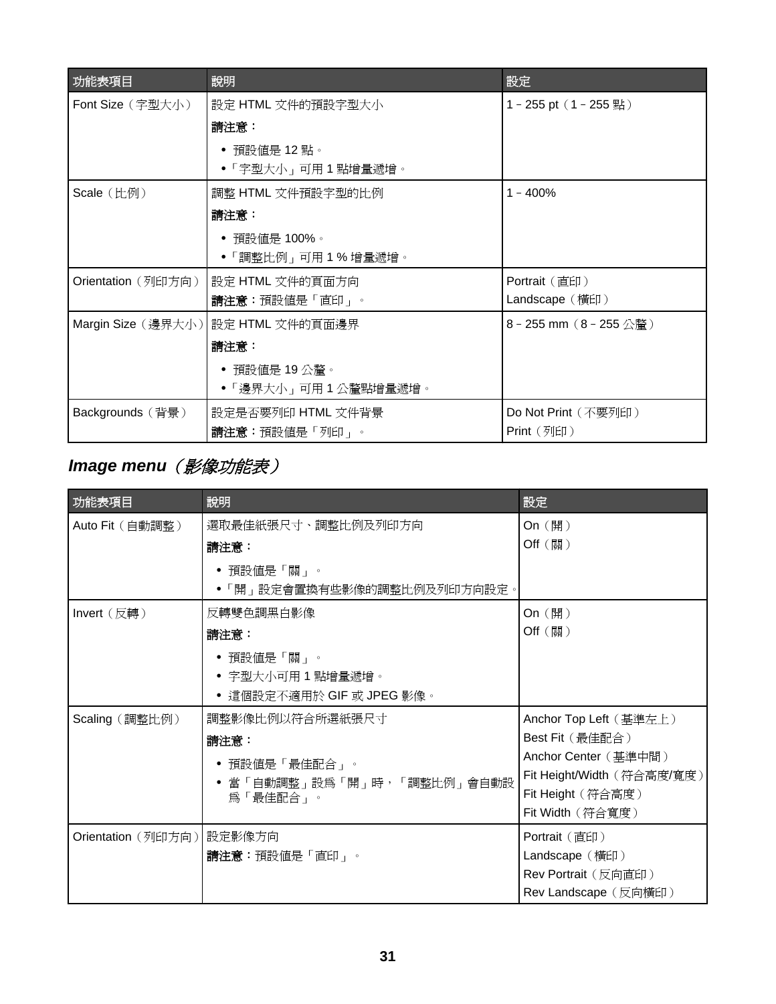<span id="page-30-0"></span>

| 功能表項目              | 說明                                 | 設定                                               |
|--------------------|------------------------------------|--------------------------------------------------|
| Font Size (字型大小)   | 設定 HTML 文件的預設字型大小                  | 1-255 pt (1-255 點)                               |
|                    | 請注意:                               |                                                  |
|                    | ● 預設値是 12 點。                       |                                                  |
|                    | • 「字型大小」可用 1 點增量遞增。                |                                                  |
| Scale (比例)         | 調整 HTML 文件預設字型的比例                  | $1 - 400%$                                       |
|                    | 請注意:                               |                                                  |
|                    | • 預設値是 100%。                       |                                                  |
|                    | ●「調整比例」可用 1 % 增量遞增。                |                                                  |
| Orientation (列印方向) | 設定 HTML 文件的頁面方向                    | Portrait $(\n\equiv$ 印)                          |
|                    | 請注意:預設値是「直印」。                      | Landscape (橫印)                                   |
|                    | Margin Size (邊界大小) 設定 HTML 文件的頁面邊界 | $8 - 255$ mm $(8 - 255 \triangle \frac{255}{2})$ |
|                    | 請注意:                               |                                                  |
|                    | ● 預設値是 19 公釐。                      |                                                  |
|                    | ●「邊界大小」可用1公釐點增量遞增。                 |                                                  |
| Backgrounds (背景)   | 設定是否要列印 HTML 文件背景                  | Do Not Print (不要列印)                              |
|                    | 請注意:預設値是「列印」。                      | Print (列印)                                       |

# *Image menu*(影像功能表)

| 功能表項目              | 說明                                                                                 | 設定                                                                                                                                       |
|--------------------|------------------------------------------------------------------------------------|------------------------------------------------------------------------------------------------------------------------------------------|
| Auto Fit (自動調整)    | 選取最佳紙張尺寸、調整比例及列印方向<br>請注意:<br>• 預設値是「關」。<br>「開」設定會置換有些影像的調整比例及列印方向設定。              | On (開)<br>Off (關)                                                                                                                        |
| Invert (反轉)        | 反轉雙色調黑白影像<br>請注意:<br>• 預設値是「關」。<br>● 字型大小可用1點增量遞增。<br>• 這個設定不適用於 GIF 或 JPEG 影像。    | On (開)<br>Off (~)                                                                                                                        |
| Scaling (調整比例)     | 調整影像比例以符合所選紙張尺寸<br>請注意:<br>• 預設値是「最佳配合」。<br>● 當「自動調整」設爲「開」時,「調整比例」會自動設<br>爲「最佳配合」。 | Anchor Top Left (基準左上)<br>Best Fit (最佳配合)<br>Anchor Center (基準中間)<br>Fit Height/Width (符合高度/寬度)<br>Fit Height (符合高度)<br>Fit Width (符合寬度) |
| Orientation (列印方向) | 設定影像方向<br>請注意:預設値是「直印」。                                                            | Portrait (直印)<br>Landscape (橫印)<br>Rev Portrait (反向直印)<br>Rev Landscape (反向横印)                                                           |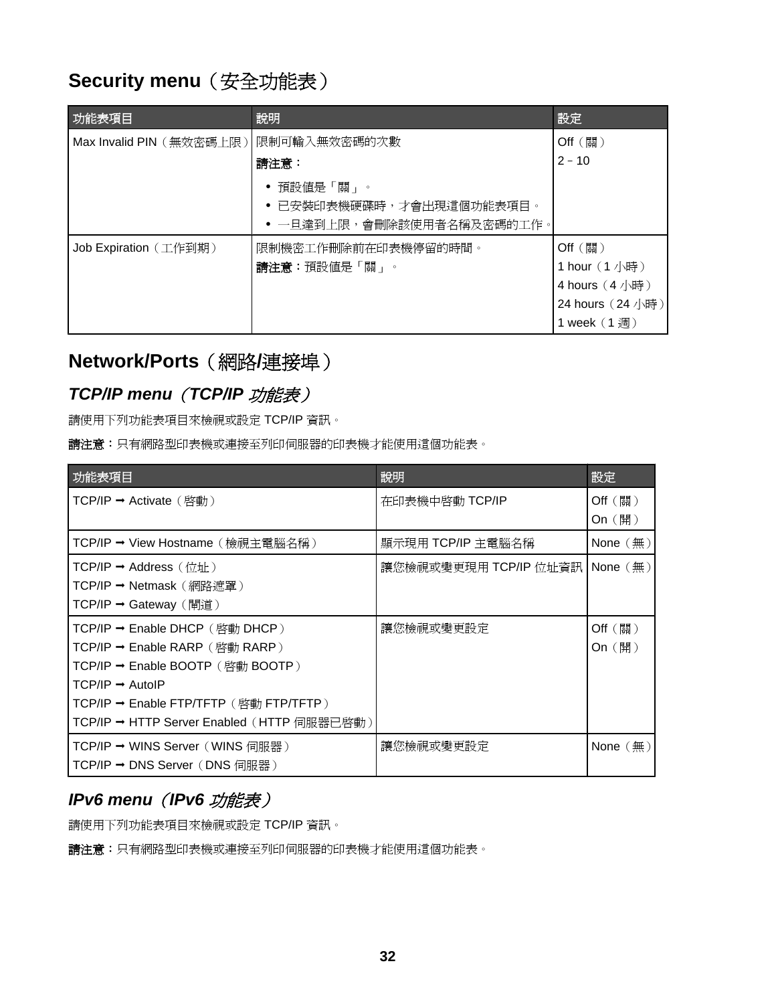# <span id="page-31-0"></span>**Security menu** (安全功能表)

| 功能表項目                    | 說明                                                                  | 設定                                                                                     |
|--------------------------|---------------------------------------------------------------------|----------------------------------------------------------------------------------------|
| Max Invalid PIN (無效密碼上限) | 限制可輸入無效密碼的次數                                                        | $Off$ (關)                                                                              |
|                          | 請注意:                                                                | $2 - 10$                                                                               |
|                          | ● 預設値是「關」。<br>● 已安裝印表機硬碟時,才會出現這個功能表項目。<br>• 一旦達到上限,會刪除該使用者名稱及密碼的工作。 |                                                                                        |
| Job Expiration (工作到期)    | 限制機密工作刪除前在印表機停留的時間。<br>請注意:預設値是「關」。                                 | $Off$ (關)<br>1 hour (1小時)<br>4 hours $(4/\sqrt{m})$<br>24 hours (24 小時)<br>1 week (1週) |

# **Network/Ports**(網路**/**連接埠)

## *TCP/IP menu*(*TCP/IP* 功能表)

請使用下列功能表項目來檢視或設定 TCP/IP 資訊。

**請注意:**只有網路型印表機或連接至列印伺服器的印表機才能使用這個功能表。

| 功能表項目                                        | 說明                    | 設定                     |
|----------------------------------------------|-----------------------|------------------------|
| TCP/IP → Activate $(\&$ 動)                   | 在印表機中啓動 TCP/IP        | Off $(\overline{M})$   |
|                                              |                       | On $(\mathbb{H})$      |
| TCP/IP → View Hostname (檢視主電腦名稱)             | 顯示現用 TCP/IP 主電腦名稱     | None $(\frac{\pi}{2})$ |
| TCP/IP → Address $(\&\&\)$                   | 讓您檢視或變更現用 TCP/IP 位址資訊 | None $(\frac{\pi}{2})$ |
| TCP/IP → Netmask (網路遮罩)                      |                       |                        |
| TCP/IP → Gateway (閘道)                        |                       |                        |
| $TCP/IP \rightarrow$ Enable DHCP (啓動 DHCP)   | 讓您檢視或變更設定             | Off $(\overline{M})$   |
| <b>TCP/IP → Enable RARP</b> (啓動 RARP)        |                       | On $(\mathbb{H})$      |
| $TCP/IP \rightarrow$ Enable BOOTP (啓動 BOOTP) |                       |                        |
| $TCP/IP \rightarrow AutoIP$                  |                       |                        |
| TCP/IP → Enable FTP/TFTP (啓動 FTP/TFTP)       |                       |                        |
| TCP/IP → HTTP Server Enabled (HTTP 伺服器已啓動)   |                       |                        |
| TCP/IP → WINS Server (WINS 伺服器)              | 讓您檢視或變更設定             | None $(\frac{\pi}{2})$ |
| TCP/IP → DNS Server (DNS 伺服器)                |                       |                        |

## *IPv6 menu*(*IPv6* 功能表)

請使用下列功能表項目來檢視或設定 TCP/IP 資訊。

請注意:只有網路型印表機或連接至列印伺服器的印表機才能使用這個功能表。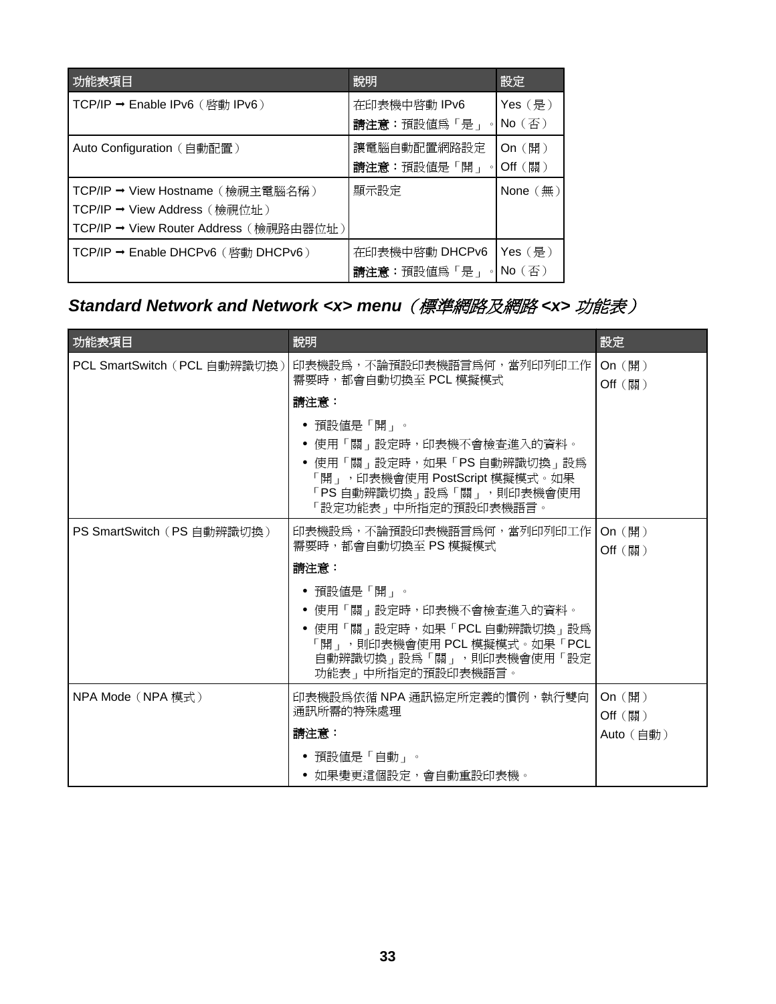<span id="page-32-0"></span>

| 功能表項目                                                                                                      | 說明                                           | 設定                           |
|------------------------------------------------------------------------------------------------------------|----------------------------------------------|------------------------------|
| TCP/IP → Enable IPv6 (啓動 IPv6)                                                                             | 在印表機中啓動 IPv6<br>請注意:預設値爲「是」                  | $Yes ( \# )$<br>$No$ (否)     |
| Auto Configuration (自動配置)                                                                                  | 讓電腦自動配置網路設定<br>請注意:預設値是「開」<br>$\circ$        | On $(\mathbb{H})$<br>Off (關) |
| TCP/IP → View Hostname (檢視主電腦名稱)<br>TCP/IP → View Address (檢視位址)<br>TCP/IP → View Router Address (檢視路由器位址) | 顯示設定                                         | None $(\text{m})$            |
| $TCP/IP \rightarrow$ Enable DHCPv6 ( $ \mathbb{\mathcal{B}}$ $\oplus$ DHCPv6 )                             | 在印表機中啓動 DHCPv6<br>請注意: 預設値爲「是」<br>$^{\circ}$ | $Yes$ (是)<br>$No$ (否)        |

# *Standard Network and Network <x> menu*(標準網路及網路 *<x>* 功能表)

| 功能表項目                        | 說明                                                                                                                                                           | 設定                             |
|------------------------------|--------------------------------------------------------------------------------------------------------------------------------------------------------------|--------------------------------|
| PCL SmartSwitch (PCL 自動辨識切換) | 印表機設爲,不論預設印表機語言爲何,當列印列印工作 <br>需要時,都會自動切換至 PCL 模擬模式<br>請注意:                                                                                                   | On $(\mathbb{H})$<br>Off (關)   |
|                              | • 預設値是「開」。<br>● 使用「關」設定時,印表機不會檢查進入的資料。<br>● 使用「關」設定時,如果「PS 自動辨識切換」設為<br>「開」,印表機會使用 PostScript 模擬模式。如果<br>「PS 自動辨識切換」設為「關」,則印表機會使用<br>「設定功能表」中所指定的預設印表機語言。    |                                |
| PS SmartSwitch (PS 自動辨識切換)   | 印表機設為,不論預設印表機語言為何,當列印列印工作<br>需要時,都會自動切換至 PS 模擬模式                                                                                                             | On (開)<br>Off (關)              |
|                              | 請注意:<br>• 預設値是「開」。<br>● 使用「關」設定時,印表機不會檢查進入的資料。<br>● 使用「關」設定時,如果「PCL 自動辨識切換」設爲<br>「開」,則印表機會使用 PCL 模擬模式。如果「PCL<br>自動辨識切換」設爲「關」,則印表機會使用「設定<br>功能表 再所指定的預設印表機語言。 |                                |
| NPA Mode (NPA 模式)            | 印表機設爲依循 NPA 通訊協定所定義的慣例,執行雙向<br>通訊所需的特殊處理<br>請注意:                                                                                                             | On (開)<br>Off (~)<br>Auto (自動) |
|                              | • 預設値是「自動」。<br>● 如果變更這個設定,會自動重設印表機。                                                                                                                          |                                |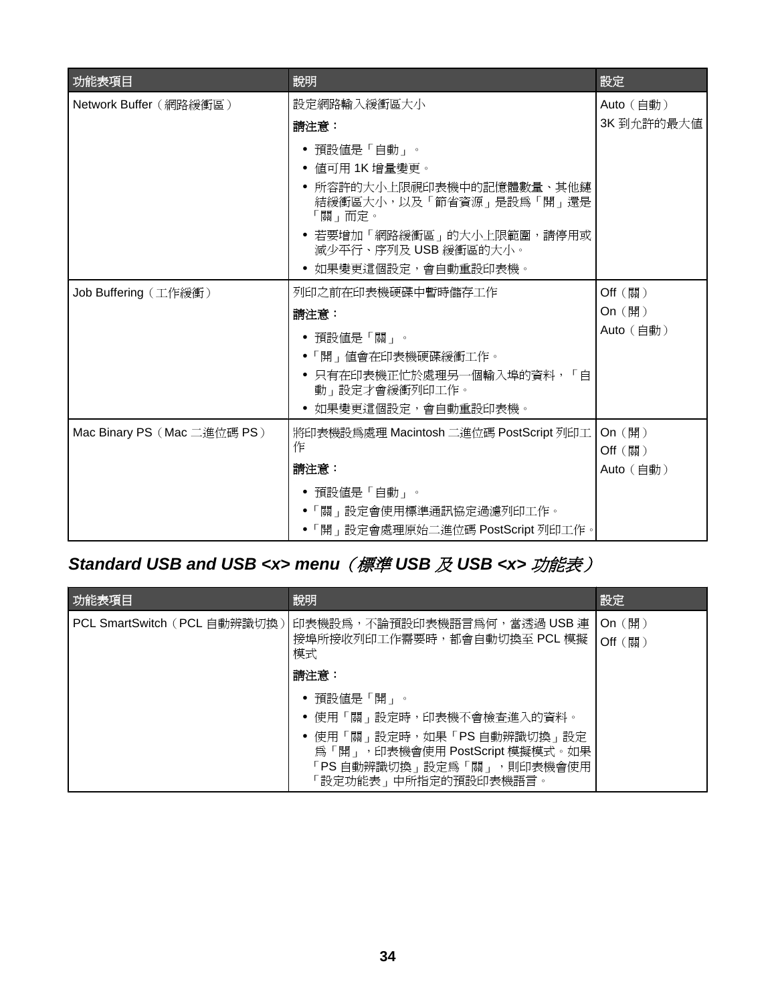<span id="page-33-0"></span>

| 功能表項目                       | 說明                                                                                                                                                                 | 設定                      |
|-----------------------------|--------------------------------------------------------------------------------------------------------------------------------------------------------------------|-------------------------|
| Network Buffer (網路緩衝區)      | 設定網路輸入緩衝區大小<br>請注意:                                                                                                                                                | Auto (自動)<br>3K 到允許的最大值 |
|                             | 預設値是「自動」。<br>値可用 1K 增量變更。<br>所容許的大小上限視印表機中的記憶體數量、其他鏈<br>結緩衝區大小,以及「節省資源」是設爲「開」還是<br>「關」而定。<br>若要增加「網路緩衝區」的大小上限範圍,請停用或<br>減少平行、序列及 USB 緩衝區的大小。<br>如果變更這個設定,會自動重設印表機。 |                         |
| Job Buffering (工作緩衝)        | 列印之前在印表機硬碟中暫時儲存工作                                                                                                                                                  | Off (關)                 |
|                             | 請注意:                                                                                                                                                               | On (開)                  |
|                             | • 預設値是「關」。                                                                                                                                                         | Auto (自動)               |
|                             | ●「開」値會在印表機硬碟緩衝工作。                                                                                                                                                  |                         |
|                             | ● 只有在印表機正忙於處理另一個輸入埠的資料,「自<br>動」設定才會緩衝列印工作。                                                                                                                         |                         |
|                             | 如果變更這個設定,會自動重設印表機。                                                                                                                                                 |                         |
| Mac Binary PS (Mac 二進位碼 PS) | 將印表機設爲處理 Macintosh 二進位碼 PostScript 列印工<br>作                                                                                                                        | On (開)<br>Off (關)       |
|                             | 請注意:                                                                                                                                                               | Auto (自動)               |
|                             | • 預設値是「自動」。<br>●「關」設定會使用標準通訊協定過濾列印工作。<br>•「開」設定會處理原始二進位碼 PostScript 列印工作。                                                                                          |                         |

# *Standard USB and USB <x> menu*(標準 *USB* 及 *USB <x>* 功能表)

| 功能表項目                        | 說明                                                                                                                                             | 設定                           |
|------------------------------|------------------------------------------------------------------------------------------------------------------------------------------------|------------------------------|
| PCL SmartSwitch (PCL 自動辨識切換) | ┃印表機設爲,不論預設印表機語言爲何,當透過 USB 連<br>接埠所接收列印工作需要時,都會自動切換至 PCL 模擬<br>模式                                                                              | On $(\mathbb{H})$<br>Off (關) |
|                              | 請注意:                                                                                                                                           |                              |
|                              | • 使用「關」設定時,印表機不會檢查進入的資料。<br>● 使用「關」設定時,如果「PS 自動辨識切換」設定<br>爲「開」, 印表機會使用 PostScript 模擬模式。如果<br>「PS 自動辨識切換」設定爲「關」,則印表機會使用<br>「設定功能表」中所指定的預設印表機語言。 |                              |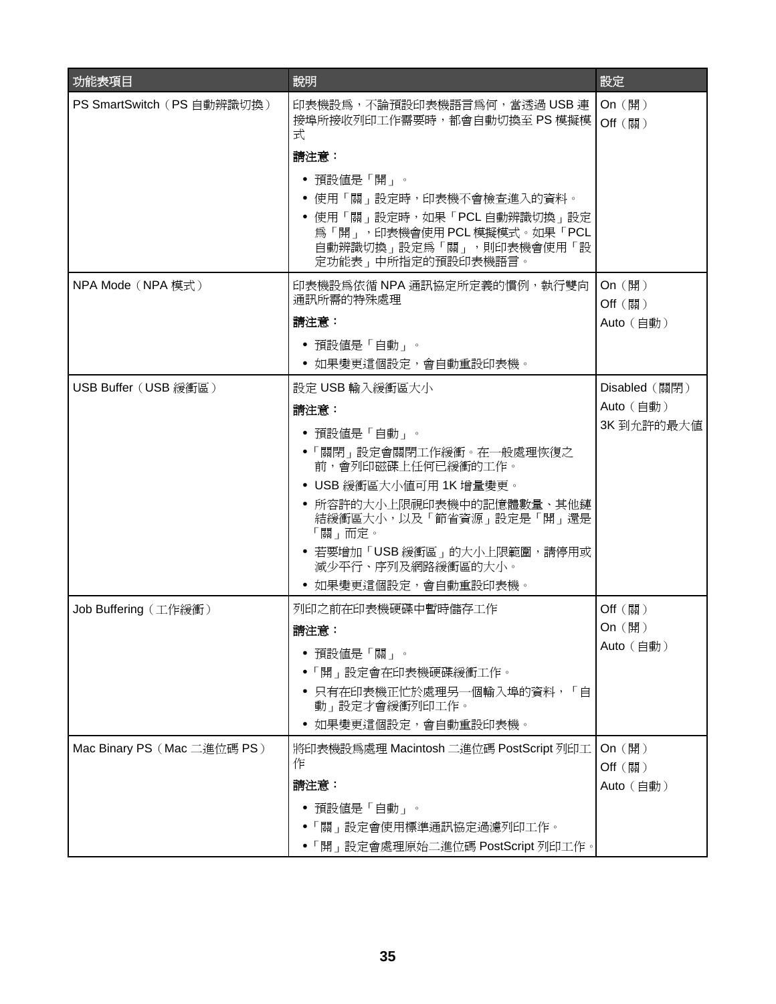| 功能表項目                       | 說明                                                                                                          | 設定                           |
|-----------------------------|-------------------------------------------------------------------------------------------------------------|------------------------------|
| PS SmartSwitch (PS 自動辨識切換)  | 印表機設為,不論預設印表機語言為何,當透過 USB 連<br>接埠所接收列印工作需要時,都會自動切換至 PS 模擬模<br>式                                             | On $(\mathbb{H})$<br>Off (關) |
|                             | 請注意:                                                                                                        |                              |
|                             | • 預設値是「開」。                                                                                                  |                              |
|                             | ● 使用「關」設定時,印表機不會檢查進入的資料。                                                                                    |                              |
|                             | ● 使用「關」設定時,如果「PCL 自動辨識切換」設定<br>為「開」,印表機會使用 PCL 模擬模式。如果「PCL<br>自動辨識切換」設定為「關」,則印表機會使用「設<br>定功能表」中所指定的預設印表機語言。 |                              |
| NPA Mode (NPA 模式)           | 印表機設爲依循 NPA 通訊協定所定義的慣例,執行雙向<br>通訊所需的特殊處理                                                                    | On (開)                       |
|                             | 請注意:                                                                                                        | Off (關)<br>Auto (自動)         |
|                             | ● 預設値是「自動」。                                                                                                 |                              |
|                             | • 如果變更這個設定,會自動重設印表機。                                                                                        |                              |
| USB Buffer (USB 緩衝區)        | 設定 USB 輸入緩衝區大小                                                                                              | Disabled (關閉)                |
|                             | 請注意:                                                                                                        | Auto (自動)                    |
|                             | • 預設値是「自動」。                                                                                                 | 3K到允許的最大值                    |
|                             | ●「關閉」設定會關閉工作緩衝。在一般處理恢復之<br>前,會列印磁碟上任何已緩衝的工作。                                                                |                              |
|                             | • USB 緩衝區大小値可用 1K 增量變更。                                                                                     |                              |
|                             | ● 所容許的大小上限視印表機中的記憶體數量、其他鏈<br>結緩衝區大小,以及「節省資源」設定是「開」還是<br>「關」而定。                                              |                              |
|                             | • 若要增加「USB 緩衝區」的大小上限範圍,請停用或<br>減少平行、序列及網路緩衝區的大小。                                                            |                              |
|                             | 如果變更這個設定,會自動重設印表機。                                                                                          |                              |
| Job Buffering (工作緩衝)        | 列印之前在印表機硬碟中暫時儲存工作                                                                                           | Off (關)                      |
|                             | 請注意:                                                                                                        | On (開)                       |
|                             | 預設値是「關」。                                                                                                    | Auto (自動)                    |
|                             | ●「開」設定會在印表機硬碟緩衝工作。                                                                                          |                              |
|                             | 只有在印表機正忙於處理另一個輸入埠的資料,「自<br>動」設定才會緩衝列印工作。                                                                    |                              |
|                             | 如果變更這個設定,會自動重設印表機。                                                                                          |                              |
| Mac Binary PS (Mac 二進位碼 PS) | 將印表機設爲處理 Macintosh 二進位碼 PostScript 列印工<br>作                                                                 | On (開)<br>Off (關)            |
|                             | 請注意:                                                                                                        | Auto (自動)                    |
|                             | 預設値是「自動」。                                                                                                   |                              |
|                             | 「關」設定會使用標準通訊協定過濾列印工作。                                                                                       |                              |
|                             | • 「開」設定會處理原始二進位碼 PostScript 列印工作。                                                                           |                              |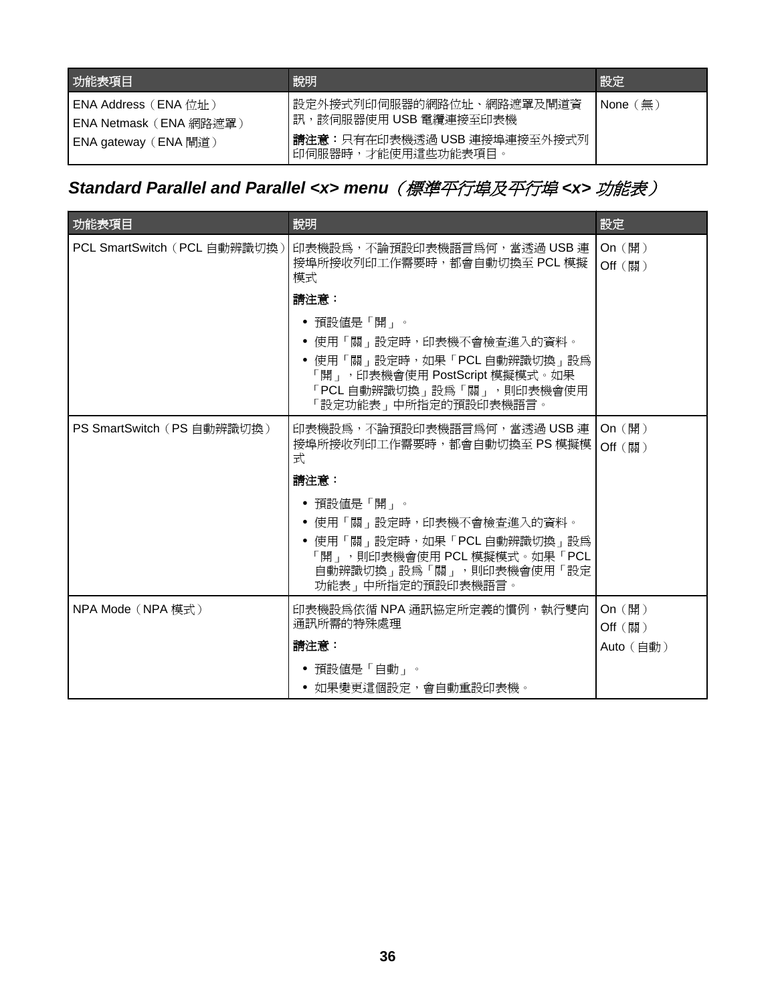<span id="page-35-0"></span>

| 功能表項目                                                                   | 說明                                                                                                         | 設定                     |
|-------------------------------------------------------------------------|------------------------------------------------------------------------------------------------------------|------------------------|
| ┃ENA Address(ENA 位址)<br> ENA Netmask(ENA 網路遮罩)<br> ENA gateway (ENA 閘道) | 設定外接式列印伺服器的網路位址、網路遮罩及閘道資 <br> 訊,該伺服器使用 USB 電纜連接至印表機<br>請注意:只有在印表機透過 USB 連接埠連接至外接式列<br>  印伺服器時,才能使用這些功能表項目。 | None $(\frac{\pi}{2})$ |

# *Standard Parallel and Parallel <x> menu*(標準平行埠及平行埠 *<x>* 功能表)

| 功能表項目                        | 說明                                                                                                                                                           | 設定                           |
|------------------------------|--------------------------------------------------------------------------------------------------------------------------------------------------------------|------------------------------|
| PCL SmartSwitch (PCL 自動辨識切換) | 印表機設為,不論預設印表機語言為何,當透過 USB 連<br>接埠所接收列印工作需要時,都會自動切換至 PCL 模擬<br>模式                                                                                             | On (開)<br>Off (關)            |
|                              | 請注意:                                                                                                                                                         |                              |
|                              | • 預設値是「開」。<br>● 使用「關」設定時,印表機不會檢查進入的資料。<br>● 使用「關」設定時,如果「PCL 自動辨識切換」設為<br>「開」, 印表機會使用 PostScript 模擬模式。如果<br>「PCL 自動辨識切換」設為「關」,則印表機會使用<br>「設定功能表」中所指定的預設印表機語言。 |                              |
| PS SmartSwitch (PS 自動辨識切換)   | 印表機設為,不論預設印表機語言為何,當透過 USB 連<br>接埠所接收列印工作需要時,都會自動切換至 PS 模擬模<br>式                                                                                              | On (開)<br>Off (關)            |
|                              | 請注意:                                                                                                                                                         |                              |
|                              | • 預設値是「開」。<br>• 使用「關」設定時,印表機不會檢查進入的資料。<br>● 使用「關」設定時,如果「PCL 自動辨識切換」設為<br>「開」,則印表機會使用 PCL 模擬模式。如果「PCL<br>自動辨識切換」設為「關」,則印表機會使用「設定<br>功能表」中所指定的預設印表機語言。         |                              |
| NPA Mode(NPA 模式)             | 印表機設為依循 NPA 通訊協定所定義的慣例,執行雙向<br>通訊所需的特殊處理                                                                                                                     | On $(\mathbb{H})$<br>Off (關) |
|                              | 請注意:                                                                                                                                                         | Auto (自動)                    |
|                              | ● 如果變更這個設定,會自動重設印表機。                                                                                                                                         |                              |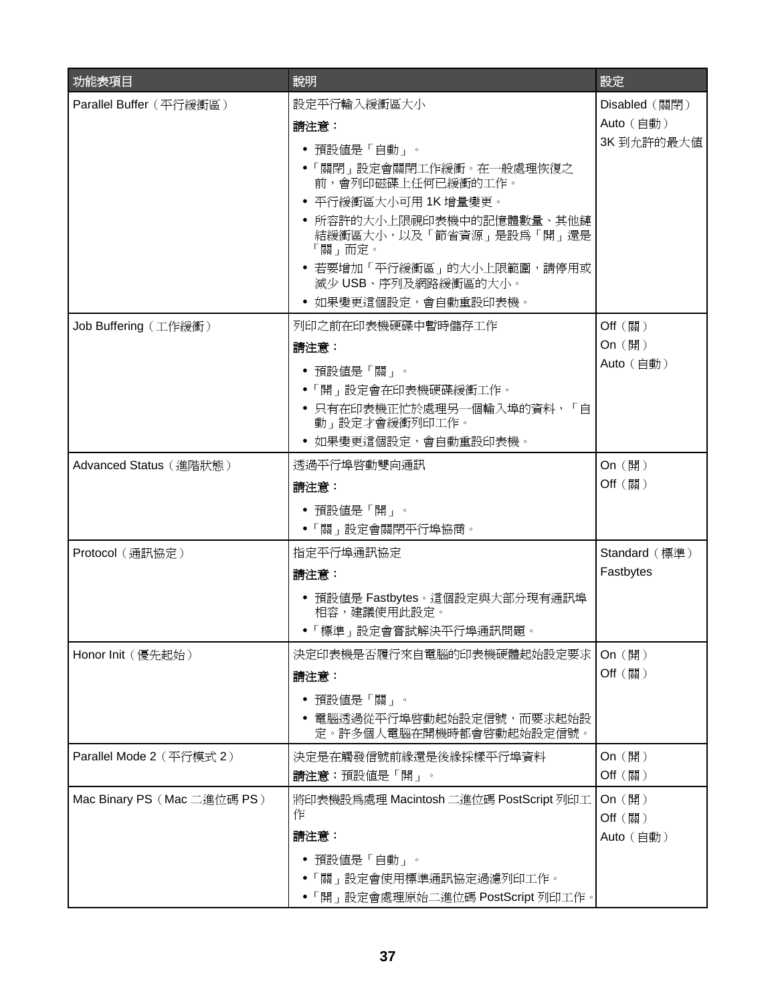| 功能表項目                       | 說明                                                                                                                                                                                                                                                     | 設定                                      |
|-----------------------------|--------------------------------------------------------------------------------------------------------------------------------------------------------------------------------------------------------------------------------------------------------|-----------------------------------------|
| Parallel Buffer (平行緩衝區)     | 設定平行輸入緩衝區大小<br>請注意:<br>• 預設値是「自動」。<br>●「關閉」設定會關閉工作緩衝。在一般處理恢復之<br>前,會列印磁碟上任何已緩衝的工作。<br>• 平行緩衝區大小可用 1K 增量變更。<br>所容許的大小上限視印表機中的記憶體數量、其他鏈<br>結緩衝區大小,以及「節省資源」是設爲「開」還是<br>「關」而定。<br>● 若要增加「平行緩衝區」的大小上限範圍,請停用或<br>減少 USB、序列及網路緩衝區的大小。<br>● 如果變更這個設定,會自動重設印表機。 | Disabled (關閉)<br>Auto (自動)<br>3K到允許的最大值 |
| Job Buffering (工作緩衝)        | 列印之前在印表機硬碟中暫時儲存工作<br>請注意:<br>• 預設値是「關」。<br>●「開」設定會在印表機硬碟緩衝工作。<br>● 只有在印表機正忙於處理另一個輸入埠的資料,「自<br>動」設定才會緩衝列印工作。<br>如果變更這個設定,會自動重設印表機。                                                                                                                      | Off (關)<br>On (開)<br>Auto (自動)          |
| Advanced Status (進階狀態)      | 透過平行埠啓動雙向通訊<br>請注意:<br>• 預設値是「開」。<br>●「關」設定會關閉平行埠協商。                                                                                                                                                                                                   | On (開)<br>Off (關)                       |
| Protocol (通訊協定)             | 指定平行埠通訊協定<br>請注意:<br>• 預設値是 Fastbytes。這個設定與大部分現有通訊埠<br>相容,建議使用此設定。<br>•「標準」設定會嘗試解決平行埠通訊問題。                                                                                                                                                             | Standard (標準)<br>Fastbytes              |
| Honor Init (優先起始)           | 決定印表機是否履行來自電腦的印表機硬體起始設定要求<br>請注意:<br>預設値是「關」。<br>電腦透過從平行埠啓動起始設定信號,而要求起始設<br>定。許多個人電腦在開機時都會啓動起始設定信號。                                                                                                                                                    | On $(\mathbb{H})$<br>Off (關)            |
| Parallel Mode 2 (平行模式 2)    | 決定是在觸發信號前緣還是後緣採樣平行埠資料<br><b>請注意:</b> 預設値是「開」。                                                                                                                                                                                                          | On (開)<br>Off (關)                       |
| Mac Binary PS (Mac 二進位碼 PS) | 將印表機設爲處理 Macintosh 二進位碼 PostScript 列印工<br>作<br>請注意:<br>預設値是「自動」。<br>●「關」設定會使用標準通訊協定過濾列印工作。<br>• 「開」設定會處理原始二進位碼 PostScript 列印工作。                                                                                                                        | On (開)<br>Off (關)<br>Auto (自動)          |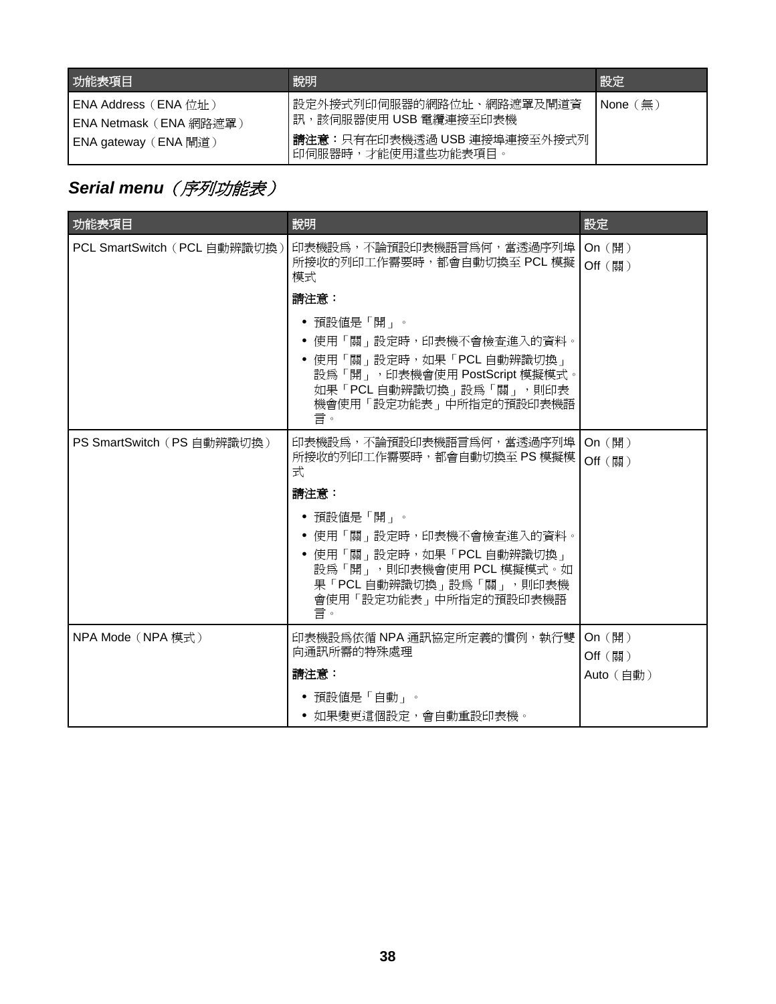<span id="page-37-0"></span>

| 功能表項目                                                                  | 說明                                                                                                      | 設定                           |
|------------------------------------------------------------------------|---------------------------------------------------------------------------------------------------------|------------------------------|
| ENA Address(ENA 位址)<br> ENA Netmask(ENA 網路遮罩)<br> ENA gateway (ENA 閘道) | 設定外接式列印伺服器的網路位址、網路遮罩及閘道資<br>訊,該伺服器使用 USB 電纜連接至印表機<br>請注意:只有在印表機透過 USB 連接埠連接至外接式列<br> 印伺服器時,才能使用這些功能表項目。 | $\mathsf{None}(\mathsf{\#})$ |

# **Serial menu** (序列功能表)

| 功能表項目                        | 說明                                                                                                                     | 設定                |
|------------------------------|------------------------------------------------------------------------------------------------------------------------|-------------------|
| PCL SmartSwitch (PCL 自動辨識切換) | 印表機設爲,不論預設印表機語言爲何,當透過序列埠 <br>所接收的列印工作需要時,都會自動切換至 PCL 模擬  <br>模式                                                        | On (開)<br>Off (關) |
|                              | 請注意:                                                                                                                   |                   |
|                              | • 預設値是「開」。                                                                                                             |                   |
|                              | ● 使用「關」設定時,印表機不會檢查進入的資料。                                                                                               |                   |
|                              | ● 使用「關」設定時,如果「PCL 自動辨識切換」<br>設爲「開」, 印表機會使用 PostScript 模擬模式。<br>如果「PCL 自動辨識切換」設為「關」,則印表<br>機會使用「設定功能表」中所指定的預設印表機語<br>言。 |                   |
| PS SmartSwitch (PS 自動辨識切換)   | 印表機設為,不論預設印表機語言爲何,當透過序列埠   On (開)                                                                                      |                   |
|                              | 所接收的列印工作需要時,都會自動切換至 PS 模擬模<br>式                                                                                        | Off (關)           |
|                              | 請注意:                                                                                                                   |                   |
|                              | • 預設値是「開」。                                                                                                             |                   |
|                              | ● 使用「關」設定時,印表機不會檢查進入的資料。                                                                                               |                   |
|                              | ● 使用「關」設定時,如果「PCL 自動辨識切換」<br>設為「開」,則印表機會使用 PCL 模擬模式。如<br>果「PCL 自動辨識切換」設為「關」,則印表機<br>會使用「設定功能表」中所指定的預設印表機語<br>言。        |                   |
| NPA Mode (NPA 模式)            | 印表機設爲依循 NPA 通訊協定所定義的慣例,執行雙丨                                                                                            | On $(\mathbb{H})$ |
|                              | 向通訊所需的特殊處理                                                                                                             | Off (關)           |
|                              | 請注意:                                                                                                                   | Auto (自動)         |
|                              | 預設値是「自動」。<br>٠<br>● 如果變更這個設定,會自動重設印表機。                                                                                 |                   |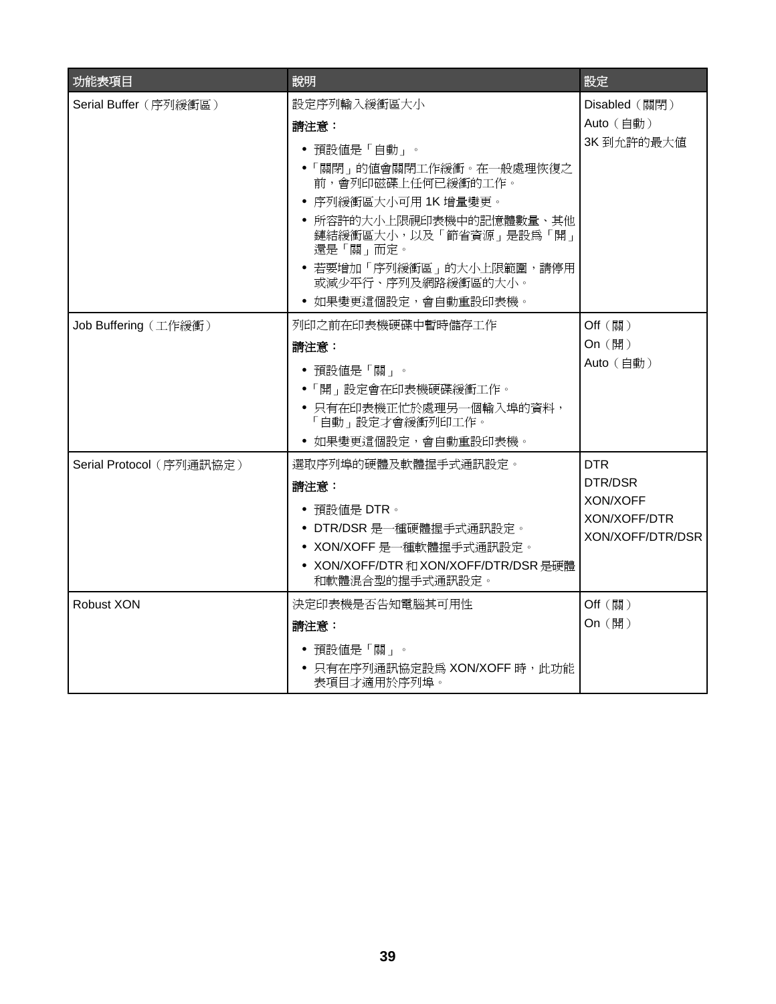| 功能表項目                    | 說明                                                                                                                                                                                                                                                     | 設定                                                                    |
|--------------------------|--------------------------------------------------------------------------------------------------------------------------------------------------------------------------------------------------------------------------------------------------------|-----------------------------------------------------------------------|
| Serial Buffer (序列緩衝區)    | 設定序列輸入緩衝區大小<br>請注意:<br>• 預設値是「自動」。<br>•「關閉」的值會關閉工作緩衝。在一般處理恢復之<br>前,會列印磁碟上任何已緩衝的工作。<br>• 序列緩衝區大小可用 1K 增量變更。<br>• 所容許的大小上限視印表機中的記憶體數量、其他<br>鏈結緩衝區大小,以及「節省資源」是設為「開」<br>還是「關」而定。<br>• 若要增加「序列緩衝區」的大小上限範圍,請停用<br>或減少平行、序列及網路緩衝區的大小。<br>• 如果變更這個設定,會自動重設印表機。 | Disabled (關閉)<br>Auto (自動)<br>3K 到允許的最大值                              |
| Job Buffering (工作緩衝)     | 列印之前在印表機硬碟中暫時儲存工作<br>請注意:<br>• 預設値是「關」。<br>•「開」設定會在印表機硬碟緩衝工作。<br>• 只有在印表機正忙於處理另一個輸入埠的資料,<br>「自動」設定才會緩衝列印工作。<br>• 如果變更這個設定,會自動重設印表機。                                                                                                                    | Off (關)<br>On (開)<br>Auto (自動)                                        |
| Serial Protocol (序列通訊協定) | 選取序列埠的硬體及軟體握手式通訊設定。<br>請注意:<br>• 預設値是 DTR。<br>• DTR/DSR 是一種硬體握手式通訊設定。<br>• XON/XOFF 是一種軟體握手式通訊設定。<br>• XON/XOFF/DTR 和 XON/XOFF/DTR/DSR 是硬體<br>和軟體混合型的握手式通訊設定。                                                                                          | <b>DTR</b><br>DTR/DSR<br>XON/XOFF<br>XON/XOFF/DTR<br>XON/XOFF/DTR/DSR |
| Robust XON               | 決定印表機是否告知電腦其可用性<br>請注意:<br>• 預設値是「關」。<br>• 只有在序列通訊協定設為 XON/XOFF 時,此功能<br>表項目才適用於序列埠。                                                                                                                                                                   | Off (關)<br>On (開)                                                     |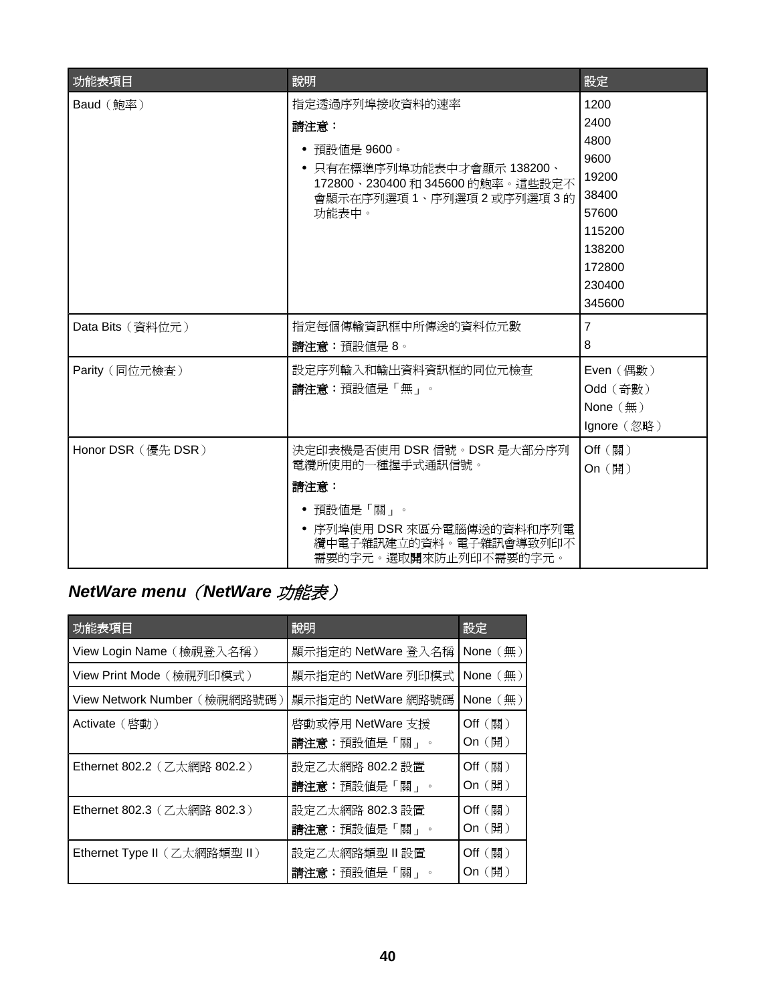<span id="page-39-0"></span>

| 功能表項目              | 說明                                                                                                                                                              | 設定                                                                                                        |
|--------------------|-----------------------------------------------------------------------------------------------------------------------------------------------------------------|-----------------------------------------------------------------------------------------------------------|
| Baud (鮑率)          | 指定透過序列埠接收資料的速率<br>請注意:<br>• 預設値是 9600。<br>● 只有在標準序列埠功能表中才會顯示 138200、<br>172800、230400 和 345600 的鮑率。這些設定不<br>會顯示在序列選項1、序列選項2或序列選項3的<br>功能表中。                     | 1200<br>2400<br>4800<br>9600<br>19200<br>38400<br>57600<br>115200<br>138200<br>172800<br>230400<br>345600 |
| Data Bits (資料位元)   | 指定每個傳輸資訊框中所傳送的資料位元數<br>請注意:預設値是8。                                                                                                                               | $\overline{7}$<br>8                                                                                       |
| Parity (同位元檢查)     | 設定序列輸入和輸出資料資訊框的同位元檢查<br>請注意:預設値是「無」。                                                                                                                            | Even (偶數)<br>Odd (奇數)<br>None $(\frac{\pi}{2})$<br>Ignore (忽略)                                            |
| Honor DSR (優先 DSR) | 決定印表機是否使用 DSR 信號。DSR 是大部分序列<br>電纜所使用的一種握手式通訊信號。<br>請注意:<br>• 預設値是「關」。<br>• 序列埠使用 DSR 來區分電腦傳送的資料和序列電<br>纜中電子雜訊建立的資料。電子雜訊會導致列印不<br>需要的字元。選取 <b>開</b> 來防止列印不需要的字元。 | Off (關)<br>On (開)                                                                                         |

# *NetWare menu*(*NetWare* 功能表)

| 功能表項目                        | 說明                               | 設定                             |
|------------------------------|----------------------------------|--------------------------------|
| View Login Name (檢視登入名稱)     | 顯示指定的 NetWare 登入名稱               | None $(\frac{\pi}{2})$         |
| View Print Mode (檢視列印模式)     | 顯示指定的 NetWare 列印模式               | None $(\text{m})$              |
| View Network Number (檢視網路號碼) | 顯示指定的 NetWare 網路號碼               | None $(\text{m})$              |
| Activate ( 啓動 )              | 啓動或停用 NetWare 支援<br>請注意:預設値是「關」。 | Off (~)<br>On (開)              |
| Ethernet 802.2 (乙太網路 802.2)  | 設定乙太網路 802.2 設置<br>請注意:預設値是「關」。  | $Off$ (關)<br>On (開)            |
| Ethernet 802.3 (乙太網路 802.3)  | 設定乙太網路 802.3 設置<br>請注意:預設値是「關」。  | $Off$ (關)<br>On $(\mathbb{H})$ |
| Ethernet Type II (乙太網路類型 II) | 設定乙太網路類型Ⅱ設置<br>請注意:預設値是「關」。      | Off (~)<br>On $(\mathbb{H})$   |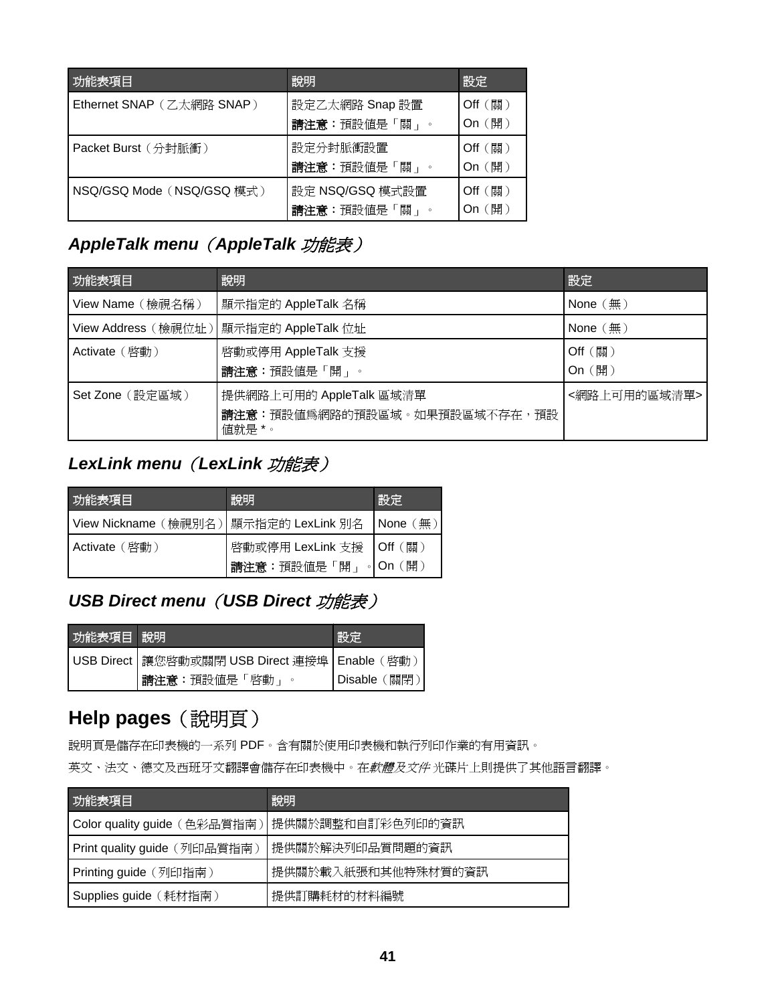<span id="page-40-0"></span>

| 功能表項目                     | 說明                              | 設定                  |
|---------------------------|---------------------------------|---------------------|
| Ethernet SNAP (乙太網路 SNAP) | 設定乙太網路 Snap 設置<br>請注意:預設值是「關」。  | $Off$ (關)<br>On (開) |
| Packet Burst (分封脈衝)       | 設定分封脈衝設置<br>請注意:預設值是「關」。        | $Off$ (關)<br>On (開) |
| NSQ/GSQ Mode (NSQ/GSQ 模式) | 設定 NSQ/GSQ 模式設置<br>請注意:預設值是「關」。 | $Off$ (關)<br>(開)    |

## *AppleTalk menu*(*AppleTalk* 功能表)

| 功能表項目            | 說明                                                                | 設定                     |
|------------------|-------------------------------------------------------------------|------------------------|
| View Name (檢視名稱) | 顯示指定的 AppleTalk 名稱                                                | None $(\frac{\pi}{2})$ |
|                  | View Address (檢視位址)   顯示指定的 AppleTalk 位址                          | None $(\frac{\pi}{2})$ |
| Activate ( 啓動 )  | 啓動或停用 AppleTalk 支援<br>請注意:預設値是「開」。                                | $Off$ (關)<br>On (開)    |
| Set Zone (設定區域)  | 提供網路上可用的 AppleTalk 區域清單<br>請注意:預設値爲網路的預設區域。如果預設區域不存在,預設<br>值就是 *。 | <網路上可用的區域清單>           |

# *LexLink menu*(*LexLink* 功能表)

| 功能表項目                | 說明                          | 設定                   |
|----------------------|-----------------------------|----------------------|
| View Nickname (檢視別名) | 顯示指定的 LexLink 別名   None (無) |                      |
| Activate(啓動)         | '啓動或停用 LexLink 支援 │Off (關)  |                      |
|                      | 請注意:預設値是「開」                 | 。I On $(\mathbb{H})$ |

## *USB Direct menu*(*USB Direct* 功能表)

| 功能表項目 說明 |                                                    | ぼいしょう ぼうしゃ マイクロ ぼうしゃ しゃくしゃ しょうしょう はんしゃく しょうしょう |
|----------|----------------------------------------------------|------------------------------------------------|
|          | USB Direct   讓您啓動或關閉 USB Direct 連接埠   Enable ( 啓動) |                                                |
|          | 請注意:預設値是「啓動」                                       | │Disable (關閉`                                  |

# **Help pages**(說明頁)

說明頁是儲存在印表機的一系列 PDF。含有關於使用印表機和執行列印作業的有用資訊。

英文、法文、德文及西班牙文翻譯會儲存在印表機中。在軟體及文件 光碟片上則提供了其他語言翻譯。

| 功能表項目                        | 說明                 |
|------------------------------|--------------------|
| Color quality guide (色彩品質指南) | 提供關於調整和自訂彩色列印的資訊   |
| Print quality guide (列印品質指南) | 提供關於解決列印品質問題的資訊    |
| Printing guide (列印指南)        | 提供關於載入紙張和其他特殊材質的資訊 |
| Supplies guide (耗材指南)        | 提供訂購耗材的材料編號        |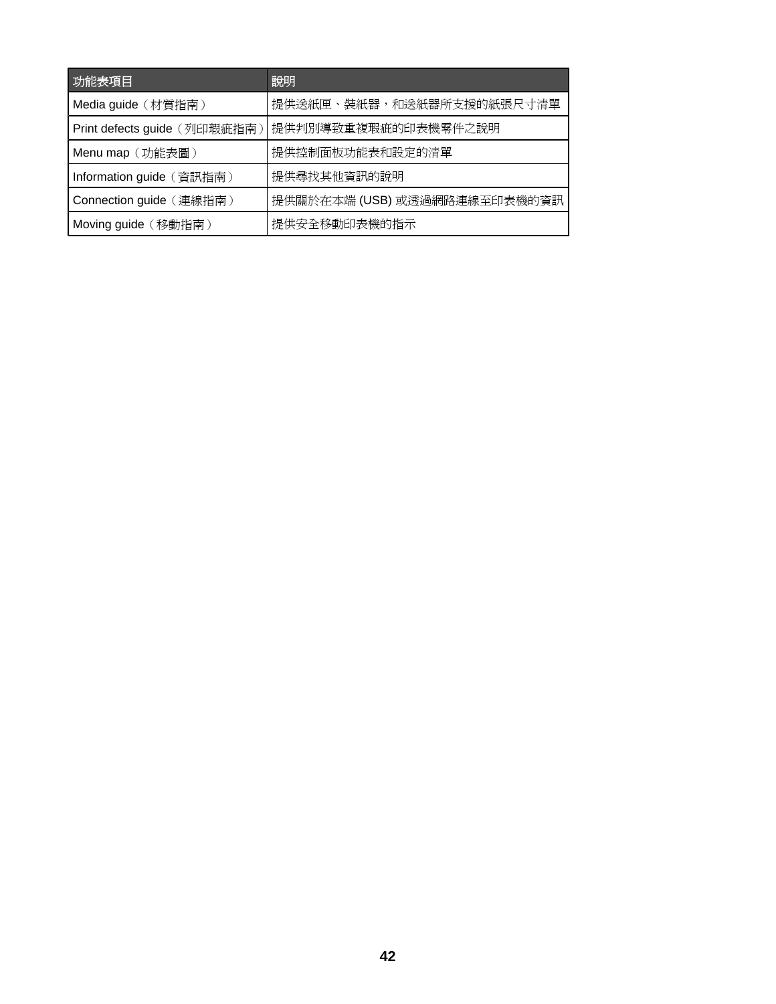| 功能表項目                        | 說明                           |
|------------------------------|------------------------------|
| Media guide (材質指南)           | 提供送紙匣、裝紙器,和送紙器所支援的紙張尺寸清單     |
| Print defects guide (列印瑕疵指南) | 提供判別導致重複瑕疵的印表機零件之說明          |
| Menu map (功能表圖)              | 提供控制面板功能表和設定的清單              |
| Information guide (資訊指南)     | 提供尋找其他資訊的說明                  |
| Connection guide (連線指南)      | 提供關於在本端 (USB) 或透過網路連線至印表機的資訊 |
| Moving guide (移動指南)          | 提供安全移動印表機的指示                 |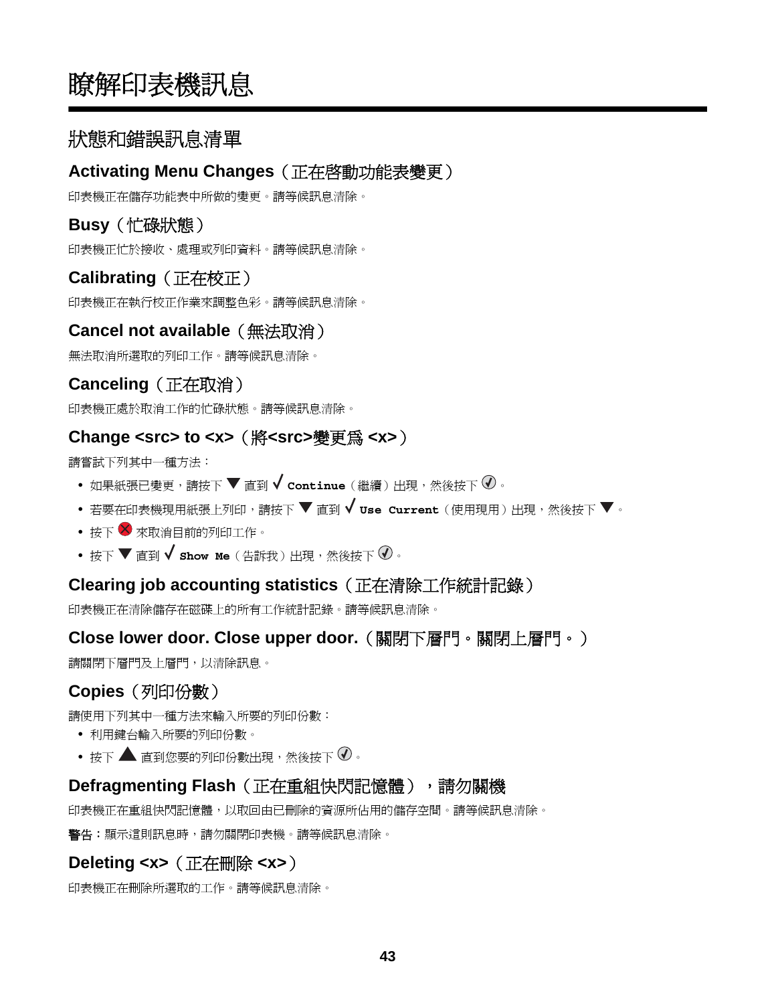# <span id="page-42-0"></span>瞭解印表機訊息

## 狀態和錯誤訊息清單

### **Activating Menu Changes**(正在啟動功能表變更)

印表機正在儲存功能表中所做的變更。請等候訊息清除。

## **Busy**(忙碌狀態)

印表機正忙於接收、處理或列印資料。請等候訊息清除。

## **Calibrating**(正在校正)

印表機正在執行校正作業來調整色彩。請等候訊息清除。

### **Cancel not available**(無法取消)

無法取消所選取的列印工作。請等候訊息清除。

## **Canceling**(正在取消)

印表機正處於取消工作的忙碌狀態。請等候訊息清除。

#### **Change <src> to <x>**(將**<src>**變更為 **<x>**)

請嘗試下列其中一種方法:

- 如果紙張已變更,請按下 ▼ 直到 ✔ continue (繼續) 出現,然後按下 <sup>① 。</sup>
- 若要在印表機現用紙張上列印,請按下 ▼ 直到 ✔ use Current(使用現用)出現,然後按下 ▼ 。
- 按下 2 來取消目前的列印工作。
- **•** 按下 直到 **Show Me**(告訴我)出現,然後按下 。

### **Clearing job accounting statistics**(正在清除工作統計記錄)

印表機正在清除儲存在磁碟上的所有工作統計記錄。請等候訊息清除。

### **Close lower door. Close upper door.**(關閉下層門。關閉上層門。)

請關閉下層門及上層門,以清除訊息。

## **Copies**(列印份數)

請使用下列其中一種方法來輸入所要的列印份數:

- **•** 利用鍵台輸入所要的列印份數。
- 按下 **▲** 直到您要的列印份數出現,然後按下 <sup>7</sup>。

#### **Defragmenting Flash**(正在重組快閃記憶體),請勿關機

印表機正在重組快閃記憶體,以取回由已刪除的資源所佔用的儲存空間。請等候訊息清除。

**警告:**顯示這則訊息時,請勿關閉印表機。請等候訊息清除。

## **Deleting <x>**(正在刪除 **<x>**)

印表機正在刪除所選取的工作。請等候訊息清除。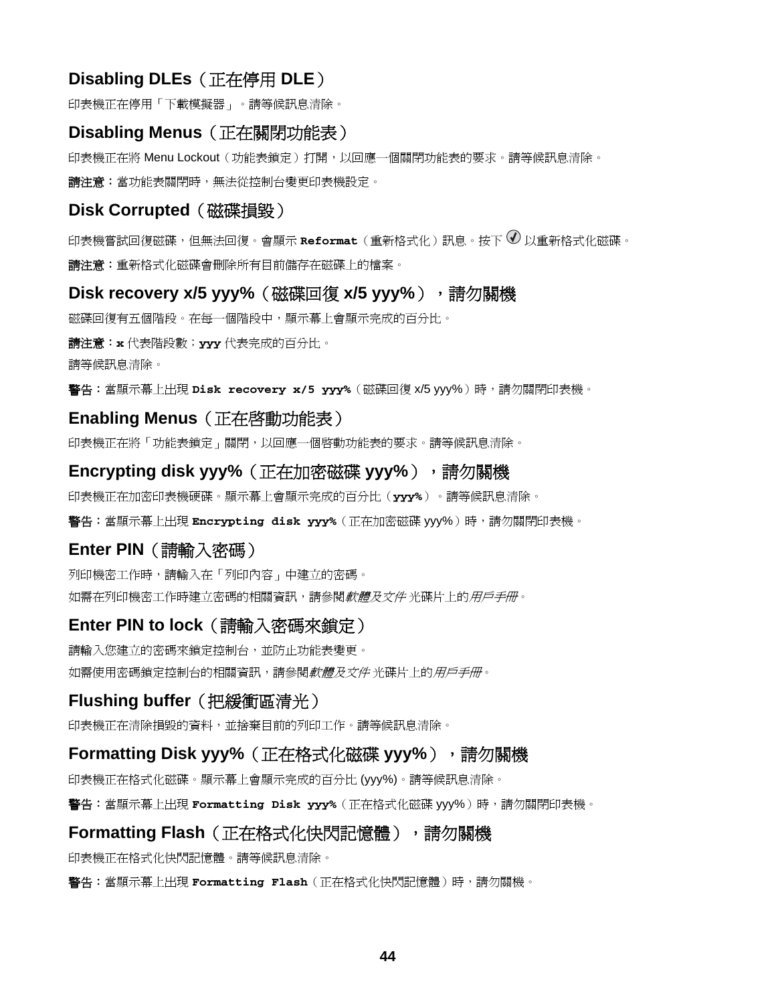### <span id="page-43-0"></span>**Disabling DLEs**(正在停用 **DLE**)

印表機正在停用「下載模擬器」。請等候訊息清除。

#### **Disabling Menus**(正在關閉功能表)

印表機正在將 Menu Lockout(功能表鎖定)打開,以回應一個關閉功能表的要求。請等候訊息清除。 請注意:當功能表關閉時,無法從控制台變更印表機設定。

#### **Disk Corrupted** (磁碟損毀)

印表機嘗試回復磁碟,但無法回復。會顯示 **Reformat**(重新格式化)訊息。按下 以重新格式化磁碟。 請注意:重新格式化磁碟會刪除所有目前儲存在磁碟上的檔案。

#### **Disk recovery x/5 yyy%**(磁碟回復 **x/5 yyy%**),請勿關機

磁碟回復有五個階段。在每一個階段中,顯示幕上會顯示完成的百分比。

#### 請注意:**x** 代表階段數;**yyy** 代表完成的百分比。

請等候訊息清除。

警告:當顯示幕上出現 Disk recovery x/5 yyy% (磁碟回復 x/5 yyy%) 時,請勿關閉印表機。

#### **Enabling Menus**(正在啟動功能表)

印表機正在將「功能表鎖定」關閉,以回應一個啓動功能表的要求。請等候訊息清除。

#### **Encrypting disk yyy%**(正在加密磁碟 **yyy%**),請勿關機

印表機正在加密印表機硬碟。顯示幕上會顯示完成的百分比(**yyy%**)。請等候訊息清除。

警告:當顯示幕上出現 **Encrypting disk yyy%**(正在加密磁碟 yyy%)時,請勿關閉印表機。

#### **Enter PIN**(請輸入密碼)

列印機密工作時,請輸入在「列印內容」中建立的密碼。 如需在列印機密工作時建立密碼的相關資訊,請參閱*軟體及文件* 光碟片上的*用戶手冊*。

#### **Enter PIN to lock**(請輸入密碼來鎖定)

請輸入您建立的密碼來鎖定控制台,並防止功能表變更。 如需使用密碼鎖定控制台的相關資訊,請參閱*軟體及文件* 光碟片上的*用戶手冊*。

#### **Flushing buffer**(把緩衝區清光)

印表機正在清除損毀的資料,並捨棄目前的列印工作。請等候訊息清除。

#### **Formatting Disk yyy%** (正在格式化磁碟 yyy%), 請勿關機

印表機正在格式化磁碟。顯示幕上會顯示完成的百分比 (yyy%)。請等候訊息清除。

警告:當顯示幕上出現 Formatting Disk yyy% (正在格式化磁碟 yyy%)時,請勿關閉印表機。

#### **Formatting Flash**(正在格式化快閃記憶體),請勿關機

印表機正在格式化快閃記憶體。請等候訊息清除。

警告:當顯示幕上出現 **Formatting Flash**(正在格式化快閃記憶體)時,請勿關機。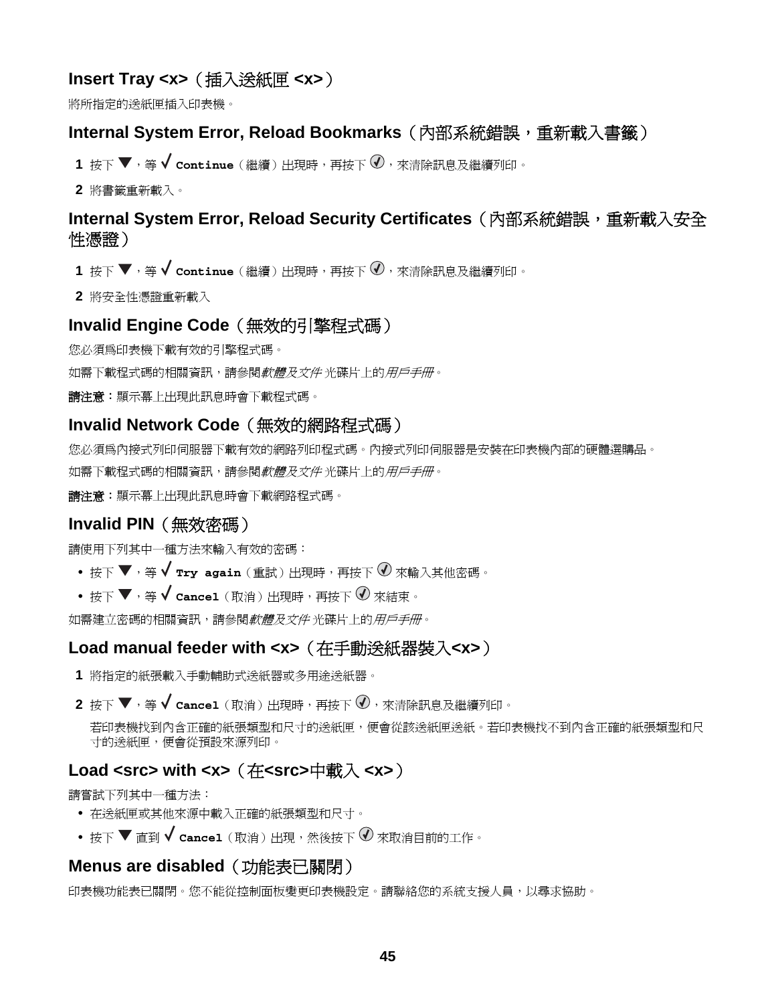## <span id="page-44-0"></span>**Insert Tray <x>**(插入送紙匣 **<x>**)

將所指定的送紙匣插入印表機。

#### **Internal System Error, Reload Bookmarks** (內部系統錯誤,重新載入書籤)

- 1 按下 ▼,等 ✔ continue (繼續) 出現時,再按下 亚,來清除訊息及繼續列印。
- **2** 將書籤重新載入。

### **Internal System Error, Reload Security Certificates**(內部系統錯誤,重新載入安全 性憑證)

- 1 按下 ▼,等 ✔ continue (繼續)出現時,再按下 亚,來清除訊息及繼續列印。
- **2** 將安全性憑證重新載入

### **Invalid Engine Code**(無效的引擎程式碼)

您必須為印表機下載有效的引擎程式碼。

如需下載程式碼的相關資訊,請參閱*軟體及文件* 光碟片上的*用戶手冊*。

請注意:顯示幕上出現此訊息時會下載程式碼。

#### **Invalid Network Code**(無效的網路程式碼)

您必須為內接式列印伺服器下載有效的網路列印程式碼。內接式列印伺服器是安裝在印表機內部的硬體選購品。 如需下載程式碼的相關資訊,請參閱*軟體及文件* 光碟片上的*用戶手冊*。

請注意:顯示幕上出現此訊息時會下載網路程式碼。

### **Invalid PIN**(無效密碼)

請使用下列其中一種方法來輸入有效的密碼:

- 按下 ▼,等 ✔ **Try again**(重試)出現時,再按下 ⑦ 來輸入其他密碼。
- 按下 ▼,等 √ cancel (取消) 出現時,再按下 ⑦ 來結束。

如需建立密碼的相關資訊,請參閱*軟體及文件* 光碟片上的*用戶手冊*。

### **Load manual feeder with <x>**(在手動送紙器裝入**<x>**)

- **1** 將指定的紙張載入手動輔助式送紙器或多用途送紙器。
- $\mathbf 2$  按下 ▼,等 ✔  $\mathbf c$ ancel(取消)出現時,再按下 ⑦,來清除訊息及繼續列印。

若印表機找到內含正確的紙張類型和尺寸的送紙匣,便會從該送紙匣送紙。若印表機找不到內含正確的紙張類型和尺 寸的送紙匣,便會從預設來源列印。

### **Load <src> with <x>**(在**<src>**中載入 **<x>**)

請嘗試下列其中一種方法:

- **•** 在送紙匣或其他來源中載入正確的紙張類型和尺寸。
- **•** 按下 直到 **Cancel**(取消)出現,然後按下 來取消目前的工作。

#### **Menus are disabled**(功能表已關閉)

印表機功能表已關閉。您不能從控制面板變更印表機設定。請聯絡您的系統支援人員,以尋求協助。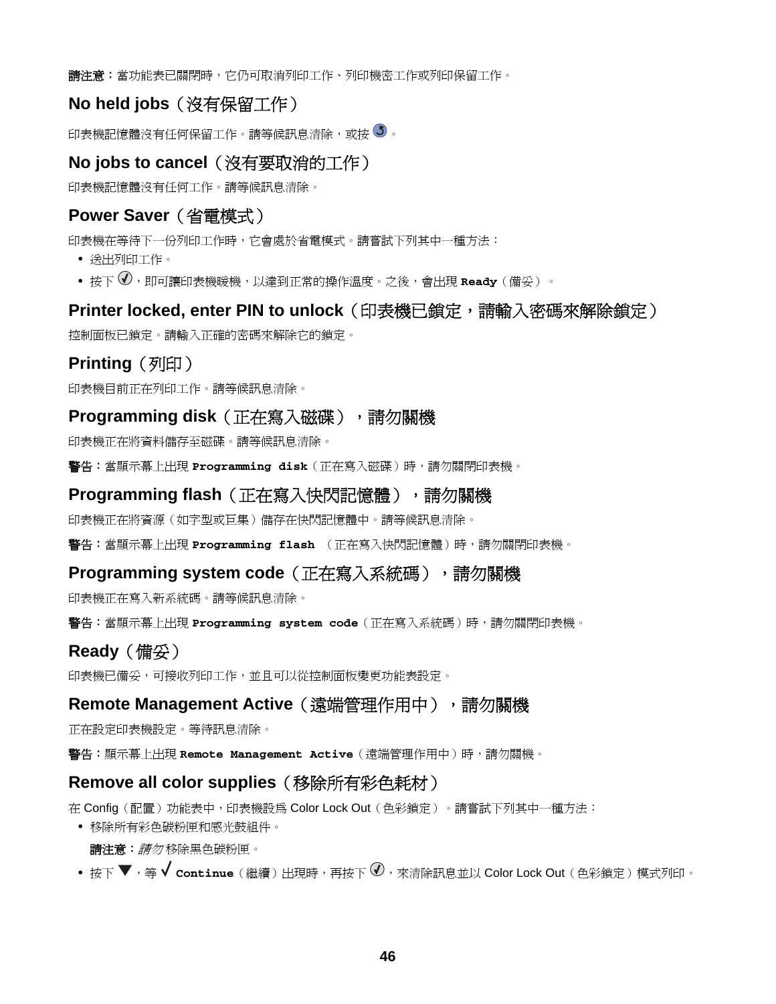<span id="page-45-0"></span>**請注意:**當功能表已關閉時,它仍可取消列印工作、列印機密工作或列印保留工作。

### **No held jobs**(沒有保留工作)

印表機記憶體沒有任何保留工作。請等候訊息清除,或按 5。

### **No jobs to cancel**(沒有要取消的工作)

印表機記憶體沒有任何工作。請等候訊息清除。

### **Power Saver**(省電模式)

印表機在等待下一份列印工作時,它會處於省電模式。請嘗試下列其中一種方法:

- **•** 送出列印工作。
- 按下  $\overline{\mathcal{O}}$ ,即可讓印表機暖機,以達到正常的操作溫度。之後,會出現 Ready(備妥)。

#### **Printer locked, enter PIN to unlock** (印表機已鎖定,請輪入密碼來解除鎖定)

控制面板已鎖定。請輸入正確的密碼來解除它的鎖定。

### **Printing** (列印)

印表機目前正在列印工作。請等候訊息清除。

### **Programming disk** (正在寫入磁碟),請勿關機

印表機正在將資料儲存至磁碟。請等候訊息清除。

警告:當顯示幕上出現 **Programming disk**(正在寫入磁碟)時,請勿關閉印表機。

#### **Programming flash** (正在寫入快閃記憶體), 請勿關機

印表機正在將資源(如字型或巨集)儲存在快閃記憶體中。請等候訊息清除。

警告:當顯示幕上出現 **Programming flash** (正在寫入快閃記憶體)時,請勿關閉印表機。

#### **Programming system code**(正在寫入系統碼),請勿關機

印表機正在寫入新系統碼。請等候訊息清除。

警告:當顯示幕上出現 **Programming system code**(正在寫入系統碼)時,請勿關閉印表機。

#### **Ready**(備妥)

印表機已備妥,可接收列印工作,並且可以從控制面板變更功能表設定。

#### **Remote Management Active** (遠端管理作用中),請勿關機

正在設定印表機設定。等待訊息清除。

警告:顯示幕上出現 Remote Management Active (遠端管理作用中)時,請勿關機。

### **Remove all color supplies**(移除所有彩色耗材)

在 Config(配置)功能表中,印表機設為 Color Lock Out(色彩鎖定)。請嘗試下列其中一種方法:

**•** 移除所有彩色碳粉匣和感光鼓組件。

請注意:請勿 移除黑色碳粉匣。

• 按下 ▼,等 ✔ continue (繼續) 出現時,再按下 亚,來清除訊息並以 Color Lock Out (色彩鎖定) 模式列印。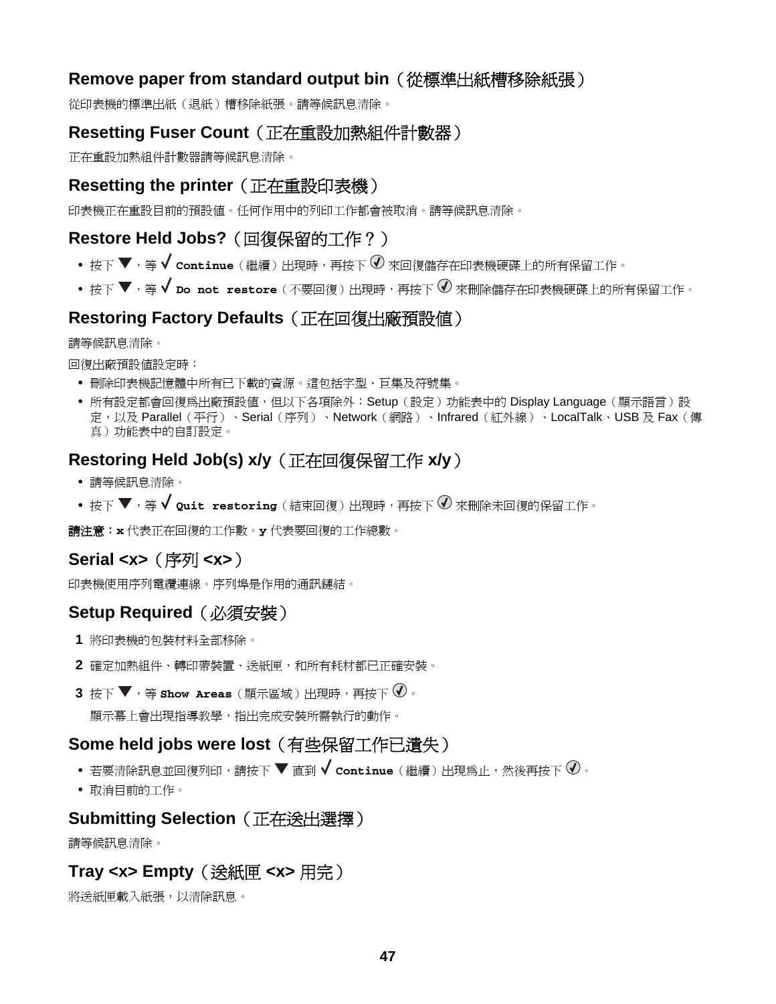### <span id="page-46-0"></span>**Remove paper from standard output bin**(從標準出紙槽移除紙張)

從印表機的標準出紙(退紙)槽移除紙張。請等候訊息清除。

### **Resetting Fuser Count**(正在重設加熱組件計數器)

正在重設加熱組件計數器請等候訊息清除。

### **Resetting the printer**(正在重設印表機)

印表機正在重設目前的預設值。任何作用中的列印工作都會被取消。請等候訊息清除。

## **Restore Held Jobs?**(回復保留的工作?)

- 按下 ▼,等 √ continue (繼續)出現時,再按下 ◇ 來回復儲存在印表機硬碟上的所有保留工作。
- 按下 ▼,等 √ **Do not restore**(不要回復)出現時,再按下 ⑦ 來刪除儲存在印表機硬碟上的所有保留工作。

## **Restoring Factory Defaults**(正在回復出廠預設值)

請等候訊息清除。

回復出廠預設值設定時:

- **•** 刪除印表機記憶體中所有已下載的資源。這包括字型、巨集及符號集。
- **•** 所有設定都會回復為出廠預設值,但以下各項除外:Setup(設定)功能表中的 Display Language(顯示語言)設 定,以及 Parallel(平行)、Serial(序列)、Network(網路)、Infrared(紅外線)、LocalTalk、USB 及 Fax(傳 真)功能表中的自訂設定。

## **Restoring Held Job(s) x/y**(正在回復保留工作 **x/y**)

- **•** 請等候訊息清除。
- 按下 ▼,等 ✔ Quit restoring (結束回復)出現時,再按下 ♥ 來刪除未回復的保留工作。

請注意:**x** 代表正在回復的工作數。**y** 代表要回復的工作總數。

## **Serial <x>**(序列 **<x>**)

印表機使用序列電纜連線。序列埠是作用的通訊鏈結。

## **Setup Required**(必須安裝)

- **1** 將印表機的包裝材料全部移除。
- **2** 確定加熱組件、轉印帶裝置、送紙匣,和所有耗材都已正確安裝。
- 3 按下 ▼,等 show Areas (顯示區域)出現時,再按下 ⊙。 顯示幕上會出現指導教學,指出完成安裝所需執行的動作。

### **Some held jobs were lost**(有些保留工作已遺失)

- **•** 若要清除訊息並回復列印,請按下 直到 **Continue**(繼續)出現為止,然後再按下 。
- **•** 取消目前的工作。

### **Submitting Selection**(正在送出選擇)

請等候訊息清除。

## **Tray <x> Empty**(送紙匣 **<x>** 用完)

將送紙匣載入紙張,以清除訊息。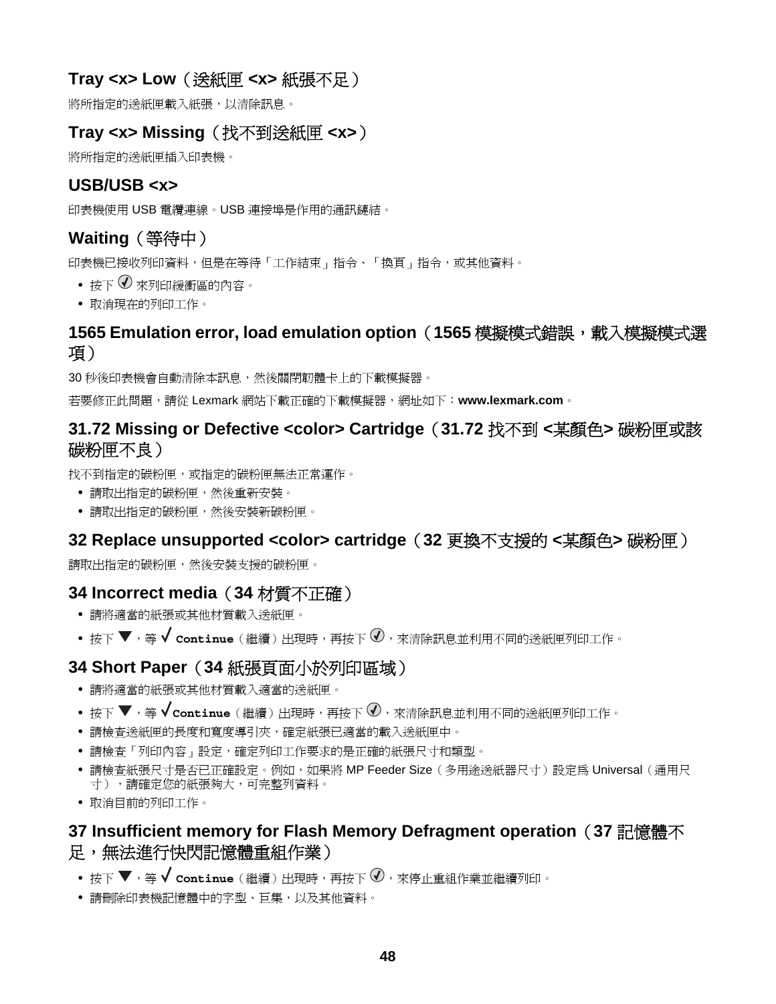## <span id="page-47-0"></span>**Tray <x> Low**(送紙匣 **<x>** 紙張不足)

將所指定的送紙匣載入紙張,以清除訊息。

## **Tray <x> Missing**(找不到送紙匣 **<x>**)

將所指定的送紙匣插入印表機。

### **USB/USB <x>**

印表機使用 USB 電纜連線。USB 連接埠是作用的通訊鏈結。

# **Waiting**(等待中)

印表機已接收列印資料,但是在等待「工作結束」指令、「換頁」指令,或其他資料。

- 按下 $\bigcirc$  來列印緩衝區的內容。
- **•** 取消現在的列印工作。

### **1565 Emulation error, load emulation option**(**1565** 模擬模式錯誤,載入模擬模式選 項)

30 秒後印表機會自動清除本訊息,然後關閉韌體卡上的下載模擬器。

若要修正此問題,請從 Lexmark 網站下載正確的下載模擬器,網址如下:**[www.lexmark.com](http://www.lexmark.com)**。

### **31.72 Missing or Defective <color> Cartridge**(**31.72** 找不到 **<**某顏色**>** 碳粉匣或該 碳粉匣不良)

找不到指定的碳粉匣,或指定的碳粉匣無法正常運作。

- **•** 請取出指定的碳粉匣,然後重新安裝。
- **•** 請取出指定的碳粉匣,然後安裝新碳粉匣。

### **32 Replace unsupported <color> cartridge**(**32** 更換不支援的 **<**某顏色**>** 碳粉匣)

請取出指定的碳粉匣,然後安裝支援的碳粉匣。

### **34 Incorrect media**(**34** 材質不正確)

- **•** 請將適當的紙張或其他材質載入送紙匣。
- 按下 ▼,等 ✔ continue (繼續)出現時,再按下 ♥,來清除訊息並利用不同的送紙匣列印工作。

#### **34 Short Paper**(**34** 紙張頁面小於列印區域)

- **•** 請將適當的紙張或其他材質載入適當的送紙匣。
- 按下 ▼,等 √ continue(繼續)出現時,再按下 ⊙,來清除訊息並利用不同的送紙匣列印工作。
- **•** 請檢查送紙匣的長度和寬度導引夾,確定紙張已適當的載入送紙匣中。
- **•** 請檢查「列印內容」設定,確定列印工作要求的是正確的紙張尺寸和類型。
- 請檢查紙張尺寸是否已正確設定。例如,如果將 MP Feeder Size (多用途送紙器尺寸)設定為 Universal (通用尺 寸),請確定您的紙張夠大,可完整列資料。
- **•** 取消目前的列印工作。

### **37 Insufficient memory for Flash Memory Defragment operation**(**37** 記憶體不 足,無法進行快閃記憶體重組作業)

- 按下 ▼,等 ✔ continue (繼續) 出現時,再按下 亚,來停止重組作業並繼續列印。
- **•** 請刪除印表機記憶體中的字型、巨集,以及其他資料。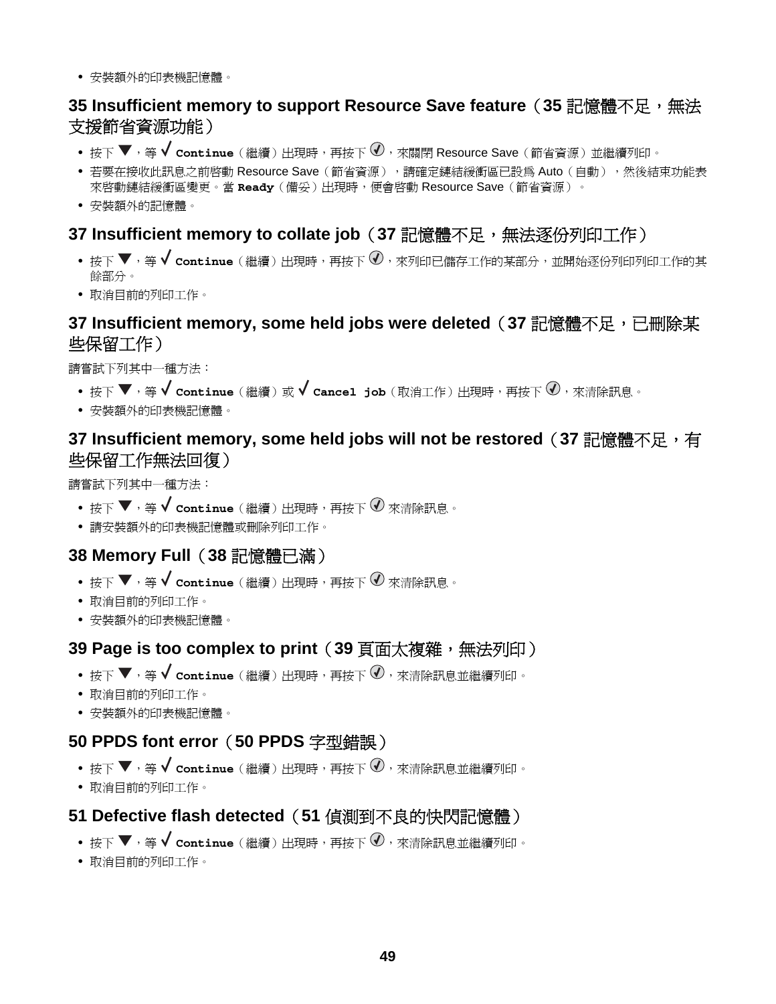<span id="page-48-0"></span>**•** 安裝額外的印表機記憶體。

### **35 Insufficient memory to support Resource Save feature**(**35** 記憶體不足,無法 支援節省資源功能)

- 按下 ▼,等 ✔ continue (繼續) 出現時,再按下 <sup>① ,</sup>來關閉 Resource Save (節省資源) 並繼續列印。
- 若要在接收此訊息之前啓動 Resource Save (節省資源),請確定鏈結緩衝區已設爲 Auto (自動),然後結束功能表 來啟動鏈結緩衝區變更。當 **Ready**(備妥)出現時,便會啟動 Resource Save(節省資源)。
- **•** 安裝額外的記憶體。

### **37 Insufficient memory to collate job (37 記憶體不足,無法逐份列印工作)**

- 按下 ▼, 等 √ continue (繼續)出現時,再按下 ⊙, 來列印已儲存工作的某部分,並開始逐份列印列印工作的其 餘部分。
- **•** 取消目前的列印工作。

### **37 Insufficient memory, some held jobs were deleted**(**37** 記憶體不足,已刪除某 些保留工作)

請嘗試下列其中一種方法:

- 按下 ▼,等 ✔ continue (繼續) 或 ✔ cancel job (取消工作) 出現時,再按下 ⑦,來清除訊息。
- **•** 安裝額外的印表機記憶體。

### **37 Insufficient memory, some held jobs will not be restored**(**37** 記憶體不足,有 些保留工作無法回復)

請嘗試下列其中一種方法:

- 按下 ▼,等 ✔ **continue** (繼續) 出現時,再按下 ⑦ 來清除訊息。
- **•** 請安裝額外的印表機記憶體或刪除列印工作。

### **38 Memory Full**(**38** 記憶體已滿)

- 按下 ▼,等 ✔ continue (繼續) 出現時,再按下 ⑦ 來清除訊息。
- **•** 取消目前的列印工作。
- **•** 安裝額外的印表機記憶體。

#### **39 Page is too complex to print**(**39** 頁面太複雜,無法列印)

- 按下 ▼,等 ✔ continue (繼續)出現時,再按下 ♥,來清除訊息並繼續列印。
- **•** 取消目前的列印工作。
- **•** 安裝額外的印表機記憶體。

### **50 PPDS font error**(**50 PPDS** 字型錯誤)

- 按下 ▼,等 ✔ continue (繼續)出現時,再按下 <sup>①,</sup>來清除訊息並繼續列印。
- **•** 取消目前的列印工作。

### **51 Defective flash detected**(**51** 偵測到不良的快閃記憶體)

- 按下 ▼,等 ✔ continue (繼續) 出現時,再按下 ♥,來清除訊息並繼續列印。
- **•** 取消目前的列印工作。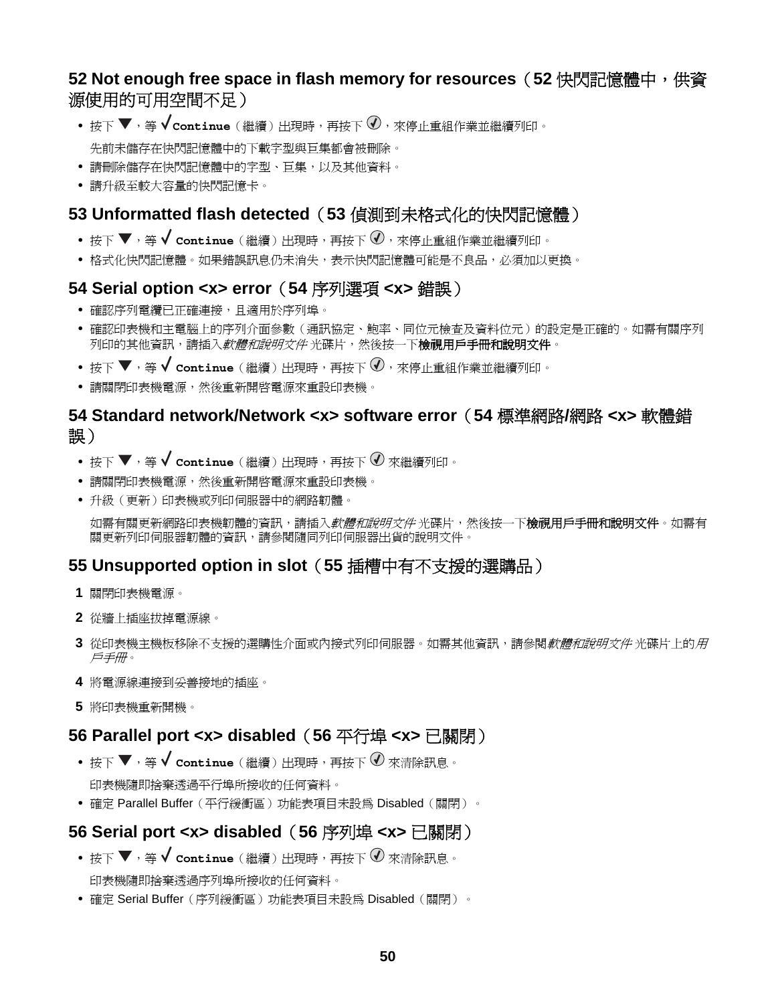## <span id="page-49-0"></span>**52 Not enough free space in flash memory for resources**(**52** 快閃記憶體中,供資 源使用的可用空間不足)

- 按下 ▼,等 √ **continue**(繼續)出現時,再按下 ◇,來停止重組作業並繼續列印。 先前未儲存在快閃記憶體中的下載字型與巨集都會被刪除。
- **•** 請刪除儲存在快閃記憶體中的字型、巨集,以及其他資料。
- **•** 請升級至較大容量的快閃記憶卡。

## **53 Unformatted flash detected**(**53** 偵測到未格式化的快閃記憶體)

- 按下 ▼,等 ✔ continue (繼續) 出現時,再按下 亚,來停止重組作業並繼續列印。
- **•** 格式化快閃記憶體。如果錯誤訊息仍未消失,表示快閃記憶體可能是不良品,必須加以更換。

#### **54 Serial option <x> error**(**54** 序列選項 **<x>** 錯誤)

- **•** 確認序列電纜已正確連接,且適用於序列埠。
- **•** 確認印表機和主電腦上的序列介面參數(通訊協定、鮑率、同位元檢查及資料位元)的設定是正確的。如需有關序列 列印的其他資訊,請插入*軟體和說明文件* 光碟片,然後按一下**檢視用戶手冊和說明文件**。
- 按下 ▼,等 ✔ continue (繼續) 出現時,再按下 亚,來停止重組作業並繼續列印。
- **•** 請關閉印表機電源,然後重新開啟電源來重設印表機。

### **54 Standard network/Network <x> software error**(**54** 標準網路**/**網路 **<x>** 軟體錯 誤)

- 按下 ▼,等 ✔ continue (繼續)出現時,再按下 ⑦ 來繼續列印。
- **•** 請關閉印表機電源,然後重新開啟電源來重設印表機。
- **•** 升級(更新)印表機或列印伺服器中的網路韌體。

如需有關更新網路印表機韌體的資訊,請插入*軟體和說明文件* 光碟片,然後按一下**檢視用戶手冊和說明文件**。如需有 關更新列印伺服器韌體的資訊,請參閱隨同列印伺服器出貨的說明文件。

### **55 Unsupported option in slot**(**55** 插槽中有不支援的選購品)

- **1** 關閉印表機電源。
- **2** 從牆上插座拔掉電源線。
- **3** 從印表機主機板移除不支援的選購性介面或內接式列印伺服器。如需其他資訊,請參閱軟體和說明文件 光碟片上的用 戶手冊。
- **4** 將電源線連接到妥善接地的插座。
- **5** 將印表機重新開機。

#### **56 Parallel port <x> disabled**(**56** 平行埠 **<x>** 已關閉)

- 按下 ▼,等 ✔ continue (繼續) 出現時,再按下 ⑦ 來清除訊息。 印表機隨即捨棄透過平行埠所接收的任何資料。
- **•** 確定 Parallel Buffer(平行緩衝區)功能表項目未設為 Disabled(關閉)。

### **56 Serial port <x> disabled**(**56** 序列埠 **<x>** 已關閉)

- 按下 ▼,等 ✔ **continue** (繼續) 出現時,再按下 ⑦ 來清除訊息。 印表機隨即捨棄透過序列埠所接收的任何資料。
- **•** 確定 Serial Buffer(序列緩衝區)功能表項目未設為 Disabled(關閉)。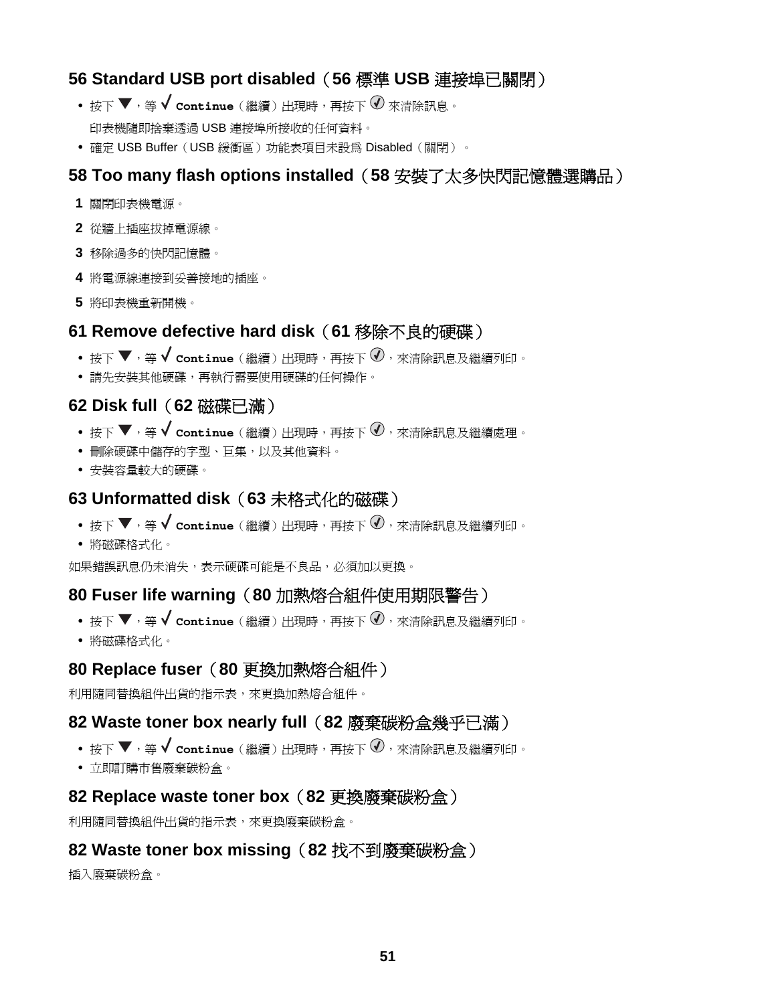### <span id="page-50-0"></span>**56 Standard USB port disabled**(**56** 標準 **USB** 連接埠已關閉)

- 按下 ▼,等 ✔ **continue** (繼續) 出現時,再按下 ⑦ 來清除訊息。 印表機隨即捨棄透過 USB 連接埠所接收的任何資料。
- **•** 確定 USB Buffer(USB 緩衝區)功能表項目未設為 Disabled(關閉)。

### **58 Too many flash options installed**(**58** 安裝了太多快閃記憶體選購品)

- **1** 關閉印表機電源。
- **2** 從牆上插座拔掉電源線。
- **3** 移除過多的快閃記憶體。
- **4** 將電源線連接到妥善接地的插座。
- **5** 將印表機重新開機。

#### **61 Remove defective hard disk**(**61** 移除不良的硬碟)

- 按下 ▼,等 ✔ continue (繼續)出現時,再按下 ♥,來清除訊息及繼續列印。
- **•** 請先安裝其他硬碟,再執行需要使用硬碟的任何操作。

### **62 Disk full**(**62** 磁碟已滿)

- 按下 ▼,等 ✔ continue (繼續) 出現時,再按下 亚,來清除訊息及繼續處理。
- **•** 刪除硬碟中儲存的字型、巨集,以及其他資料。
- **•** 安裝容量較大的硬碟。

#### **63 Unformatted disk**(**63** 未格式化的磁碟)

- 按下 ▼,等 ✔ continue (繼續) 出現時,再按下 ♥ ,來清除訊息及繼續列印。
- **•** 將磁碟格式化。

如果錯誤訊息仍未消失,表示硬碟可能是不良品,必須加以更換。

### **80 Fuser life warning**(**80** 加熱熔合組件使用期限警告)

- 按下 ▼,等 ✔ continue (繼續) 出現時,再按下 <sup>①,</sup>來清除訊息及繼續列印。
- **•** 將磁碟格式化。

#### **80 Replace fuser**(**80** 更換加熱熔合組件)

利用隨同替換組件出貨的指示表,來更換加熱熔合組件。

#### **82 Waste toner box nearly full**(**82** 廢棄碳粉盒幾乎已滿)

- 按下 ▼,等 ✔ continue (繼續) 出現時,再按下 亚,來清除訊息及繼續列印。
- **•** 立即訂購市售廢棄碳粉盒。

#### **82 Replace waste toner box**(**82** 更換廢棄碳粉盒)

利用隨同替換組件出貨的指示表,來更換廢棄碳粉盒。

#### **82 Waste toner box missing**(**82** 找不到廢棄碳粉盒)

插入廢棄碳粉盒。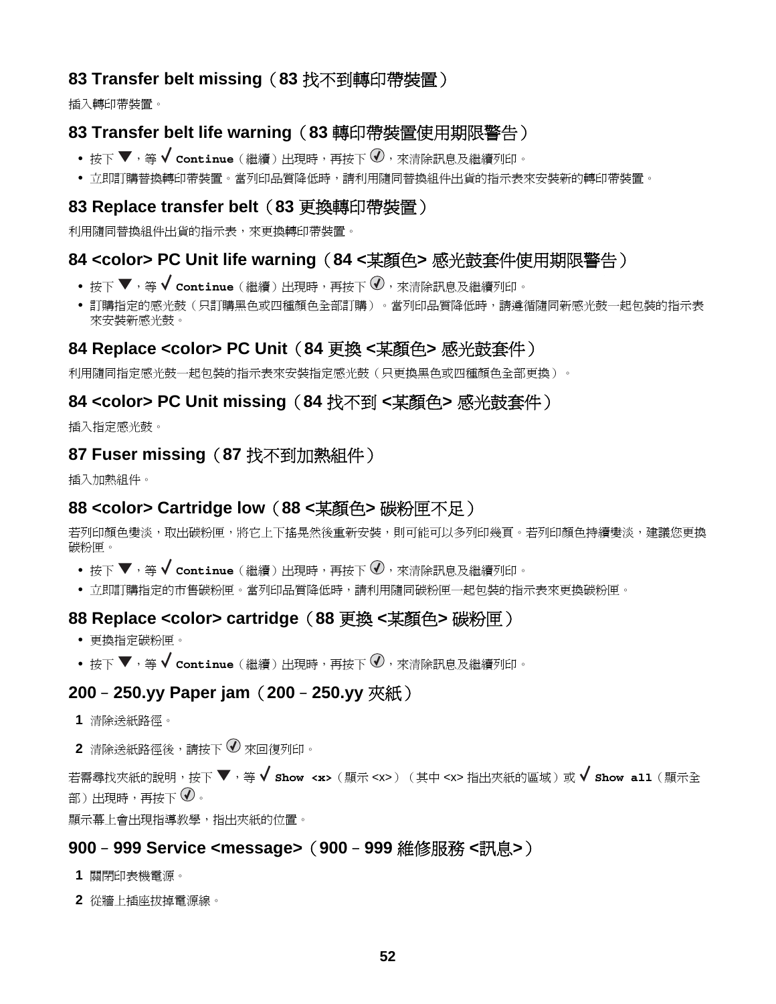### <span id="page-51-0"></span>**83 Transfer belt missing**(**83** 找不到轉印帶裝置)

插入轉印帶裝置。

### **83 Transfer belt life warning**(**83** 轉印帶裝置使用期限警告)

- 按下 ▼,等 ✔ continue (繼續) 出現時,再按下 <sup>①,</sup>來清除訊息及繼續列印。
- **•** 立即訂購替換轉印帶裝置。當列印品質降低時,請利用隨同替換組件出貨的指示表來安裝新的轉印帶裝置。

#### **83 Replace transfer belt**(**83** 更換轉印帶裝置)

利用隨同替換組件出貨的指示表,來更換轉印帶裝置。

#### **84 <color> PC Unit life warning**(**84 <**某顏色**>** 感光鼓套件使用期限警告)

- 按下 ▼,等 ✔ continue (繼續) 出現時,再按下 亚,來清除訊息及繼續列印。
- **•** 訂購指定的感光鼓(只訂購黑色或四種顏色全部訂購)。當列印品質降低時,請遵循隨同新感光鼓一起包裝的指示表 來安裝新感光鼓。

#### **84 Replace <color> PC Unit**(**84** 更換 **<**某顏色**>** 感光鼓套件)

利用隨同指定感光鼓一起包裝的指示表來安裝指定感光鼓(只更換黑色或四種顏色全部更換)。

#### **84 <color> PC Unit missing**(**84** 找不到 **<**某顏色**>** 感光鼓套件)

插入指定感光鼓。

#### **87 Fuser missing**(**87** 找不到加熱組件)

插入加熱組件。

#### **88 <color> Cartridge low**(**88 <**某顏色**>** 碳粉匣不足)

若列印顏色變淡,取出碳粉匣,將它上下搖晃然後重新安裝,則可能可以多列印幾頁。若列印顏色持續變淡,建議您更換 碳粉匣。

- 按下 ▼,等 ✔ **continue**(繼續)出現時,再按下 ❤ ,來清除訊息及繼續列印。
- **•** 立即訂購指定的市售碳粉匣。當列印品質降低時,請利用隨同碳粉匣一起包裝的指示表來更換碳粉匣。

#### **88 Replace <color> cartridge**(**88** 更換 **<**某顏色**>** 碳粉匣)

- **•** 更換指定碳粉匣。
- 按下 ▼,等 ✔ continue (繼續)出現時,再按下 亚,來清除訊息及繼續列印。

### **200**–**250.yy Paper jam**(**200**–**250.yy** 夾紙)

- **1** 清除送紙路徑。
- 2 清除送紙路徑後,請按下 2 來回復列印。

若需尋找夾紙的說明,按下 ,等 **Show <x>**(顯示 <x>)(其中 <x> 指出夾紙的區域)或 **Show all**(顯示全 部)出現時,再按下 $\overline{\mathcal{U}}$ 。

顯示幕上會出現指導教學,指出夾紙的位置。

#### **900**–**999 Service <message>**(**900**–**999** 維修服務 **<**訊息**>**)

- **1** 關閉印表機電源。
- **2** 從牆上插座拔掉電源線。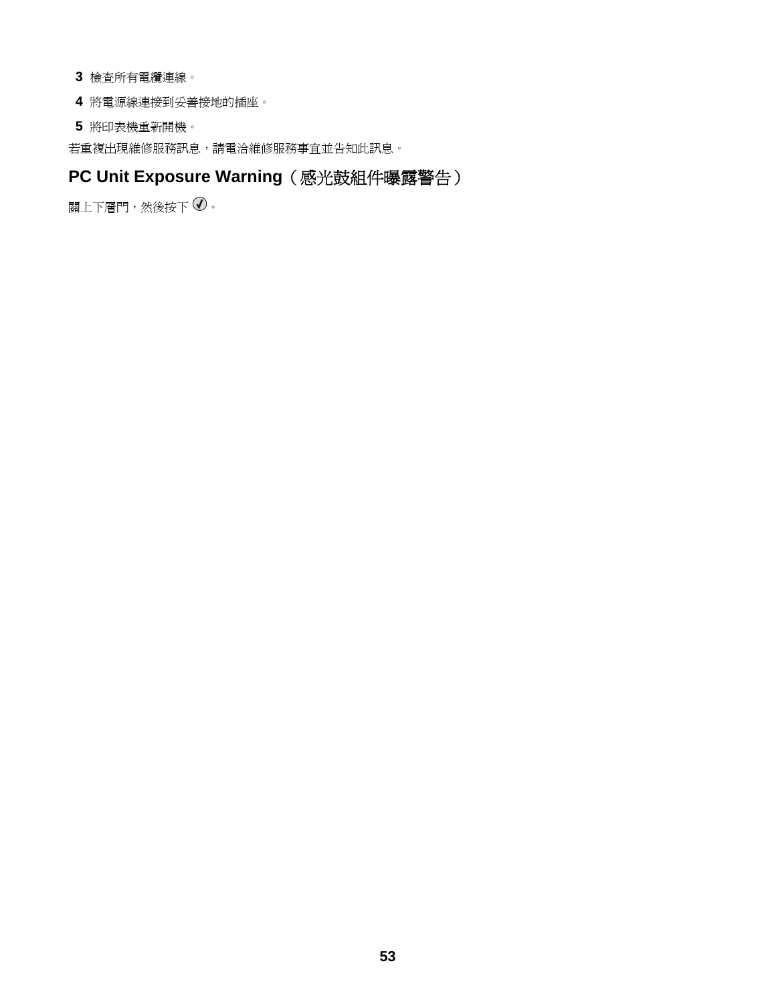- <span id="page-52-0"></span>**3** 檢查所有電纜連線。
- **4** 將電源線連接到妥善接地的插座。
- **5** 將印表機重新開機。

若重複出現維修服務訊息,請電洽維修服務事宜並告知此訊息。

# **PC Unit Exposure Warning**(感光鼓組件曝露警告)

關上下層門,然後按下 $\overline{\mathcal{O}}$ 。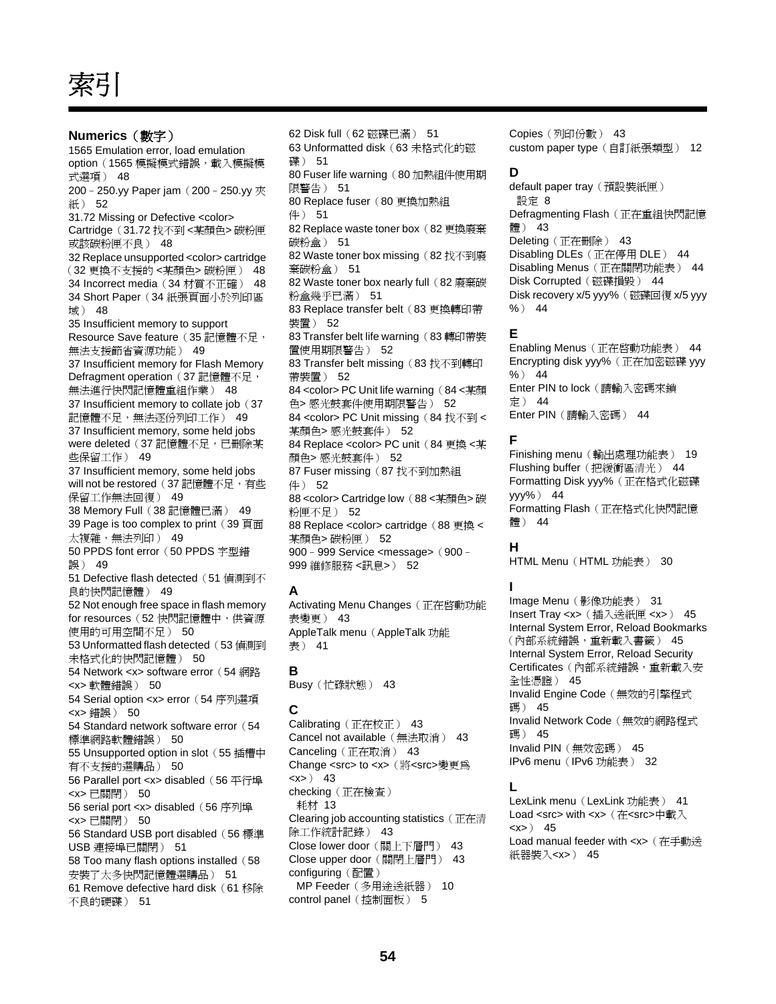<span id="page-53-0"></span>索引

**Numerics**(數字) 1565 Emulation error, load emulation option (1565 模擬模式錯誤,載入模擬模 式選項) [48](#page-47-0) 200 - 250.yy Paper jam (200 - 250.yy 夾 紙) [52](#page-51-0) 31.72 Missing or Defective <color> Cartridge(31.72 找不到 <某顏色> 碳粉匣 或該碳粉匣不良) [48](#page-47-0) 32 Replace unsupported <color> cartridge (32 更換不支援的 <某顏色> 碳粉匣) [48](#page-47-0) 34 Incorrect media (34 材質不正確) [48](#page-47-0) 34 Short Paper (34 紙張頁面小於列印區 域) [48](#page-47-0) 35 Insufficient memory to support Resource Save feature (35 記憶體不足, 無法支援節省資源功能) [49](#page-48-0) 37 Insufficient memory for Flash Memory Defragment operation (37 記憶體不足, 無法進行快閃記憶體重組作業) [48](#page-47-0) 37 Insufficient memory to collate job (37 記憶體不足,無法逐份列印工作) [49](#page-48-0) 37 Insufficient memory, some held jobs were deleted (37 記憶體不足,已刪除某 些保留工作) [49](#page-48-0) 37 Insufficient memory, some held jobs will not be restored (37 記憶體不足, 有些 保留工作無法回復) [49](#page-48-0) 38 Memory Full(38 記憶體已滿) [49](#page-48-0) 39 Page is too complex to print (39 頁面 太複雜,無法列印) [49](#page-48-0) 50 PPDS font error (50 PPDS 字型錯 誤) [49](#page-48-0) 51 Defective flash detected (51 偵測到不 良的快閃記憶體) [49](#page-48-0) 52 Not enough free space in flash memory for resources (52 快閃記憶體中,供資源 使用的可用空間不足) [50](#page-49-0) 53 Unformatted flash detected (53 偵測到 未格式化的快閃記憶體) [50](#page-49-0) 54 Network <x> software error (54 網路 <x> 軟體錯誤) [50](#page-49-0) 54 Serial option <x> error (54 序列選項 <x> 錯誤) [50](#page-49-0) 54 Standard network software error (54 標準網路軟體錯誤) [50](#page-49-0) 55 Unsupported option in slot (55 插槽中 有不支援的選購品) [50](#page-49-0) 56 Parallel port <x> disabled(56 平行埠 <x> 已關閉) [50](#page-49-0) 56 serial port <x> disabled (56 序列埠 <x> 已關閉) [50](#page-49-0) 56 Standard USB port disabled (56 標準 USB 連接埠已關閉) [51](#page-50-0) 58 Too many flash options installed (58 安裝了太多快閃記憶體選購品) [51](#page-50-0) 61 Remove defective hard disk(61 移除 不良的硬碟) [51](#page-50-0)

62 Disk full(62 磁碟已滿) [51](#page-50-0) 63 Unformatted disk(63 未格式化的磁 碟) [51](#page-50-0) 80 Fuser life warning (80 加熱組件使用期 限警告) [51](#page-50-0) 80 Replace fuser (80 更換加熱組 件) [51](#page-50-0) 82 Replace waste toner box(82 更換廢棄 碳粉盒) [51](#page-50-0) 82 Waste toner box missing (82 找不到廢 棄碳粉盒) [51](#page-50-0) 82 Waste toner box nearly full (82 廢棄碳 粉盒幾乎已滿) [51](#page-50-0) 83 Replace transfer belt (83 更換轉印帶 裝置) [52](#page-51-0) 83 Transfer belt life warning (83 轉印帶裝 置使用期限警告) [52](#page-51-0) 83 Transfer belt missing (83 找不到轉印 帶裝置) [52](#page-51-0) 84 <color> PC Unit life warning (84 <某顏 色> 感光鼓套件使用期限警告) [52](#page-51-0) 84 <color> PC Unit missing (84 找不到 < 某顏色> 感光鼓套件) [52](#page-51-0) 84 Replace <color> PC unit (84 更換 <某 顏色> 感光鼓套件) [52](#page-51-0) 87 Fuser missing (87 找不到加熱組 件) [52](#page-51-0) 88 <color> Cartridge low (88 <某顏色> 碳 粉匣不足) [52](#page-51-0) 88 Replace <color> cartridge (88 更換 < 某顏色> 碳粉匣) [52](#page-51-0) 900–999 Service <message>(900– 999 維修服務 <訊息>) [52](#page-51-0)

#### **A**

Activating Menu Changes (正在啓動功能 表變更) [43](#page-42-0) AppleTalk menu (AppleTalk 功能 表) [41](#page-40-0)

**B** Busy(忙碌狀態) [43](#page-42-0)

#### **C**

Calibrating(正在校正) [43](#page-42-0) Cancel not available(無法取消) [43](#page-42-0) Canceling(正在取消) [43](#page-42-0) Change <src> to <x>(將<src>變更為 <x>) [43](#page-42-0) checking (正在檢查) 耗材 [13](#page-12-0) Clearing job accounting statistics(正在清 除工作統計記錄) [43](#page-42-0) Close lower door(關上下層門) [43](#page-42-0) Close upper door(關閉上層門) [43](#page-42-0) configuring(配置) MP Feeder(多用途送紙器) [10](#page-9-0) control panel (控制面板) [5](#page-4-0)

Copies(列印份數) [43](#page-42-0) custom paper type(自訂紙張類型) [12](#page-11-0)

#### **D**

default paper tray (預設裝紙匣) 設定 [8](#page-7-0) Defragmenting Flash (正在重組快閃記憶 體) [43](#page-42-0) Deleting (正在刪除) [43](#page-42-0) Disabling DLEs(正在停用 DLE) [44](#page-43-0) Disabling Menus(正在關閉功能表) [44](#page-43-0) Disk Corrupted (磁碟損毀) [44](#page-43-0) Disk recovery x/5 yyy%(磁碟回復 x/5 yyy %) [44](#page-43-0)

#### **E**

Enabling Menus (正在啓動功能表) [44](#page-43-0) Encrypting disk yyy%(正在加密磁碟 yyy  $%$  [44](#page-43-0) Enter PIN to lock (請輸入密碼來鎖 定) [44](#page-43-0) Enter PIN(請輸入密碼) [44](#page-43-0)

#### **F**

Finishing menu(輸出處理功能表) [19](#page-18-0) Flushing buffer(把緩衝區清光) [44](#page-43-0) Formatting Disk yyy%(正在格式化磁碟 yyy%) [44](#page-43-0) Formatting Flash (正在格式化快閃記憶 體) [44](#page-43-0)

#### **H**

HTML Menu (HTML 功能表) [30](#page-29-0)

#### **I**

Image Menu(影像功能表) [31](#page-30-0) Insert Tray <x>(插入送紙匣 <x>) [45](#page-44-0) Internal System Error, Reload Bookmarks (內部系統錯誤,重新載入書籤) [45](#page-44-0) Internal System Error, Reload Security **Certificates**(內部系統錯誤,重新載入安 全性憑證) [45](#page-44-0) Invalid Engine Code (無效的引擎程式 碼) [45](#page-44-0) Invalid Network Code(無效的網路程式 碼) [45](#page-44-0) Invalid PIN(無效密碼) [45](#page-44-0) IPv6 menu (IPv6 功能表) [32](#page-31-0)

#### **L**

LexLink menu (LexLink 功能表) [41](#page-40-0) Load <src> with <x> (在<src>中載入  $< x > 0$  [45](#page-44-0) Load manual feeder with <x> (在手動送 紙器裝入<x>) [45](#page-44-0)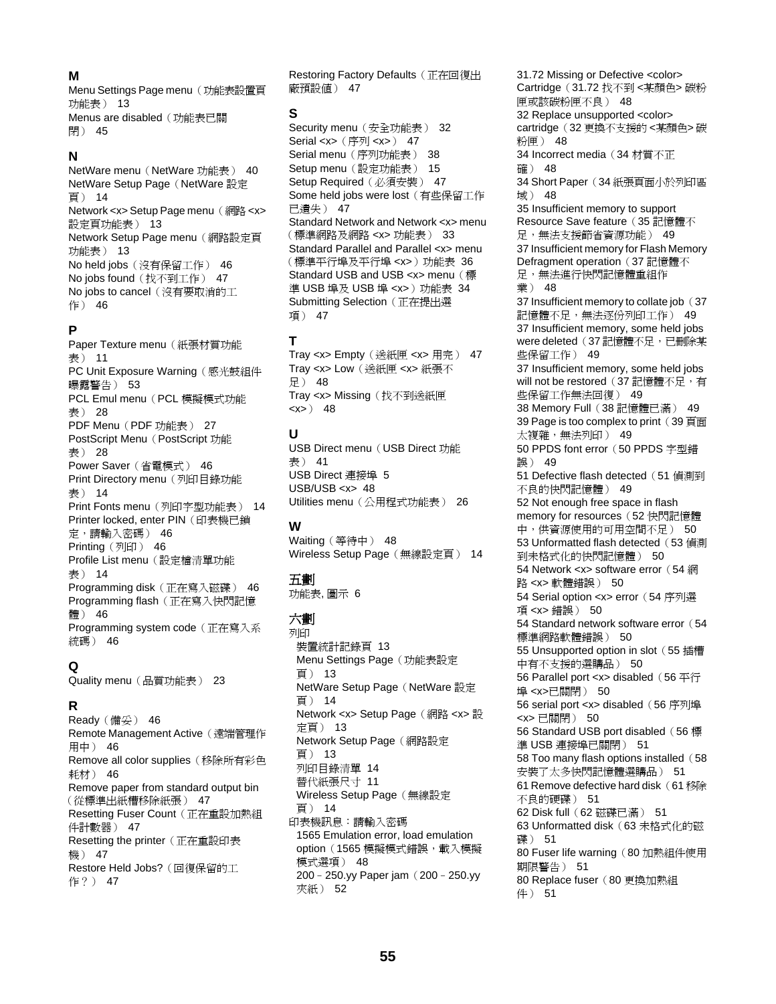#### **M**

Menu Settings Page menu (功能表設置頁 功能表) [13](#page-12-0) Menus are disabled (功能表已關 閉) [45](#page-44-0)

#### **N**

**NetWare menu (NetWare 功能表) [40](#page-39-0)** NetWare Setup Page (NetWare 設定 頁) [14](#page-13-0) Network <x> Setup Page menu (網路 <x> 設定頁功能表) [13](#page-12-0) Network Setup Page menu (網路設定頁 功能表) [13](#page-12-0) No held jobs(沒有保留工作) [46](#page-45-0) No jobs found (找不到工作) [47](#page-46-0) No jobs to cancel (沒有要取消的工 作) [46](#page-45-0)

#### **P**

Paper Texture menu (紙張材質功能 表) [11](#page-10-0) PC Unit Exposure Warning (感光鼓組件 曝露警告) [53](#page-52-0) PCL Emul menu (PCL 模擬模式功能 表) [28](#page-27-0) PDF Menu (PDF 功能表) [27](#page-26-0) PostScript Menu (PostScript 功能 表) [28](#page-27-0) Power Saver(省電模式) [46](#page-45-0) Print Directory menu (列印目錄功能 表) [14](#page-13-0) Print Fonts menu (列印字型功能表) [14](#page-13-0) Printer locked, enter PIN (印表機已鎖 定,請輸入密碼) [46](#page-45-0) Printing(列印) [46](#page-45-0) Profile List menu (設定檔清單功能 表) [14](#page-13-0) Programming disk(正在寫入磁碟) [46](#page-45-0) Programming flash (正在寫入快閃記憶 體) [46](#page-45-0) Programming system code (正在寫入系 統碼) [46](#page-45-0)

#### **Q**

Quality menu(品質功能表) [23](#page-22-0)

#### **R**

Ready(備妥) [46](#page-45-0) Remote Management Active (遠端管理作 用中) [46](#page-45-0) Remove all color supplies(移除所有彩色 耗材) [46](#page-45-0) Remove paper from standard output bin (從標準出紙槽移除紙張) [47](#page-46-0) Resetting Fuser Count (正在重設加熱組 件計數器) [47](#page-46-0) Resetting the printer (正在重設印表 機) [47](#page-46-0) Restore Held Jobs?(回復保留的工 作?) [47](#page-46-0)

Restoring Factory Defaults (正在回復出 廠預設值) [47](#page-46-0)

#### **S**

Security menu (安全功能表) [32](#page-31-0) Serial <x> (序列 <x>) [47](#page-46-0) Serial menu (序列功能表) [38](#page-37-0) Setup menu(設定功能表) [15](#page-14-0) Setup Required (必須安裝) [47](#page-46-0) Some held jobs were lost (有些保留工作 已遺失) [47](#page-46-0) Standard Network and Network <x> menu (標準網路及網路 <x> 功能表) [33](#page-32-0) Standard Parallel and Parallel <x> menu (標準平行埠及平行埠 <x>)功能表 [36](#page-35-0) Standard USB and USB <x> menu (標 進 USB 埠及 USB 埠 <x>) 功能表 [34](#page-33-0) Submitting Selection (正在提出選 項) [47](#page-46-0)

#### **T**

Tray <x> Empty(送紙匣 <x> 用完) [47](#page-46-0) Tray <x> Low(送紙匣 <x> 紙張不 足) [48](#page-47-0) Tray <x> Missing (找不到送紙匣  $< x > 0$  [48](#page-47-0)

#### **U**

USB Direct menu (USB Direct 功能 表) [41](#page-40-0) USB Direct 連接埠 [5](#page-4-0) USB/USB <x> [48](#page-47-0) Utilities menu(公用程式功能表) [26](#page-25-0)

#### **W**

Waiting(等待中) [48](#page-47-0) Wireless Setup Page (無線設定頁) [14](#page-13-0)

#### 五劃

功能表, 圖示 [6](#page-5-0)

#### 六劃

列印 裝置統計記錄頁 [13](#page-12-0) Menu Settings Page (功能表設定 頁) [13](#page-12-0) **NetWare Setup Page (NetWare 設定** 頁) [14](#page-13-0) Network <x> Setup Page (網路 <x> 設 定頁) [13](#page-12-0) Network Setup Page(網路設定 頁) [13](#page-12-0) 列印目錄清單 [14](#page-13-0) 替代紙張尺寸 [11](#page-10-0) Wireless Setup Page (無線設定 頁) [14](#page-13-0) 印表機訊息:請輸入密碼 1565 Emulation error, load emulation option (1565 模擬模式錯誤,載入模擬 模式選項) [48](#page-47-0) 200–250.yy Paper jam(200–250.yy 夾紙) [52](#page-51-0)

31.72 Missing or Defective <color> Cartridge(31.72 找不到 <某顏色> 碳粉 匣或該碳粉匣不良) [48](#page-47-0) 32 Replace unsupported <color> cartridge(32 更換不支援的 <某顏色> 碳 粉匣) [48](#page-47-0) 34 Incorrect media (34 材質不正 確) [48](#page-47-0) 34 Short Paper (34 紙張頁面小於列印區 域) [48](#page-47-0) 35 Insufficient memory to support Resource Save feature (35 記憶體不 足,無法支援節省資源功能) [49](#page-48-0) 37 Insufficient memory for Flash Memory Defragment operation (37 記憶體不 足,無法進行快閃記憶體重組作 業) [48](#page-47-0) 37 Insufficient memory to collate job (37 記憶體不足,無法逐份列印工作) [49](#page-48-0) 37 Insufficient memory, some held jobs were deleted (37記憶體不足,已刪除某 些保留工作) [49](#page-48-0) 37 Insufficient memory, some held jobs will not be restored (37 記憶體不足,有 些保留工作無法回復) [49](#page-48-0) 38 Memory Full(38 記憶體已滿) [49](#page-48-0) 39 Page is too complex to print  $(39 \overline{\text{H}}\overline{\text{m}})$ 太複雜,無法列印) [49](#page-48-0) 50 PPDS font error (50 PPDS 字型錯 誤) [49](#page-48-0) 51 Defective flash detected (51 偵測到 不良的快閃記憶體) [49](#page-48-0) 52 Not enough free space in flash memory for resources (52 快閃記憶體 中,供資源使用的可用空間不足) [50](#page-49-0) 53 Unformatted flash detected (53 偵測 到未格式化的快閃記憶體) [50](#page-49-0) 54 Network <x> software error (54 網 路 <x> 軟體錯誤) [50](#page-49-0) 54 Serial option <x> error (54 序列選 項 <x> 錯誤) [50](#page-49-0) 54 Standard network software error (54 標準網路軟體錯誤) [50](#page-49-0) 55 Unsupported option in slot (55 插槽 中有不支援的選購品) [50](#page-49-0) 56 Parallel port <x> disabled(56 平行 埠 <x>已關閉) [50](#page-49-0) 56 serial port <x> disabled (56 序列埠 <x> 已關閉) [50](#page-49-0) 56 Standard USB port disabled (56 標 準 USB 連接埠已關閉) [51](#page-50-0) 58 Too many flash options installed (58 安裝了太多快閃記憶體選購品) [51](#page-50-0) 61 Remove defective hard disk (61 移除 不良的硬碟) [51](#page-50-0) 62 Disk full(62 磁碟已滿) [51](#page-50-0) 63 Unformatted disk(63 未格式化的磁 碟) [51](#page-50-0) 80 Fuser life warning (80 加熱組件使用 期限警告) [51](#page-50-0) 80 Replace fuser(80 更換加熱組 件) [51](#page-50-0)